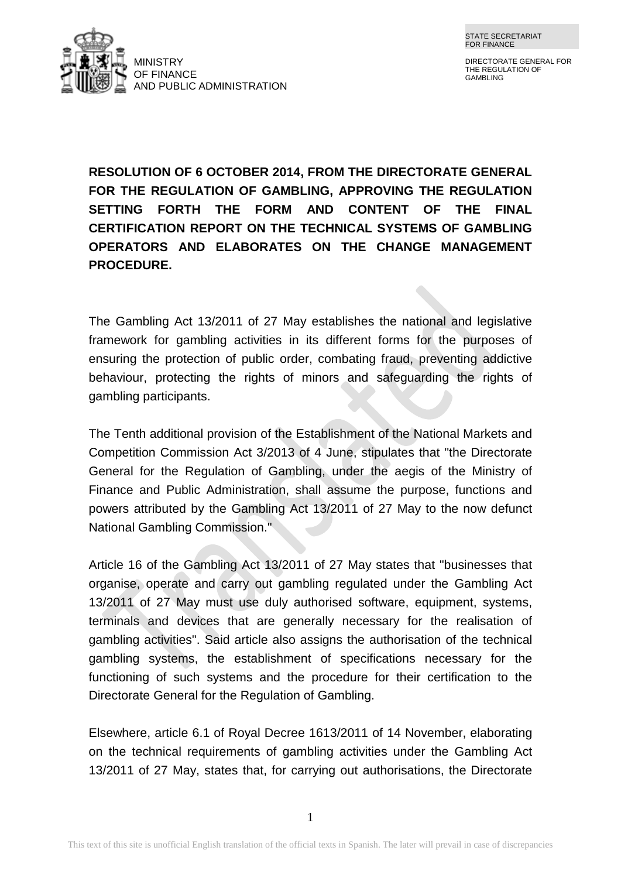STATE SECRETARIAT FOR FINANCE



DIRECTORATE GENERAL FOR THE REGULATION OF GAMBLING

# **RESOLUTION OF 6 OCTOBER 2014, FROM THE DIRECTORATE GENERAL FOR THE REGULATION OF GAMBLING, APPROVING THE REGULATION SETTING FORTH THE FORM AND CONTENT OF THE FINAL CERTIFICATION REPORT ON THE TECHNICAL SYSTEMS OF GAMBLING OPERATORS AND ELABORATES ON THE CHANGE MANAGEMENT PROCEDURE.**

The Gambling Act 13/2011 of 27 May establishes the national and legislative framework for gambling activities in its different forms for the purposes of ensuring the protection of public order, combating fraud, preventing addictive behaviour, protecting the rights of minors and safeguarding the rights of gambling participants.

The Tenth additional provision of the Establishment of the National Markets and Competition Commission Act 3/2013 of 4 June, stipulates that "the Directorate General for the Regulation of Gambling, under the aegis of the Ministry of Finance and Public Administration, shall assume the purpose, functions and powers attributed by the Gambling Act 13/2011 of 27 May to the now defunct National Gambling Commission."

Article 16 of the Gambling Act 13/2011 of 27 May states that "businesses that organise, operate and carry out gambling regulated under the Gambling Act 13/2011 of 27 May must use duly authorised software, equipment, systems, terminals and devices that are generally necessary for the realisation of gambling activities". Said article also assigns the authorisation of the technical gambling systems, the establishment of specifications necessary for the functioning of such systems and the procedure for their certification to the Directorate General for the Regulation of Gambling.

Elsewhere, article 6.1 of Royal Decree 1613/2011 of 14 November, elaborating on the technical requirements of gambling activities under the Gambling Act 13/2011 of 27 May, states that, for carrying out authorisations, the Directorate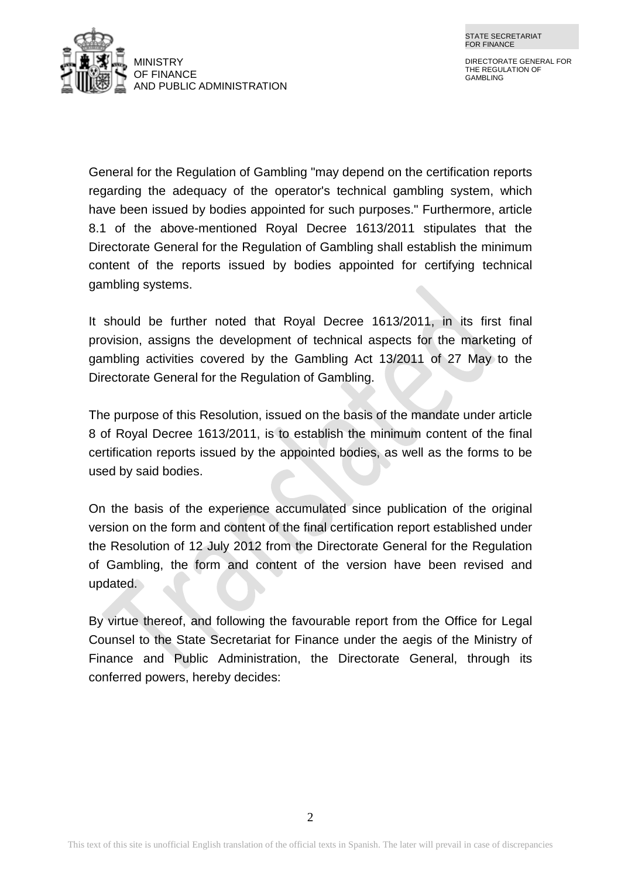MINIST RY OF FIN ANCE AND P UBLIC ADMINISTRATION

DIRECTORATE GENERAL FOR THE REGULATION OF GAMBLING

General for the Regulation of Gambling "may depend on the certification reports regarding the adequacy of the operator's technical gambling system, which have been issued by bodies appointed for such purposes." Furthermore, article 8.1 of the above-mentioned Royal Decree 1613/2011 stipulates that the Directorate General for the Regulation of Gambling shall establish the minimum content of the reports issued by bodies appointed for certifying technical gambling systems.

It should be further noted that Royal Decree 1613/2011, in its first final provision, assigns the development of technical aspects for the marketing of gambling activities covered by the Gambling Act 13/2011 of 27 May to the Directorate General for the Regulation of Gambling.

The purpose of this Resolution, issued on the basis of the mandate under article 8 of Royal Decree 1613/2011, is to establish the minimum content of the final certification reports issued by the appointed bodies, as well as the forms to be used by said bodies.

On the basis of the experience accumulated since publication of the original version on the form and content of the final certification report established under the Resolution of 12 July 2012 from the Directorate General for the Regulation of Gambling, the form and content of the version have been revised and updated.

By virtue thereof, and following the favourable report from the Office for Legal Counsel to the State Secretariat for Finance under the aegis of the Ministry of Finance and Public Administration, the Directorate General, through its conferred powers, hereby decides: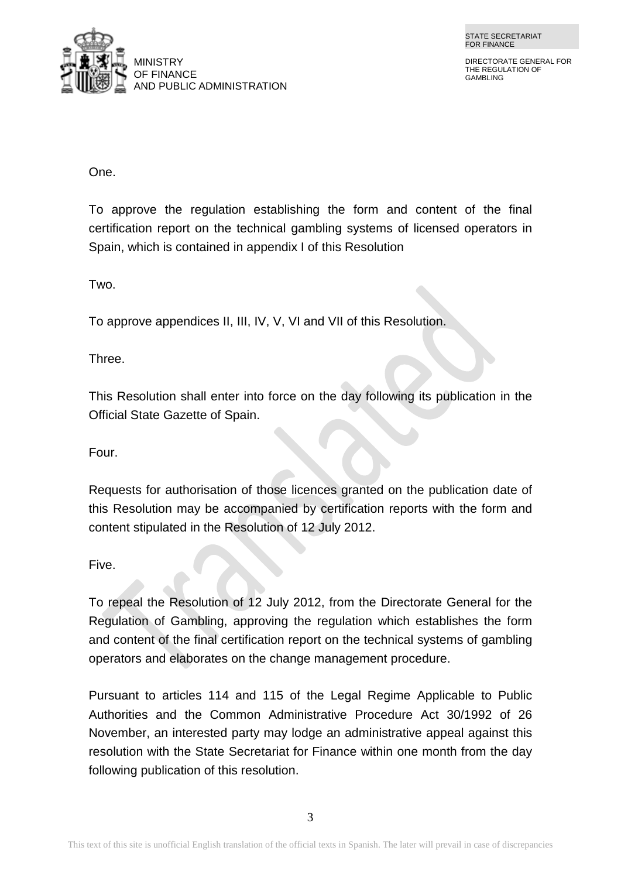

One.

To approve the regulation establishing the form and content of the final certification report on the technical gambling systems of licensed operators in Spain, which is contained in appendix I of this Resolution

Two.

To approve appendices II, III, IV, V, VI and VII of this Resolution.

Three.

This Resolution shall enter into force on the day following its publication in the Official State Gazette of Spain.

Four.

Requests for authorisation of those licences granted on the publication date of this Resolution may be accompanied by certification reports with the form and content stipulated in the Resolution of 12 July 2012.

Five.

To repeal the Resolution of 12 July 2012, from the Directorate General for the Regulation of Gambling, approving the regulation which establishes the form and content of the final certification report on the technical systems of gambling operators and elaborates on the change management procedure.

Pursuant to articles 114 and 115 of the Legal Regime Applicable to Public Authorities and the Common Administrative Procedure Act 30/1992 of 26 November, an interested party may lodge an administrative appeal against this resolution with the State Secretariat for Finance within one month from the day following publication of this resolution.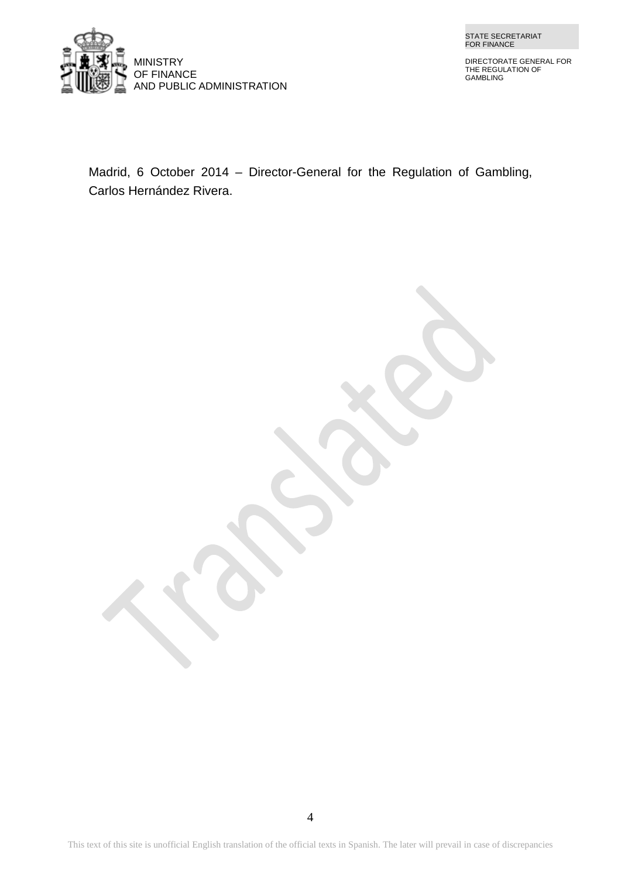

STATE SECRETARIAT FOR FINANCE

DIRECTORATE GENERAL FOR THE REGULATION OF GAMBLING

Madrid, 6 October 2014 – Director-General for the Regulation of Gambling, Carlos Hernández Rivera.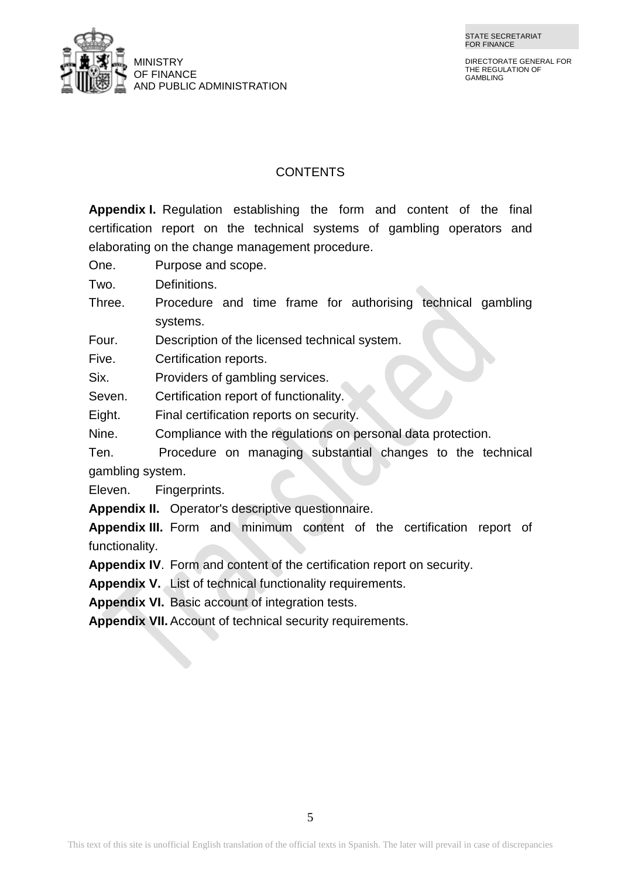

## **CONTENTS**

**Appendix I.** Regulation establishing the form and content of the final certification report on the technical systems of gambling operators and elaborating on the change management procedure.

One. Purpose and scope.

Two. Definitions.

Three. Procedure and time frame for authorising technical gambling systems.

Four. Description of the licensed technical system.

Five. Certification reports.

Six. Providers of gambling services.

Seven. Certification report of functionality.

Eight. Final certification reports on security.

Nine. Compliance with the regulations on personal data protection.

Ten. Procedure on managing substantial changes to the technical gambling system.

Eleven. Fingerprints.

**Appendix II.** Operator's descriptive questionnaire.

**Appendix III.** Form and minimum content of the certification report of functionality.

**Appendix IV**. Form and content of the certification report on security.

**Appendix V.** List of technical functionality requirements.

**Appendix VI.** Basic account of integration tests.

**Appendix VII.**Account of technical security requirements.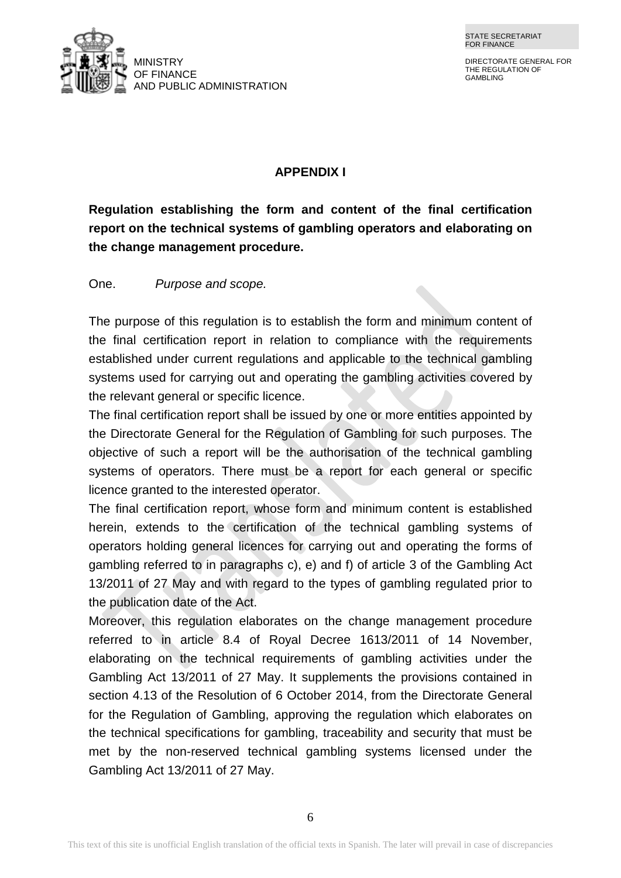

#### **APPENDIX I**

**Regulation establishing the form and content of the final certification report on the technical systems of gambling operators and elaborating on the change management procedure.**

One. *Purpose and scope.*

The purpose of this regulation is to establish the form and minimum content of the final certification report in relation to compliance with the requirements established under current regulations and applicable to the technical gambling systems used for carrying out and operating the gambling activities covered by the relevant general or specific licence.

The final certification report shall be issued by one or more entities appointed by the Directorate General for the Regulation of Gambling for such purposes. The objective of such a report will be the authorisation of the technical gambling systems of operators. There must be a report for each general or specific licence granted to the interested operator.

The final certification report, whose form and minimum content is established herein, extends to the certification of the technical gambling systems of operators holding general licences for carrying out and operating the forms of gambling referred to in paragraphs c), e) and f) of article 3 of the Gambling Act 13/2011 of 27 May and with regard to the types of gambling regulated prior to the publication date of the Act.

Moreover, this regulation elaborates on the change management procedure referred to in article 8.4 of Royal Decree 1613/2011 of 14 November, elaborating on the technical requirements of gambling activities under the Gambling Act 13/2011 of 27 May. It supplements the provisions contained in section 4.13 of the Resolution of 6 October 2014, from the Directorate General for the Regulation of Gambling, approving the regulation which elaborates on the technical specifications for gambling, traceability and security that must be met by the non-reserved technical gambling systems licensed under the Gambling Act 13/2011 of 27 May.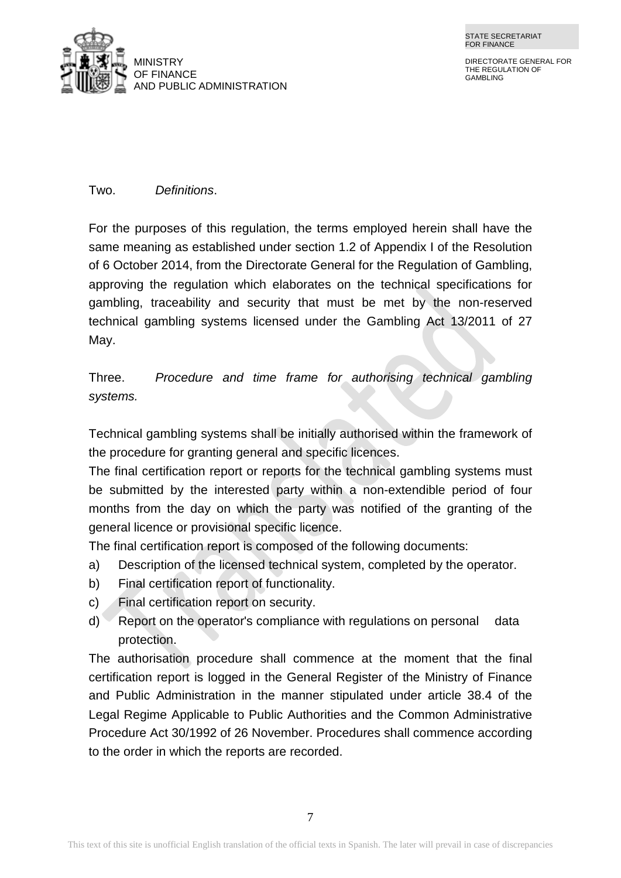

#### Two. *Definitions*.

For the purposes of this regulation, the terms employed herein shall have the same meaning as established under section 1.2 of Appendix I of the Resolution of 6 October 2014, from the Directorate General for the Regulation of Gambling, approving the regulation which elaborates on the technical specifications for gambling, traceability and security that must be met by the non-reserved technical gambling systems licensed under the Gambling Act 13/2011 of 27 May.

Three. *Procedure and time frame for authorising technical gambling systems.*

Technical gambling systems shall be initially authorised within the framework of the procedure for granting general and specific licences.

The final certification report or reports for the technical gambling systems must be submitted by the interested party within a non-extendible period of four months from the day on which the party was notified of the granting of the general licence or provisional specific licence.

The final certification report is composed of the following documents:

- a) Description of the licensed technical system, completed by the operator.
- b) Final certification report of functionality.
- c) Final certification report on security.
- d) Report on the operator's compliance with regulations on personal data protection.

The authorisation procedure shall commence at the moment that the final certification report is logged in the General Register of the Ministry of Finance and Public Administration in the manner stipulated under article 38.4 of the Legal Regime Applicable to Public Authorities and the Common Administrative Procedure Act 30/1992 of 26 November. Procedures shall commence according to the order in which the reports are recorded.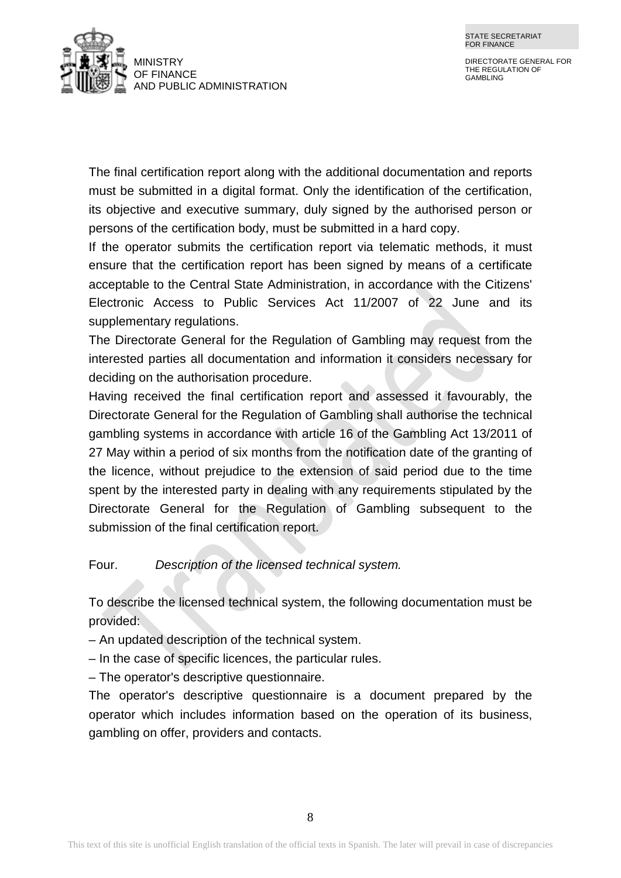

The final certification report along with the additional documentation and reports must be submitted in a digital format. Only the identification of the certification, its objective and executive summary, duly signed by the authorised person or persons of the certification body, must be submitted in a hard copy.

If the operator submits the certification report via telematic methods, it must ensure that the certification report has been signed by means of a certificate acceptable to the Central State Administration, in accordance with the Citizens' Electronic Access to Public Services Act 11/2007 of 22 June and its supplementary regulations.

The Directorate General for the Regulation of Gambling may request from the interested parties all documentation and information it considers necessary for deciding on the authorisation procedure.

Having received the final certification report and assessed it favourably, the Directorate General for the Regulation of Gambling shall authorise the technical gambling systems in accordance with article 16 of the Gambling Act 13/2011 of 27 May within a period of six months from the notification date of the granting of the licence, without prejudice to the extension of said period due to the time spent by the interested party in dealing with any requirements stipulated by the Directorate General for the Regulation of Gambling subsequent to the submission of the final certification report.

Four. *Description of the licensed technical system.*

To describe the licensed technical system, the following documentation must be provided:

– An updated description of the technical system.

– In the case of specific licences, the particular rules.

– The operator's descriptive questionnaire.

The operator's descriptive questionnaire is a document prepared by the operator which includes information based on the operation of its business, gambling on offer, providers and contacts.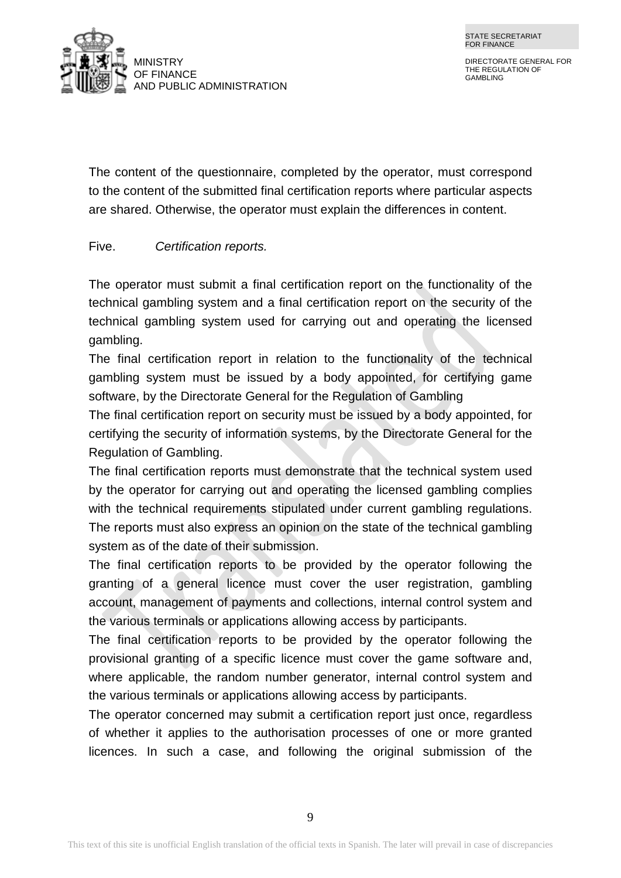

The content of the questionnaire, completed by the operator, must correspond to the content of the submitted final certification reports where particular aspects are shared. Otherwise, the operator must explain the differences in content.

#### Five. *Certification reports.*

The operator must submit a final certification report on the functionality of the technical gambling system and a final certification report on the security of the technical gambling system used for carrying out and operating the licensed gambling.

The final certification report in relation to the functionality of the technical gambling system must be issued by a body appointed, for certifying game software, by the Directorate General for the Regulation of Gambling

The final certification report on security must be issued by a body appointed, for certifying the security of information systems, by the Directorate General for the Regulation of Gambling.

The final certification reports must demonstrate that the technical system used by the operator for carrying out and operating the licensed gambling complies with the technical requirements stipulated under current gambling regulations. The reports must also express an opinion on the state of the technical gambling system as of the date of their submission.

The final certification reports to be provided by the operator following the granting of a general licence must cover the user registration, gambling account, management of payments and collections, internal control system and the various terminals or applications allowing access by participants.

The final certification reports to be provided by the operator following the provisional granting of a specific licence must cover the game software and, where applicable, the random number generator, internal control system and the various terminals or applications allowing access by participants.

The operator concerned may submit a certification report just once, regardless of whether it applies to the authorisation processes of one or more granted licences. In such a case, and following the original submission of the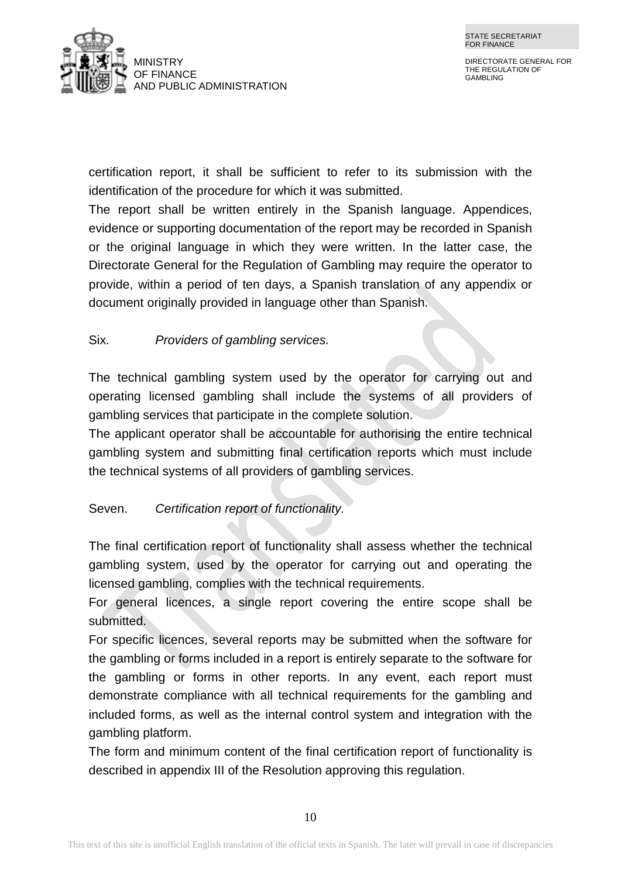

certification report, it shall be sufficient to refer to its submission with the identification of the procedure for which it was submitted.

The report shall be written entirely in the Spanish language. Appendices, evidence or supporting documentation of the report may be recorded in Spanish or the original language in which they were written. In the latter case, the Directorate General for the Regulation of Gambling may require the operator to provide, within a period of ten days, a Spanish translation of any appendix or document originally provided in language other than Spanish.

### Six. *Providers of gambling services.*

The technical gambling system used by the operator for carrying out and operating licensed gambling shall include the systems of all providers of gambling services that participate in the complete solution.

The applicant operator shall be accountable for authorising the entire technical gambling system and submitting final certification reports which must include the technical systems of all providers of gambling services.

### Seven. *Certification report of functionality.*

The final certification report of functionality shall assess whether the technical gambling system, used by the operator for carrying out and operating the licensed gambling, complies with the technical requirements.

For general licences, a single report covering the entire scope shall be submitted.

For specific licences, several reports may be submitted when the software for the gambling or forms included in a report is entirely separate to the software for the gambling or forms in other reports. In any event, each report must demonstrate compliance with all technical requirements for the gambling and included forms, as well as the internal control system and integration with the gambling platform.

The form and minimum content of the final certification report of functionality is described in appendix III of the Resolution approving this regulation.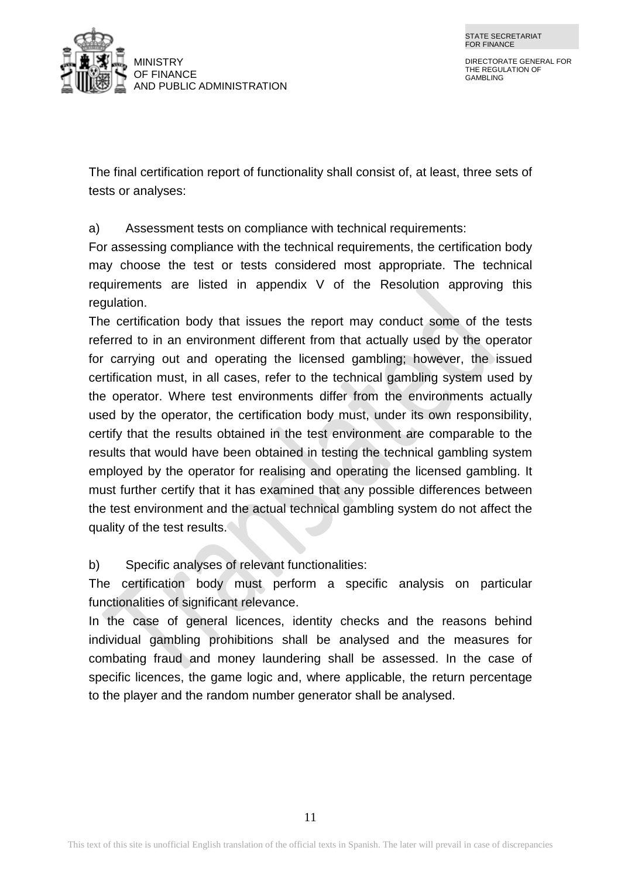

The final certification report of functionality shall consist of, at least, three sets of tests or analyses:

a) Assessment tests on compliance with technical requirements:

For assessing compliance with the technical requirements, the certification body may choose the test or tests considered most appropriate. The technical requirements are listed in appendix V of the Resolution approving this regulation.

The certification body that issues the report may conduct some of the tests referred to in an environment different from that actually used by the operator for carrying out and operating the licensed gambling; however, the issued certification must, in all cases, refer to the technical gambling system used by the operator. Where test environments differ from the environments actually used by the operator, the certification body must, under its own responsibility, certify that the results obtained in the test environment are comparable to the results that would have been obtained in testing the technical gambling system employed by the operator for realising and operating the licensed gambling. It must further certify that it has examined that any possible differences between the test environment and the actual technical gambling system do not affect the quality of the test results.

b) Specific analyses of relevant functionalities:

The certification body must perform a specific analysis on particular functionalities of significant relevance.

In the case of general licences, identity checks and the reasons behind individual gambling prohibitions shall be analysed and the measures for combating fraud and money laundering shall be assessed. In the case of specific licences, the game logic and, where applicable, the return percentage to the player and the random number generator shall be analysed.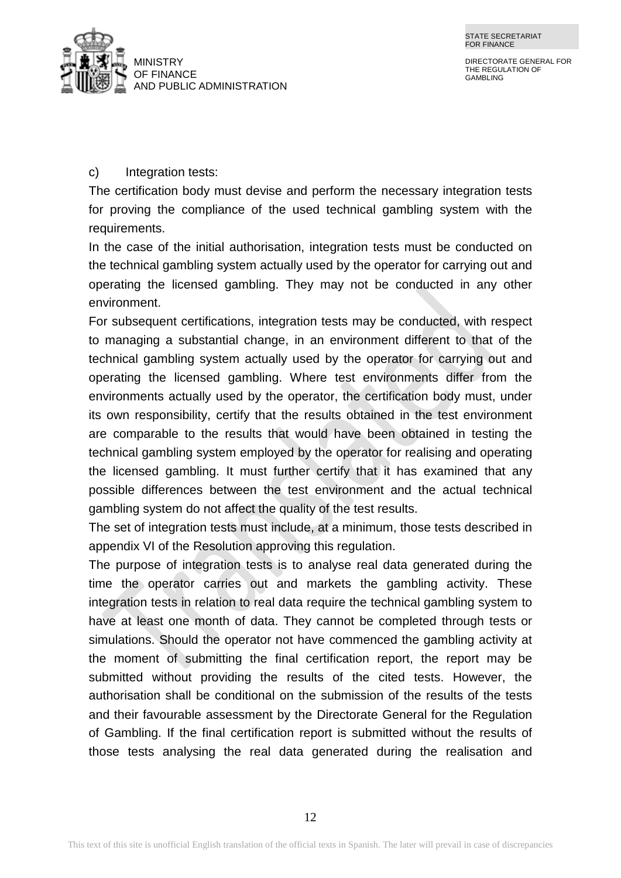

c) Integration tests:

The certification body must devise and perform the necessary integration tests for proving the compliance of the used technical gambling system with the requirements.

In the case of the initial authorisation, integration tests must be conducted on the technical gambling system actually used by the operator for carrying out and operating the licensed gambling. They may not be conducted in any other environment.

For subsequent certifications, integration tests may be conducted, with respect to managing a substantial change, in an environment different to that of the technical gambling system actually used by the operator for carrying out and operating the licensed gambling. Where test environments differ from the environments actually used by the operator, the certification body must, under its own responsibility, certify that the results obtained in the test environment are comparable to the results that would have been obtained in testing the technical gambling system employed by the operator for realising and operating the licensed gambling. It must further certify that it has examined that any possible differences between the test environment and the actual technical gambling system do not affect the quality of the test results.

The set of integration tests must include, at a minimum, those tests described in appendix VI of the Resolution approving this regulation.

The purpose of integration tests is to analyse real data generated during the time the operator carries out and markets the gambling activity. These integration tests in relation to real data require the technical gambling system to have at least one month of data. They cannot be completed through tests or simulations. Should the operator not have commenced the gambling activity at the moment of submitting the final certification report, the report may be submitted without providing the results of the cited tests. However, the authorisation shall be conditional on the submission of the results of the tests and their favourable assessment by the Directorate General for the Regulation of Gambling. If the final certification report is submitted without the results of those tests analysing the real data generated during the realisation and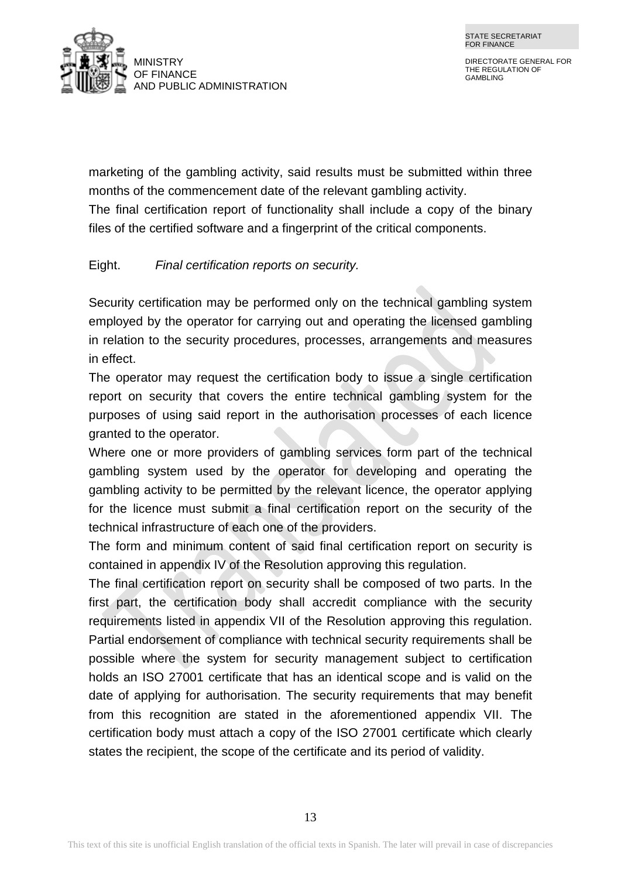STATE SECRETARIAT FOR FINANCE



DIRECTORATE GENERAL FOR THE REGULATION OF GAMBLING

marketing of the gambling activity, said results must be submitted within three months of the commencement date of the relevant gambling activity. The final certification report of functionality shall include a copy of the binary files of the certified software and a fingerprint of the critical components.

Eight. *Final certification reports on security.*

Security certification may be performed only on the technical gambling system employed by the operator for carrying out and operating the licensed gambling in relation to the security procedures, processes, arrangements and measures in effect.

The operator may request the certification body to issue a single certification report on security that covers the entire technical gambling system for the purposes of using said report in the authorisation processes of each licence granted to the operator.

Where one or more providers of gambling services form part of the technical gambling system used by the operator for developing and operating the gambling activity to be permitted by the relevant licence, the operator applying for the licence must submit a final certification report on the security of the technical infrastructure of each one of the providers.

The form and minimum content of said final certification report on security is contained in appendix IV of the Resolution approving this regulation.

The final certification report on security shall be composed of two parts. In the first part, the certification body shall accredit compliance with the security requirements listed in appendix VII of the Resolution approving this regulation. Partial endorsement of compliance with technical security requirements shall be possible where the system for security management subject to certification holds an ISO 27001 certificate that has an identical scope and is valid on the date of applying for authorisation. The security requirements that may benefit from this recognition are stated in the aforementioned appendix VII. The certification body must attach a copy of the ISO 27001 certificate which clearly states the recipient, the scope of the certificate and its period of validity.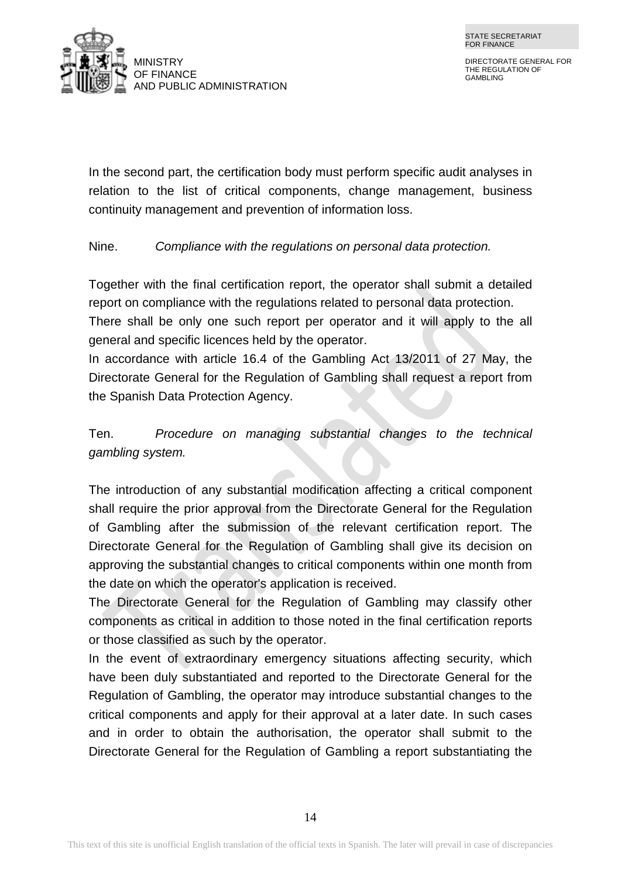

In the second part, the certification body must perform specific audit analyses in relation to the list of critical components, change management, business continuity management and prevention of information loss.

Nine. *Compliance with the regulations on personal data protection.*

Together with the final certification report, the operator shall submit a detailed report on compliance with the regulations related to personal data protection.

There shall be only one such report per operator and it will apply to the all general and specific licences held by the operator.

In accordance with article 16.4 of the Gambling Act 13/2011 of 27 May, the Directorate General for the Regulation of Gambling shall request a report from the Spanish Data Protection Agency.

Ten. *Procedure on managing substantial changes to the technical gambling system.*

The introduction of any substantial modification affecting a critical component shall require the prior approval from the Directorate General for the Regulation of Gambling after the submission of the relevant certification report. The Directorate General for the Regulation of Gambling shall give its decision on approving the substantial changes to critical components within one month from the date on which the operator's application is received.

The Directorate General for the Regulation of Gambling may classify other components as critical in addition to those noted in the final certification reports or those classified as such by the operator.

In the event of extraordinary emergency situations affecting security, which have been duly substantiated and reported to the Directorate General for the Regulation of Gambling, the operator may introduce substantial changes to the critical components and apply for their approval at a later date. In such cases and in order to obtain the authorisation, the operator shall submit to the Directorate General for the Regulation of Gambling a report substantiating the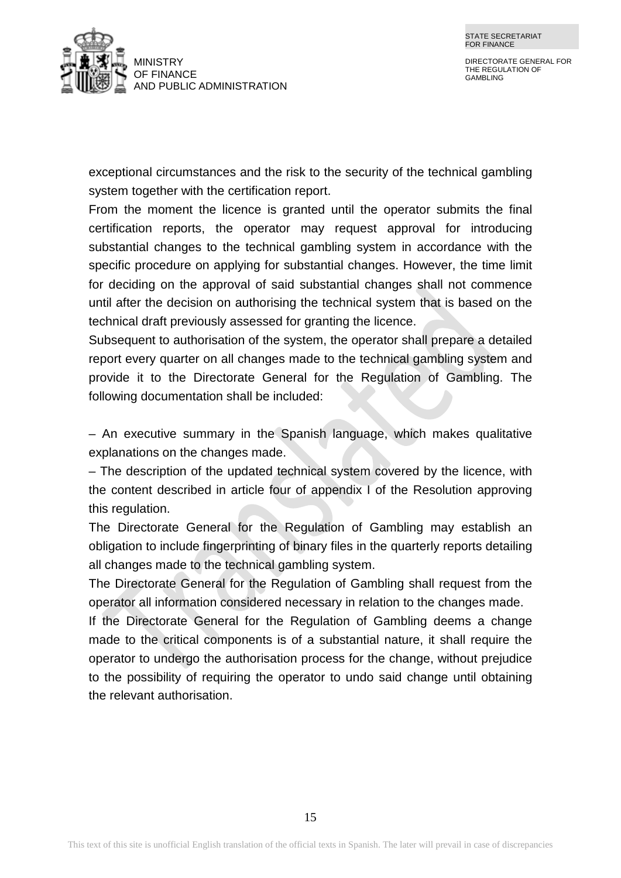

exceptional circumstances and the risk to the security of the technical gambling system together with the certification report.

From the moment the licence is granted until the operator submits the final certification reports, the operator may request approval for introducing substantial changes to the technical gambling system in accordance with the specific procedure on applying for substantial changes. However, the time limit for deciding on the approval of said substantial changes shall not commence until after the decision on authorising the technical system that is based on the technical draft previously assessed for granting the licence.

Subsequent to authorisation of the system, the operator shall prepare a detailed report every quarter on all changes made to the technical gambling system and provide it to the Directorate General for the Regulation of Gambling. The following documentation shall be included:

– An executive summary in the Spanish language, which makes qualitative explanations on the changes made.

– The description of the updated technical system covered by the licence, with the content described in article four of appendix I of the Resolution approving this regulation.

The Directorate General for the Regulation of Gambling may establish an obligation to include fingerprinting of binary files in the quarterly reports detailing all changes made to the technical gambling system.

The Directorate General for the Regulation of Gambling shall request from the operator all information considered necessary in relation to the changes made.

If the Directorate General for the Regulation of Gambling deems a change made to the critical components is of a substantial nature, it shall require the operator to undergo the authorisation process for the change, without prejudice to the possibility of requiring the operator to undo said change until obtaining the relevant authorisation.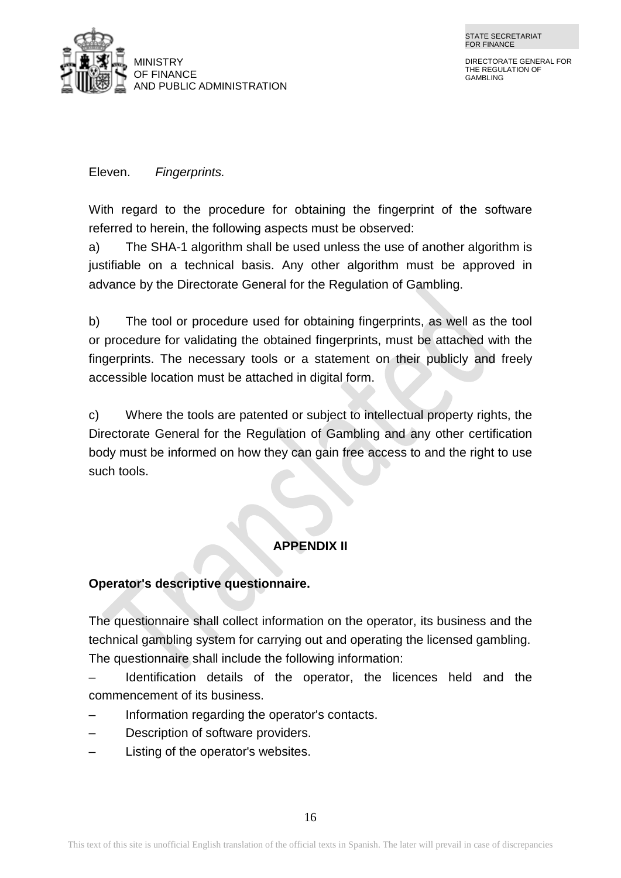

Eleven. *Fingerprints.*

With regard to the procedure for obtaining the fingerprint of the software referred to herein, the following aspects must be observed:

a) The SHA-1 algorithm shall be used unless the use of another algorithm is justifiable on a technical basis. Any other algorithm must be approved in advance by the Directorate General for the Regulation of Gambling.

b) The tool or procedure used for obtaining fingerprints, as well as the tool or procedure for validating the obtained fingerprints, must be attached with the fingerprints. The necessary tools or a statement on their publicly and freely accessible location must be attached in digital form.

c) Where the tools are patented or subject to intellectual property rights, the Directorate General for the Regulation of Gambling and any other certification body must be informed on how they can gain free access to and the right to use such tools.

## **APPENDIX II**

### **Operator's descriptive questionnaire.**

The questionnaire shall collect information on the operator, its business and the technical gambling system for carrying out and operating the licensed gambling. The questionnaire shall include the following information:

– Identification details of the operator, the licences held and the commencement of its business.

- Information regarding the operator's contacts.
- Description of software providers.
- Listing of the operator's websites.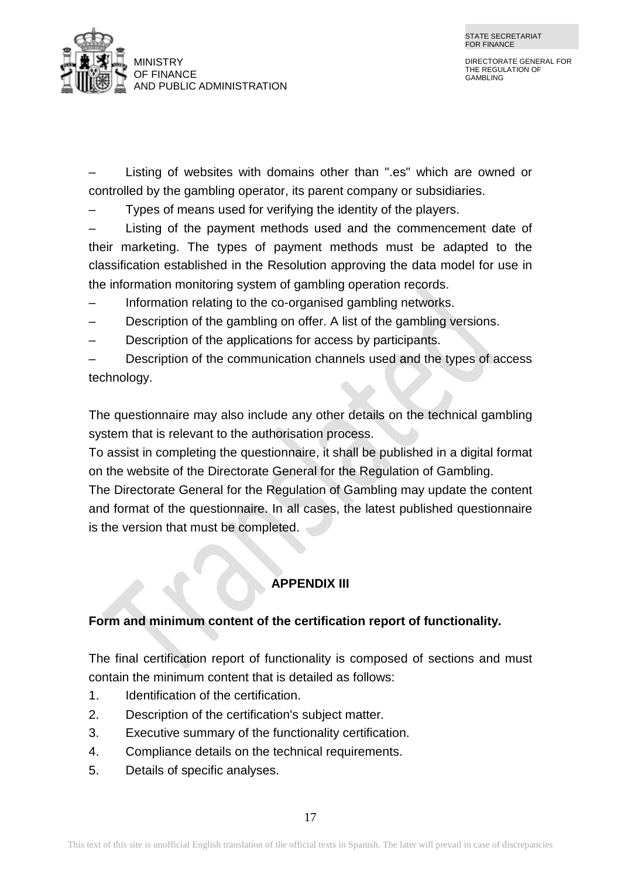

Listing of websites with domains other than ".es" which are owned or controlled by the gambling operator, its parent company or subsidiaries.

– Types of means used for verifying the identity of the players.

Listing of the payment methods used and the commencement date of their marketing. The types of payment methods must be adapted to the classification established in the Resolution approving the data model for use in the information monitoring system of gambling operation records.

Information relating to the co-organised gambling networks.

- Description of the gambling on offer. A list of the gambling versions.
- Description of the applications for access by participants.

– Description of the communication channels used and the types of access technology.

The questionnaire may also include any other details on the technical gambling system that is relevant to the authorisation process.

To assist in completing the questionnaire, it shall be published in a digital format on the website of the Directorate General for the Regulation of Gambling.

The Directorate General for the Regulation of Gambling may update the content and format of the questionnaire. In all cases, the latest published questionnaire is the version that must be completed.

### **APPENDIX III**

#### **Form and minimum content of the certification report of functionality.**

The final certification report of functionality is composed of sections and must contain the minimum content that is detailed as follows:

- 1. Identification of the certification.
- 2. Description of the certification's subject matter.
- 3. Executive summary of the functionality certification.
- 4. Compliance details on the technical requirements.
- 5. Details of specific analyses.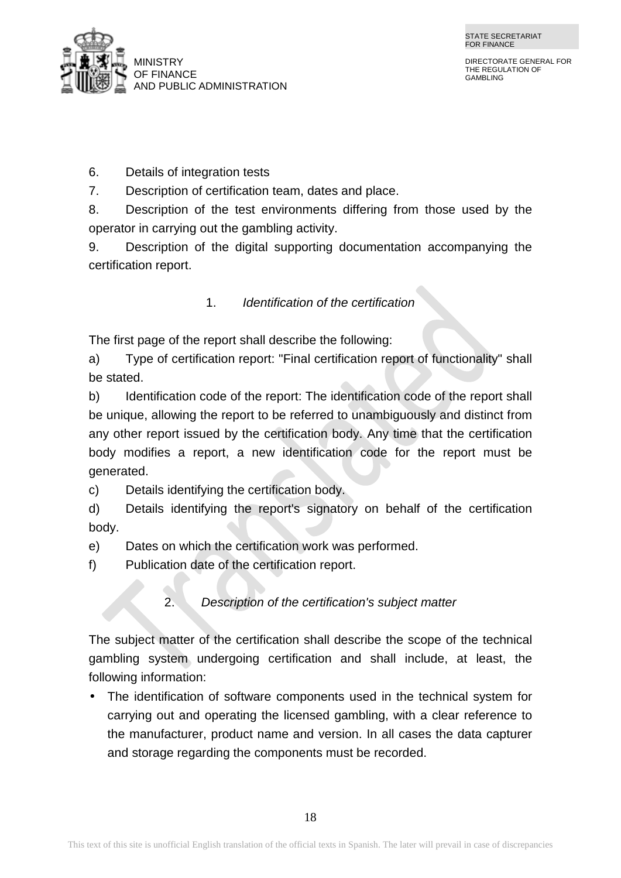

6. Details of integration tests

7. Description of certification team, dates and place.

8. Description of the test environments differing from those used by the operator in carrying out the gambling activity.

9. Description of the digital supporting documentation accompanying the certification report.

## 1. *Identification of the certification*

The first page of the report shall describe the following:

a) Type of certification report: "Final certification report of functionality" shall be stated.

b) Identification code of the report: The identification code of the report shall be unique, allowing the report to be referred to unambiguously and distinct from any other report issued by the certification body. Any time that the certification body modifies a report, a new identification code for the report must be generated.

c) Details identifying the certification body.

d) Details identifying the report's signatory on behalf of the certification body.

e) Dates on which the certification work was performed.

f) Publication date of the certification report.

2. *Description of the certification's subject matter*

The subject matter of the certification shall describe the scope of the technical gambling system undergoing certification and shall include, at least, the following information:

The identification of software components used in the technical system for carrying out and operating the licensed gambling, with a clear reference to the manufacturer, product name and version. In all cases the data capturer and storage regarding the components must be recorded.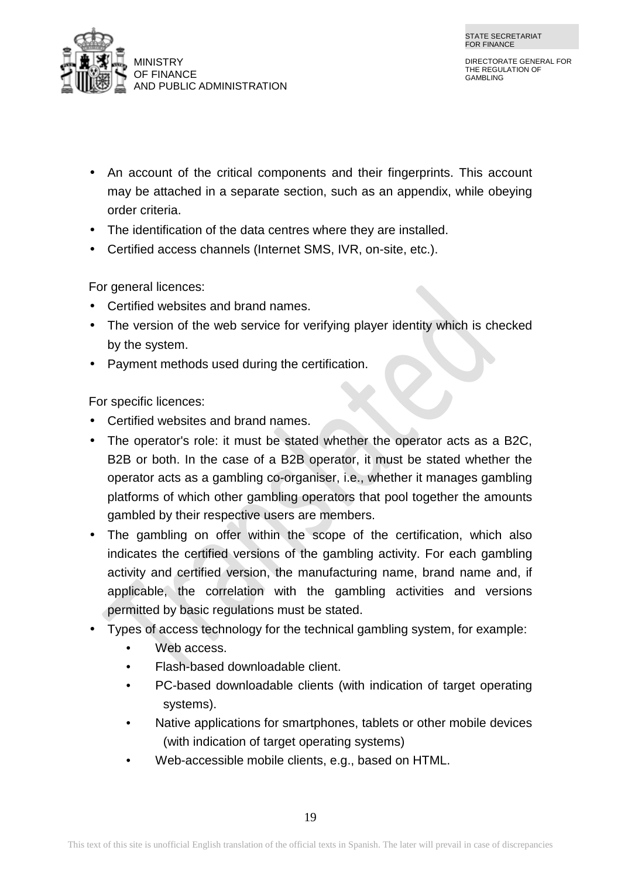

- An account of the critical components and their fingerprints. This account may be attached in a separate section, such as an appendix, while obeying order criteria.
- The identification of the data centres where they are installed.
- Certified access channels (Internet SMS, IVR, on-site, etc.).

For general licences:

- Certified websites and brand names.
- The version of the web service for verifying player identity which is checked by the system.
- Payment methods used during the certification.  $\mathbf{r}$

For specific licences:

- Certified websites and brand names.
- The operator's role: it must be stated whether the operator acts as a B2C, B2B or both. In the case of a B2B operator, it must be stated whether the operator acts as a gambling co-organiser, i.e., whether it manages gambling platforms of which other gambling operators that pool together the amounts gambled by their respective users are members.
- The gambling on offer within the scope of the certification, which also indicates the certified versions of the gambling activity. For each gambling activity and certified version, the manufacturing name, brand name and, if applicable, the correlation with the gambling activities and versions permitted by basic regulations must be stated.
- Types of access technology for the technical gambling system, for example:
	- Web access
	- Flash-based downloadable client.
	- PC-based downloadable clients (with indication of target operating systems).
	- Native applications for smartphones, tablets or other mobile devices (with indication of target operating systems)
	- Web-accessible mobile clients, e.g., based on HTML.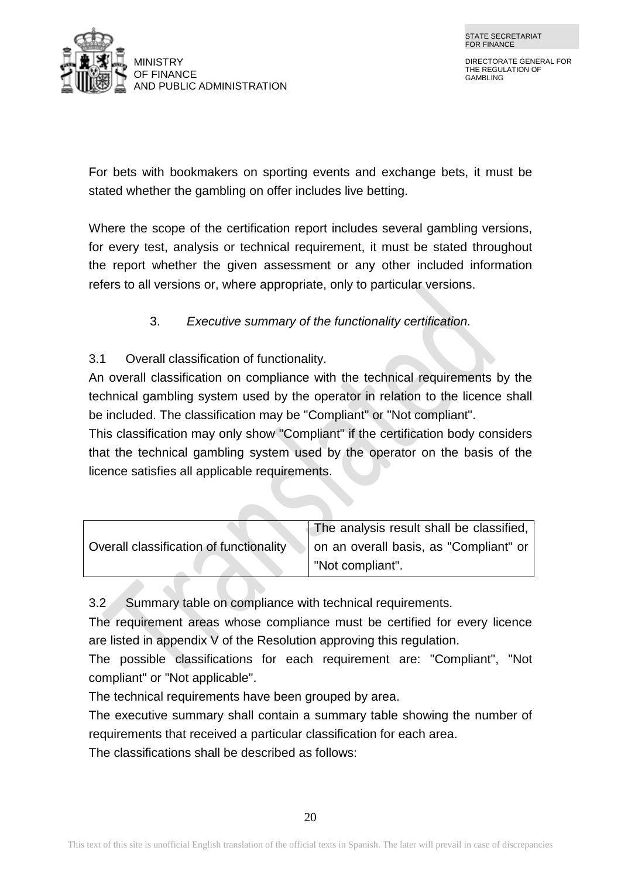

For bets with bookmakers on sporting events and exchange bets, it must be stated whether the gambling on offer includes live betting.

Where the scope of the certification report includes several gambling versions, for every test, analysis or technical requirement, it must be stated throughout the report whether the given assessment or any other included information refers to all versions or, where appropriate, only to particular versions.

3. *Executive summary of the functionality certification.*

### 3.1 Overall classification of functionality.

An overall classification on compliance with the technical requirements by the technical gambling system used by the operator in relation to the licence shall be included. The classification may be "Compliant" or "Not compliant".

This classification may only show "Compliant" if the certification body considers that the technical gambling system used by the operator on the basis of the licence satisfies all applicable requirements.

|                                         | The analysis result shall be classified, |
|-----------------------------------------|------------------------------------------|
| Overall classification of functionality | on an overall basis, as "Compliant" or   |
|                                         | "Not compliant".                         |

3.2 Summary table on compliance with technical requirements.

The requirement areas whose compliance must be certified for every licence are listed in appendix V of the Resolution approving this regulation.

The possible classifications for each requirement are: "Compliant", "Not compliant" or "Not applicable".

The technical requirements have been grouped by area.

The executive summary shall contain a summary table showing the number of requirements that received a particular classification for each area.

The classifications shall be described as follows: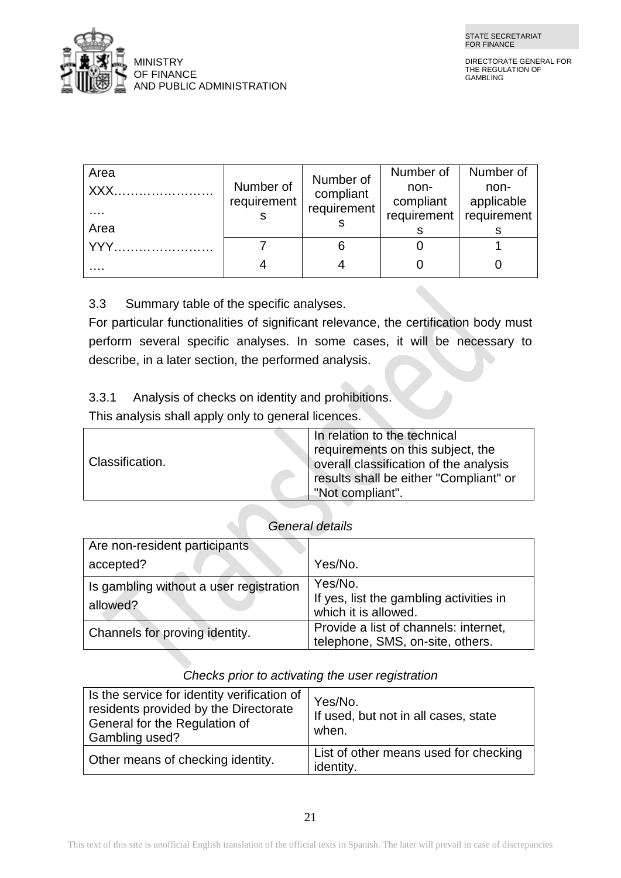

| Area       |                          | Number of                | Number of                        | Number of                         |
|------------|--------------------------|--------------------------|----------------------------------|-----------------------------------|
| XXX.<br>.  | Number of<br>requirement | compliant<br>requirement | non-<br>compliant<br>requirement | non-<br>applicable<br>requirement |
| Area       |                          |                          |                                  |                                   |
| <b>YYY</b> |                          | 6                        |                                  |                                   |
| .          |                          |                          |                                  |                                   |

3.3 Summary table of the specific analyses.

For particular functionalities of significant relevance, the certification body must perform several specific analyses. In some cases, it will be necessary to describe, in a later section, the performed analysis.

## 3.3.1 Analysis of checks on identity and prohibitions.

This analysis shall apply only to general licences.

|                 | In relation to the technical           |
|-----------------|----------------------------------------|
|                 | requirements on this subject, the      |
| Classification. | overall classification of the analysis |
|                 | results shall be either "Compliant" or |
|                 | "Not compliant".                       |

## *General details*

| Are non-resident participants                       |                                                                            |
|-----------------------------------------------------|----------------------------------------------------------------------------|
| accepted?                                           | Yes/No.                                                                    |
| Is gambling without a user registration<br>allowed? | Yes/No.<br>If yes, list the gambling activities in<br>which it is allowed. |
| Channels for proving identity.                      | Provide a list of channels: internet,<br>telephone, SMS, on-site, others.  |

| Is the service for identity verification of<br>residents provided by the Directorate<br>General for the Regulation of<br>Gambling used? | Yes/No.<br>If used, but not in all cases, state<br>when. |
|-----------------------------------------------------------------------------------------------------------------------------------------|----------------------------------------------------------|
| Other means of checking identity.                                                                                                       | List of other means used for checking<br>identity.       |

*Checks prior to activating the user registration*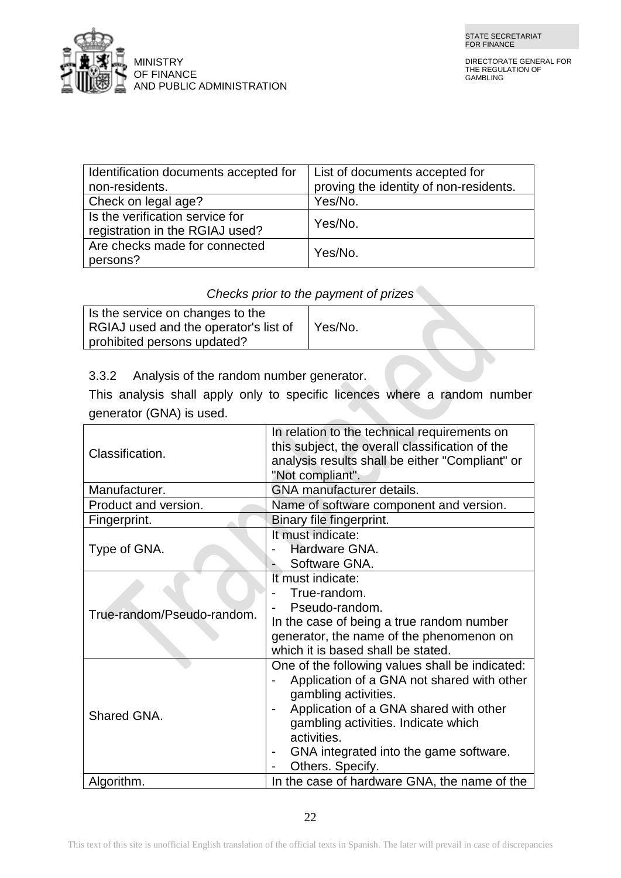



| Identification documents accepted for | List of documents accepted for         |
|---------------------------------------|----------------------------------------|
| non-residents.                        | proving the identity of non-residents. |
| Check on legal age?                   | Yes/No.                                |
| Is the verification service for       | Yes/No.                                |
| registration in the RGIAJ used?       |                                        |
| Are checks made for connected         | Yes/No.                                |
| persons?                              |                                        |

#### *Checks prior to the payment of prizes*

| Is the service on changes to the<br>RGIAJ used and the operator's list of<br>prohibited persons updated? | Yes/No. |  |
|----------------------------------------------------------------------------------------------------------|---------|--|
|----------------------------------------------------------------------------------------------------------|---------|--|

3.3.2 Analysis of the random number generator.

This analysis shall apply only to specific licences where a random number generator (GNA) is used.

| Classification.            | In relation to the technical requirements on<br>this subject, the overall classification of the<br>analysis results shall be either "Compliant" or<br>"Not compliant".                                                                                                                                                                                            |
|----------------------------|-------------------------------------------------------------------------------------------------------------------------------------------------------------------------------------------------------------------------------------------------------------------------------------------------------------------------------------------------------------------|
| Manufacturer.              | GNA manufacturer details.                                                                                                                                                                                                                                                                                                                                         |
| Product and version.       | Name of software component and version.                                                                                                                                                                                                                                                                                                                           |
| Fingerprint.               | Binary file fingerprint.                                                                                                                                                                                                                                                                                                                                          |
| Type of GNA.               | It must indicate:<br>Hardware GNA.<br>Software GNA.                                                                                                                                                                                                                                                                                                               |
| True-random/Pseudo-random. | It must indicate:<br>True-random.<br>Pseudo-random.<br>In the case of being a true random number<br>generator, the name of the phenomenon on<br>which it is based shall be stated.                                                                                                                                                                                |
| Shared GNA.                | One of the following values shall be indicated:<br>Application of a GNA not shared with other<br>gambling activities.<br>Application of a GNA shared with other<br>$\qquad \qquad \blacksquare$<br>gambling activities. Indicate which<br>activities.<br>GNA integrated into the game software.<br>$\overline{\phantom{a}}$<br>Others. Specify.<br>$\overline{a}$ |
| Algorithm.                 | In the case of hardware GNA, the name of the                                                                                                                                                                                                                                                                                                                      |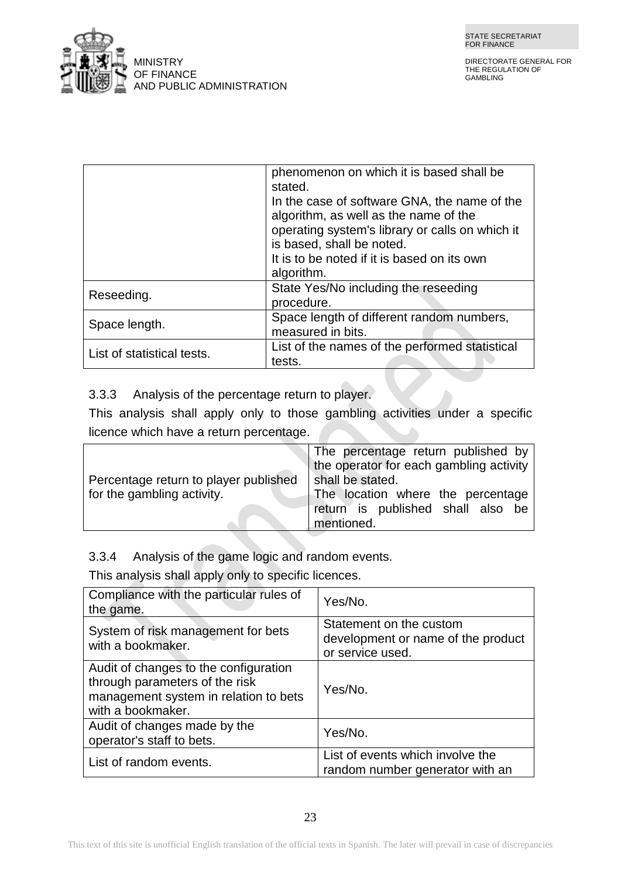

|                            | phenomenon on which it is based shall be<br>stated.<br>In the case of software GNA, the name of the<br>algorithm, as well as the name of the<br>operating system's library or calls on which it<br>is based, shall be noted.<br>It is to be noted if it is based on its own<br>algorithm. |
|----------------------------|-------------------------------------------------------------------------------------------------------------------------------------------------------------------------------------------------------------------------------------------------------------------------------------------|
| Reseeding.                 | State Yes/No including the reseeding<br>procedure.                                                                                                                                                                                                                                        |
| Space length.              | Space length of different random numbers,<br>measured in bits.                                                                                                                                                                                                                            |
| List of statistical tests. | List of the names of the performed statistical<br>tests.                                                                                                                                                                                                                                  |

## 3.3.3 Analysis of the percentage return to player.

This analysis shall apply only to those gambling activities under a specific licence which have a return percentage.

|                                                          | The percentage return published by      |
|----------------------------------------------------------|-----------------------------------------|
|                                                          | the operator for each gambling activity |
| Percentage return to player published   shall be stated. |                                         |
| for the gambling activity.                               | The location where the percentage       |
|                                                          | return is published shall also be       |
|                                                          | mentioned.                              |

#### 3.3.4 Analysis of the game logic and random events.

This analysis shall apply only to specific licences.

| Compliance with the particular rules of<br>the game.                                                                                  | Yes/No.                                                                           |
|---------------------------------------------------------------------------------------------------------------------------------------|-----------------------------------------------------------------------------------|
| System of risk management for bets<br>with a bookmaker.                                                                               | Statement on the custom<br>development or name of the product<br>or service used. |
| Audit of changes to the configuration<br>through parameters of the risk<br>management system in relation to bets<br>with a bookmaker. | Yes/No.                                                                           |
| Audit of changes made by the<br>operator's staff to bets.                                                                             | Yes/No.                                                                           |
| List of random events.                                                                                                                | List of events which involve the<br>random number generator with an               |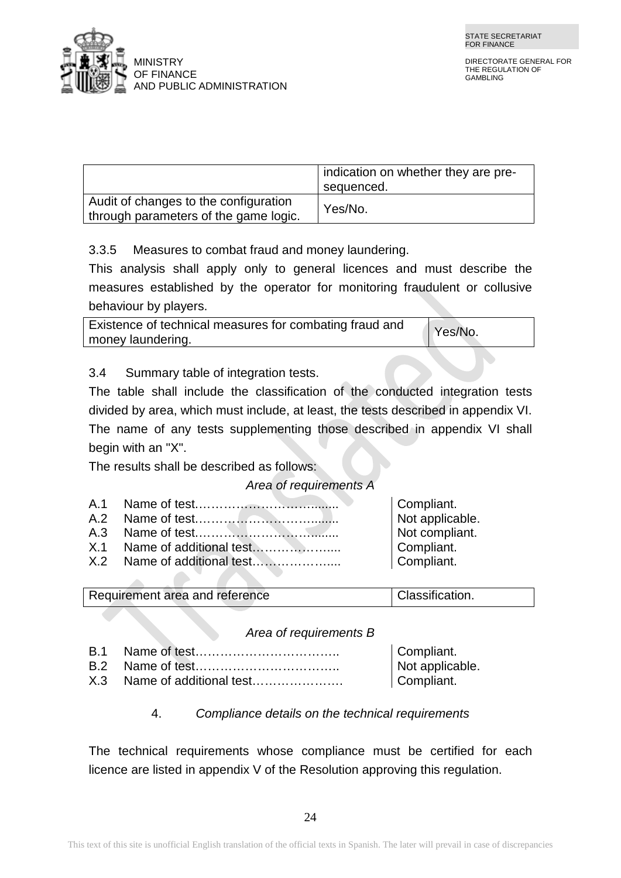

|                                                                                | indication on whether they are pre-<br>sequenced. |
|--------------------------------------------------------------------------------|---------------------------------------------------|
| Audit of changes to the configuration<br>through parameters of the game logic. | Yes/No.                                           |

3.3.5 Measures to combat fraud and money laundering.

This analysis shall apply only to general licences and must describe the measures established by the operator for monitoring fraudulent or collusive behaviour by players.

| Existence of technical measures for combating fraud and | Yes/No. |
|---------------------------------------------------------|---------|
| money laundering.                                       |         |

3.4 Summary table of integration tests.

The table shall include the classification of the conducted integration tests divided by area, which must include, at least, the tests described in appendix VI. The name of any tests supplementing those described in appendix VI shall begin with an "X".

The results shall be described as follows:

#### *Area of requirements A*

|  | Compliant.      |
|--|-----------------|
|  | Not applicable. |
|  | Not compliant.  |
|  | Compliant.      |
|  | Compliant.      |
|  |                 |

Requirement area and reference **Classification**.

#### *Area of requirements B*

|  | Compliant.      |
|--|-----------------|
|  | Not applicable. |
|  | Compliant.      |

#### 4. *Compliance details on the technical requirements*

The technical requirements whose compliance must be certified for each licence are listed in appendix V of the Resolution approving this regulation.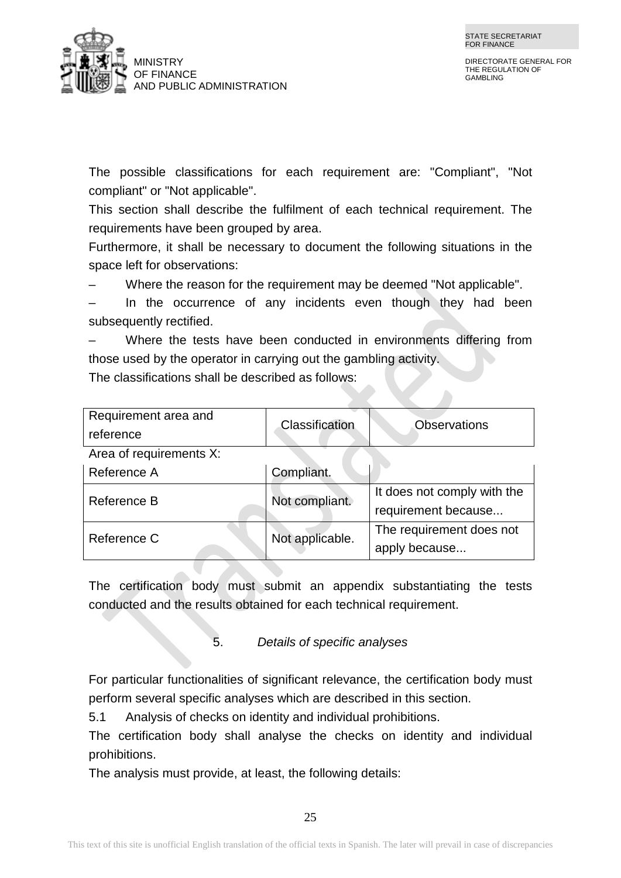

The possible classifications for each requirement are: "Compliant", "Not compliant" or "Not applicable".

This section shall describe the fulfilment of each technical requirement. The requirements have been grouped by area.

Furthermore, it shall be necessary to document the following situations in the space left for observations:

– Where the reason for the requirement may be deemed "Not applicable".

In the occurrence of any incidents even though they had been subsequently rectified.

Where the tests have been conducted in environments differing from those used by the operator in carrying out the gambling activity.

The classifications shall be described as follows:

| Requirement area and<br>reference | Classification  | <b>Observations</b>                                |
|-----------------------------------|-----------------|----------------------------------------------------|
| Area of requirements X:           |                 |                                                    |
| Reference A                       | Compliant.      |                                                    |
| Reference B                       | Not compliant.  | It does not comply with the<br>requirement because |
| Reference C                       | Not applicable. | The requirement does not<br>apply because          |

The certification body must submit an appendix substantiating the tests conducted and the results obtained for each technical requirement.

5. *Details of specific analyses*

For particular functionalities of significant relevance, the certification body must perform several specific analyses which are described in this section.

5.1 Analysis of checks on identity and individual prohibitions.

The certification body shall analyse the checks on identity and individual prohibitions.

The analysis must provide, at least, the following details: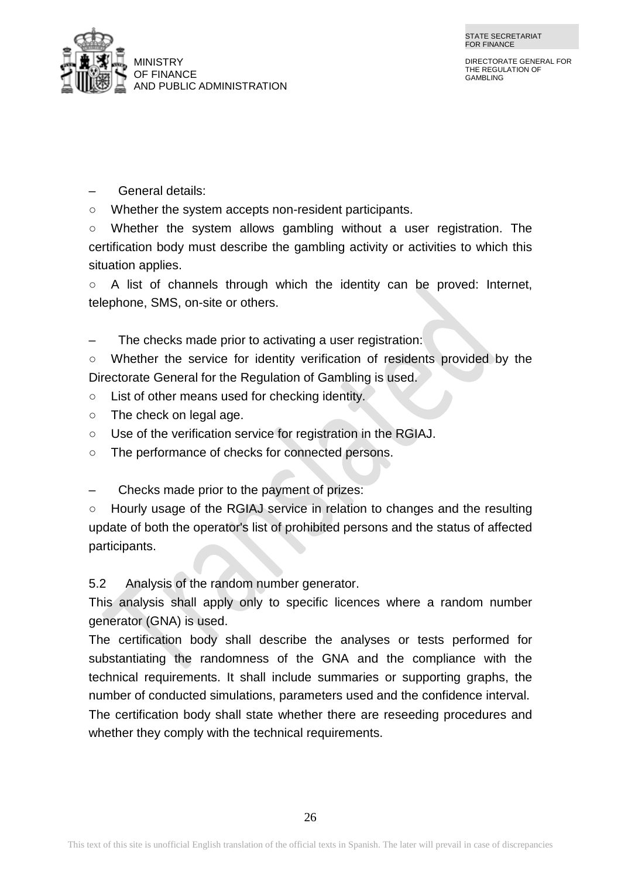

- General details:
- Whether the system accepts non-resident participants.

○ Whether the system allows gambling without a user registration. The certification body must describe the gambling activity or activities to which this situation applies.

 $\circ$  A list of channels through which the identity can be proved: Internet, telephone, SMS, on-site or others.

The checks made prior to activating a user registration:

○ Whether the service for identity verification of residents provided by the Directorate General for the Regulation of Gambling is used.

- List of other means used for checking identity.
- $\circ$  The check on legal age.
- Use of the verification service for registration in the RGIAJ.
- The performance of checks for connected persons.
- Checks made prior to the payment of prizes:

○ Hourly usage of the RGIAJ service in relation to changes and the resulting update of both the operator's list of prohibited persons and the status of affected participants.

5.2 Analysis of the random number generator.

This analysis shall apply only to specific licences where a random number generator (GNA) is used.

The certification body shall describe the analyses or tests performed for substantiating the randomness of the GNA and the compliance with the technical requirements. It shall include summaries or supporting graphs, the number of conducted simulations, parameters used and the confidence interval.

The certification body shall state whether there are reseeding procedures and whether they comply with the technical requirements.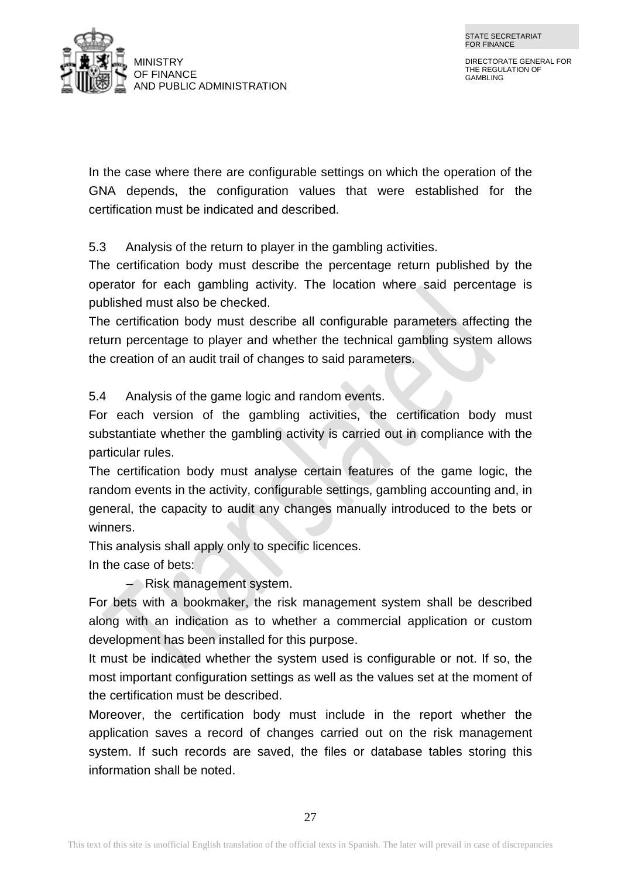

In the case where there are configurable settings on which the operation of the GNA depends, the configuration values that were established for the certification must be indicated and described.

5.3 Analysis of the return to player in the gambling activities.

The certification body must describe the percentage return published by the operator for each gambling activity. The location where said percentage is published must also be checked.

The certification body must describe all configurable parameters affecting the return percentage to player and whether the technical gambling system allows the creation of an audit trail of changes to said parameters.

5.4 Analysis of the game logic and random events.

For each version of the gambling activities, the certification body must substantiate whether the gambling activity is carried out in compliance with the particular rules.

The certification body must analyse certain features of the game logic, the random events in the activity, configurable settings, gambling accounting and, in general, the capacity to audit any changes manually introduced to the bets or winners.

This analysis shall apply only to specific licences.

In the case of bets:

– Risk management system.

For bets with a bookmaker, the risk management system shall be described along with an indication as to whether a commercial application or custom development has been installed for this purpose.

It must be indicated whether the system used is configurable or not. If so, the most important configuration settings as well as the values set at the moment of the certification must be described.

Moreover, the certification body must include in the report whether the application saves a record of changes carried out on the risk management system. If such records are saved, the files or database tables storing this information shall be noted.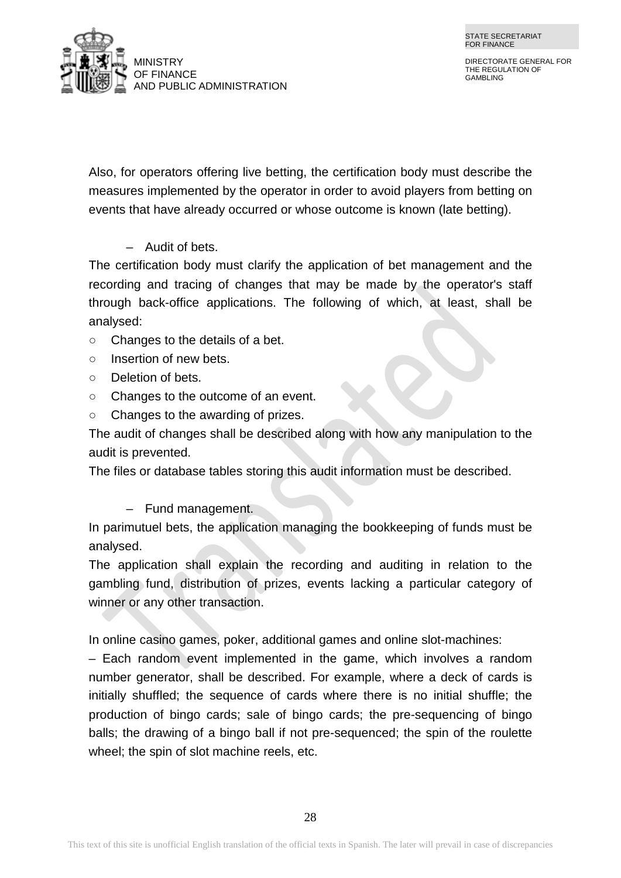

Also, for operators offering live betting, the certification body must describe the measures implemented by the operator in order to avoid players from betting on events that have already occurred or whose outcome is known (late betting).

– Audit of bets.

The certification body must clarify the application of bet management and the recording and tracing of changes that may be made by the operator's staff through back-office applications. The following of which, at least, shall be analysed:

- Changes to the details of a bet.
- o Insertion of new bets.
- Deletion of bets.
- Changes to the outcome of an event.
- Changes to the awarding of prizes.

The audit of changes shall be described along with how any manipulation to the audit is prevented.

The files or database tables storing this audit information must be described.

– Fund management.

In parimutuel bets, the application managing the bookkeeping of funds must be analysed.

The application shall explain the recording and auditing in relation to the gambling fund, distribution of prizes, events lacking a particular category of winner or any other transaction.

In online casino games, poker, additional games and online slot-machines:

– Each random event implemented in the game, which involves a random number generator, shall be described. For example, where a deck of cards is initially shuffled; the sequence of cards where there is no initial shuffle; the production of bingo cards; sale of bingo cards; the pre-sequencing of bingo balls; the drawing of a bingo ball if not pre-sequenced; the spin of the roulette wheel; the spin of slot machine reels, etc.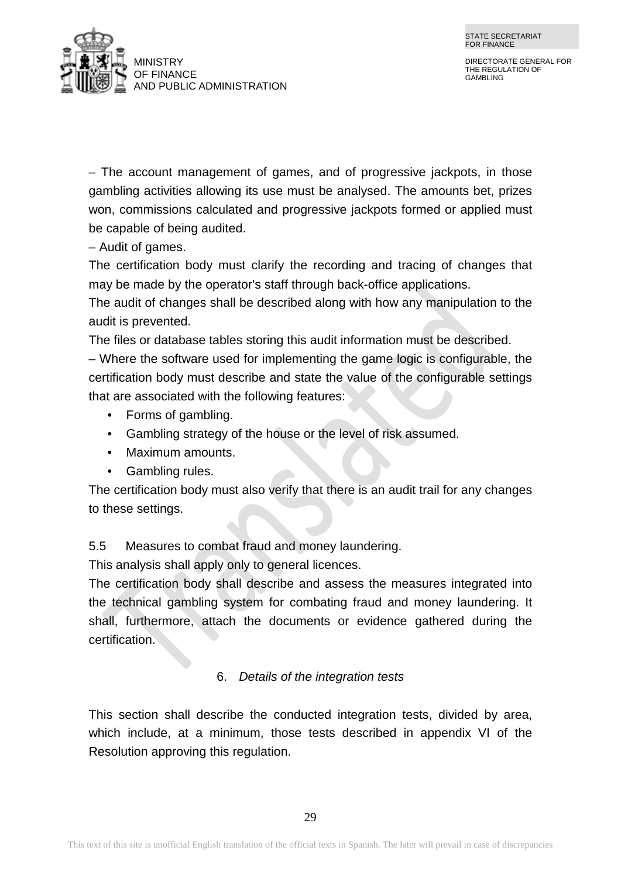

– The account management of games, and of progressive jackpots, in those gambling activities allowing its use must be analysed. The amounts bet, prizes won, commissions calculated and progressive jackpots formed or applied must be capable of being audited.

– Audit of games.

The certification body must clarify the recording and tracing of changes that may be made by the operator's staff through back-office applications.

The audit of changes shall be described along with how any manipulation to the audit is prevented.

The files or database tables storing this audit information must be described.

– Where the software used for implementing the game logic is configurable, the certification body must describe and state the value of the configurable settings that are associated with the following features:

- Forms of gambling.
- Gambling strategy of the house or the level of risk assumed.
- Maximum amounts.
- Gambling rules.

The certification body must also verify that there is an audit trail for any changes to these settings.

5.5 Measures to combat fraud and money laundering.

This analysis shall apply only to general licences.

The certification body shall describe and assess the measures integrated into the technical gambling system for combating fraud and money laundering. It shall, furthermore, attach the documents or evidence gathered during the certification.

6. *Details of the integration tests*

This section shall describe the conducted integration tests, divided by area, which include, at a minimum, those tests described in appendix VI of the Resolution approving this regulation.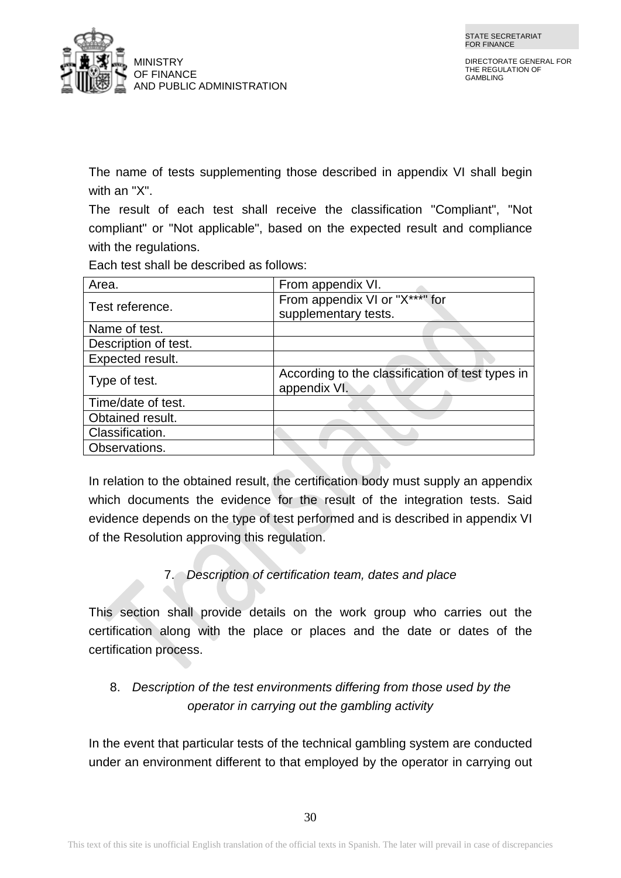

The name of tests supplementing those described in appendix VI shall begin with an "X"

The result of each test shall receive the classification "Compliant", "Not compliant" or "Not applicable", based on the expected result and compliance with the regulations.

Each test shall be described as follows:

| Area.                | From appendix VI.                                                |
|----------------------|------------------------------------------------------------------|
| Test reference.      | From appendix VI or "X***" for                                   |
|                      | supplementary tests.                                             |
| Name of test.        |                                                                  |
| Description of test. |                                                                  |
| Expected result.     |                                                                  |
| Type of test.        | According to the classification of test types in<br>appendix VI. |
| Time/date of test.   |                                                                  |
| Obtained result.     |                                                                  |
| Classification.      |                                                                  |
| Observations.        |                                                                  |

In relation to the obtained result, the certification body must supply an appendix which documents the evidence for the result of the integration tests. Said evidence depends on the type of test performed and is described in appendix VI of the Resolution approving this regulation.

### 7. *Description of certification team, dates and place*

This section shall provide details on the work group who carries out the certification along with the place or places and the date or dates of the certification process.

# 8. *Description of the test environments differing from those used by the operator in carrying out the gambling activity*

In the event that particular tests of the technical gambling system are conducted under an environment different to that employed by the operator in carrying out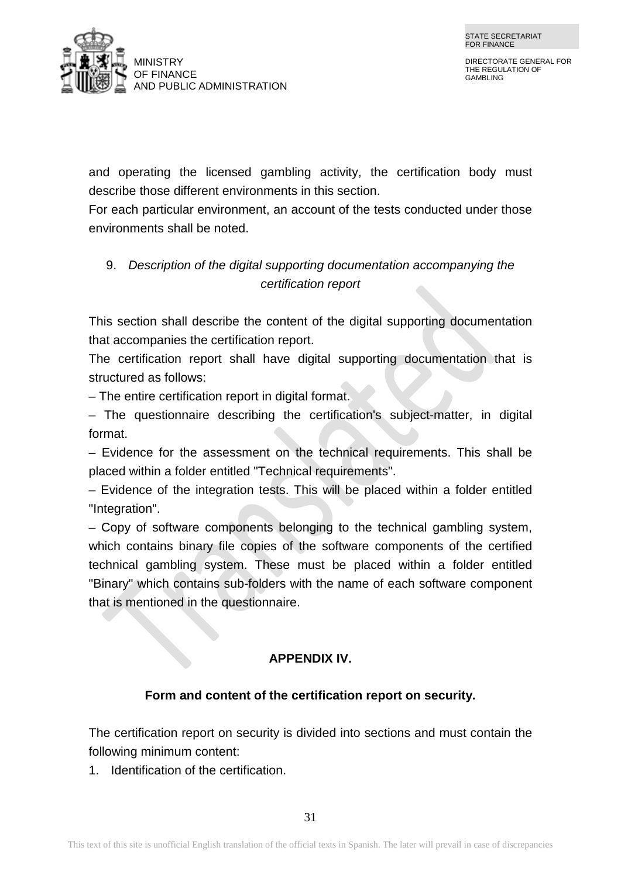

and operating the licensed gambling activity, the certification body must describe those different environments in this section.

For each particular environment, an account of the tests conducted under those environments shall be noted.

# 9. *Description of the digital supporting documentation accompanying the certification report*

This section shall describe the content of the digital supporting documentation that accompanies the certification report.

The certification report shall have digital supporting documentation that is structured as follows:

– The entire certification report in digital format.

– The questionnaire describing the certification's subject-matter, in digital format.

– Evidence for the assessment on the technical requirements. This shall be placed within a folder entitled "Technical requirements".

– Evidence of the integration tests. This will be placed within a folder entitled "Integration".

– Copy of software components belonging to the technical gambling system, which contains binary file copies of the software components of the certified technical gambling system. These must be placed within a folder entitled "Binary" which contains sub-folders with the name of each software component that is mentioned in the questionnaire.

## **APPENDIX IV.**

## **Form and content of the certification report on security.**

The certification report on security is divided into sections and must contain the following minimum content:

1. Identification of the certification.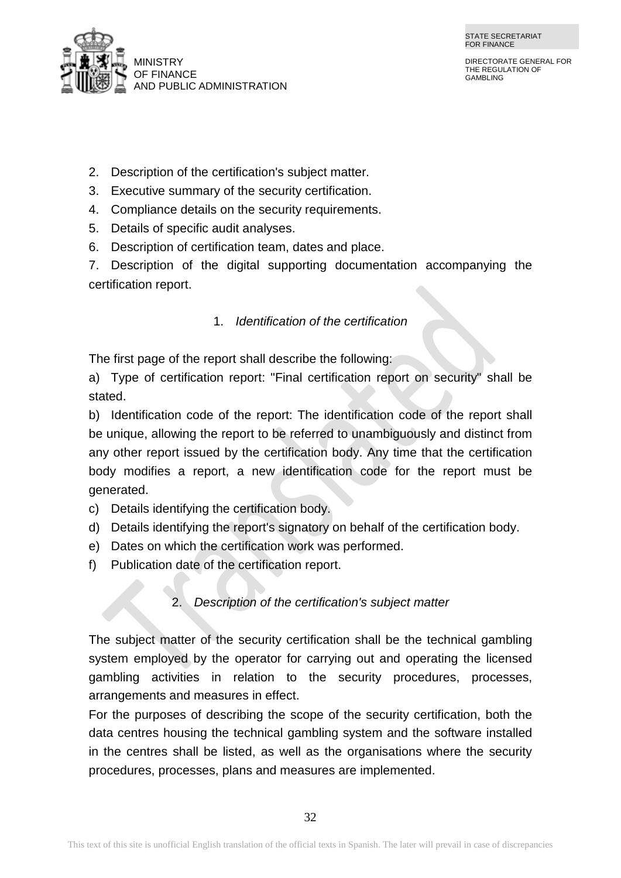

- 2. Description of the certification's subject matter.
- 3. Executive summary of the security certification.
- 4. Compliance details on the security requirements.
- 5. Details of specific audit analyses.
- 6. Description of certification team, dates and place.

7. Description of the digital supporting documentation accompanying the certification report.

#### 1. *Identification of the certification*

The first page of the report shall describe the following:

a) Type of certification report: "Final certification report on security" shall be stated.

b) Identification code of the report: The identification code of the report shall be unique, allowing the report to be referred to unambiguously and distinct from any other report issued by the certification body. Any time that the certification body modifies a report, a new identification code for the report must be generated.

- c) Details identifying the certification body.
- d) Details identifying the report's signatory on behalf of the certification body.
- e) Dates on which the certification work was performed.
- f) Publication date of the certification report.

### 2. *Description of the certification's subject matter*

The subject matter of the security certification shall be the technical gambling system employed by the operator for carrying out and operating the licensed gambling activities in relation to the security procedures, processes, arrangements and measures in effect.

For the purposes of describing the scope of the security certification, both the data centres housing the technical gambling system and the software installed in the centres shall be listed, as well as the organisations where the security procedures, processes, plans and measures are implemented.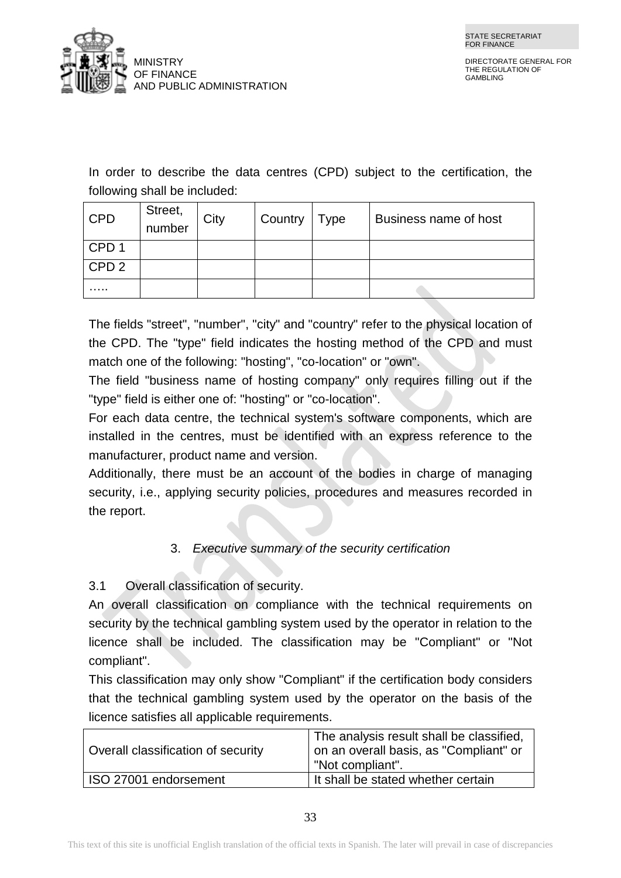

In order to describe the data centres (CPD) subject to the certification, the following shall be included:

| <b>CPD</b>       | Street,<br>number | City | Country   Type | Business name of host |
|------------------|-------------------|------|----------------|-----------------------|
| CPD <sub>1</sub> |                   |      |                |                       |
| CPD <sub>2</sub> |                   |      |                |                       |
| .                |                   |      |                |                       |

The fields "street", "number", "city" and "country" refer to the physical location of the CPD. The "type" field indicates the hosting method of the CPD and must match one of the following: "hosting", "co-location" or "own".

The field "business name of hosting company" only requires filling out if the "type" field is either one of: "hosting" or "co-location".

For each data centre, the technical system's software components, which are installed in the centres, must be identified with an express reference to the manufacturer, product name and version.

Additionally, there must be an account of the bodies in charge of managing security, i.e., applying security policies, procedures and measures recorded in the report.

## 3. *Executive summary of the security certification*

### 3.1 Overall classification of security.

An overall classification on compliance with the technical requirements on security by the technical gambling system used by the operator in relation to the licence shall be included. The classification may be "Compliant" or "Not compliant".

This classification may only show "Compliant" if the certification body considers that the technical gambling system used by the operator on the basis of the licence satisfies all applicable requirements.

| Overall classification of security | The analysis result shall be classified,<br>on an overall basis, as "Compliant" or<br>"Not compliant". |
|------------------------------------|--------------------------------------------------------------------------------------------------------|
| I ISO 27001 endorsement            | It shall be stated whether certain                                                                     |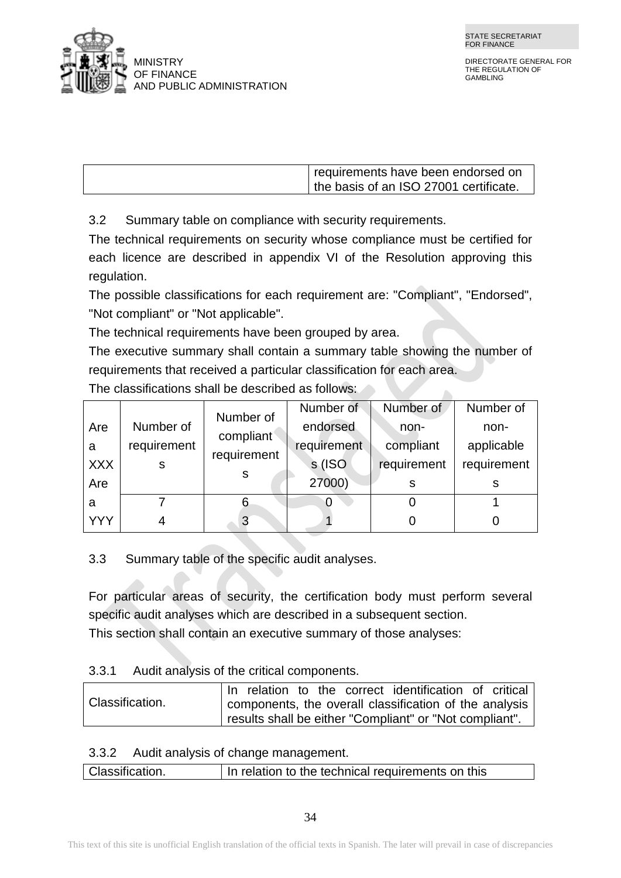

 $\triangle$ 

DIRECTORATE GENERAL FOR THE REGULATION OF GAMBLING

| I requirements have been endorsed on   |
|----------------------------------------|
| the basis of an ISO 27001 certificate. |

3.2 Summary table on compliance with security requirements.

The technical requirements on security whose compliance must be certified for each licence are described in appendix VI of the Resolution approving this regulation.

The possible classifications for each requirement are: "Compliant", "Endorsed", "Not compliant" or "Not applicable".

The technical requirements have been grouped by area.

The executive summary shall contain a summary table showing the number of requirements that received a particular classification for each area.

The classifications shall be described as follows:

|            |             | Number of   | Number of   | Number of   | Number of   |
|------------|-------------|-------------|-------------|-------------|-------------|
| Are        | Number of   |             | endorsed    | non-        | non-        |
| a          | requirement | compliant   | requirement | compliant   | applicable  |
| <b>XXX</b> | S           | requirement | s (ISO      | requirement | requirement |
| Are        |             | s           | 27000)      | s           | s           |
| a          |             | 6           |             |             |             |
| YYY        |             | 3           |             |             |             |

3.3 Summary table of the specific audit analyses.

For particular areas of security, the certification body must perform several specific audit analyses which are described in a subsequent section.

This section shall contain an executive summary of those analyses:

### 3.3.1 Audit analysis of the critical components.

|                 |  |  | In relation to the correct identification of critical   |  |
|-----------------|--|--|---------------------------------------------------------|--|
| Classification. |  |  | components, the overall classification of the analysis  |  |
|                 |  |  | results shall be either "Compliant" or "Not compliant". |  |

3.3.2 Audit analysis of change management.

| Classification.<br>In relation to the technical requirements on this |
|----------------------------------------------------------------------|
|----------------------------------------------------------------------|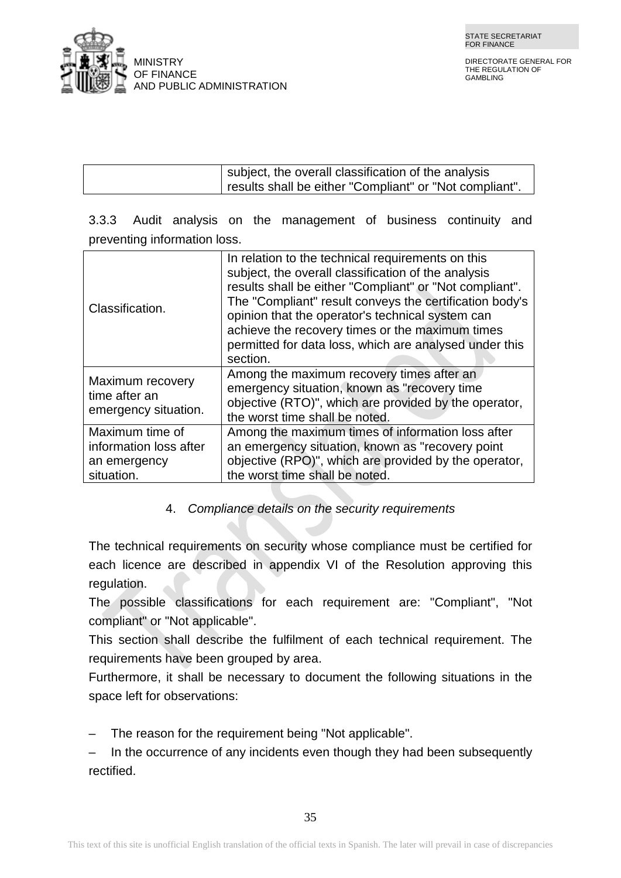

| I subject, the overall classification of the analysis   |
|---------------------------------------------------------|
| results shall be either "Compliant" or "Not compliant". |

3.3.3 Audit analysis on the management of business continuity and preventing information loss.

| Classification.                                                         | In relation to the technical requirements on this<br>subject, the overall classification of the analysis<br>results shall be either "Compliant" or "Not compliant".<br>The "Compliant" result conveys the certification body's<br>opinion that the operator's technical system can<br>achieve the recovery times or the maximum times<br>permitted for data loss, which are analysed under this<br>section. |
|-------------------------------------------------------------------------|-------------------------------------------------------------------------------------------------------------------------------------------------------------------------------------------------------------------------------------------------------------------------------------------------------------------------------------------------------------------------------------------------------------|
| Maximum recovery<br>time after an<br>emergency situation.               | Among the maximum recovery times after an<br>emergency situation, known as "recovery time<br>objective (RTO)", which are provided by the operator,<br>the worst time shall be noted.                                                                                                                                                                                                                        |
| Maximum time of<br>information loss after<br>an emergency<br>situation. | Among the maximum times of information loss after<br>an emergency situation, known as "recovery point<br>objective (RPO)", which are provided by the operator,<br>the worst time shall be noted.                                                                                                                                                                                                            |

### 4. *Compliance details on the security requirements*

The technical requirements on security whose compliance must be certified for each licence are described in appendix VI of the Resolution approving this regulation.

The possible classifications for each requirement are: "Compliant", "Not compliant" or "Not applicable".

This section shall describe the fulfilment of each technical requirement. The requirements have been grouped by area.

Furthermore, it shall be necessary to document the following situations in the space left for observations:

The reason for the requirement being "Not applicable".

In the occurrence of any incidents even though they had been subsequently rectified.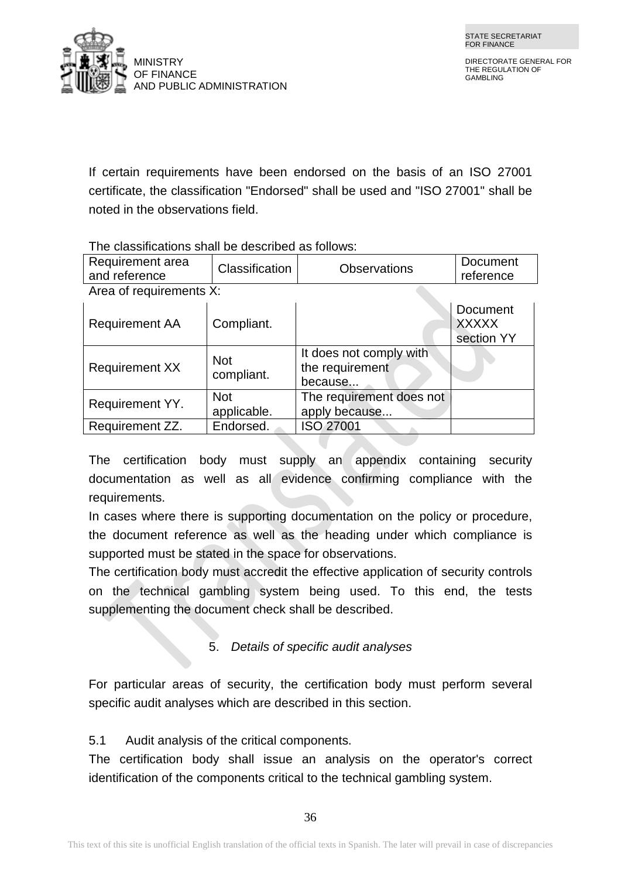

If certain requirements have been endorsed on the basis of an ISO 27001 certificate, the classification "Endorsed" shall be used and "ISO 27001" shall be noted in the observations field.

| Requirement area<br>and reference | <b>Classification</b>     | <b>Observations</b>                                   | <b>Document</b><br>reference                  |
|-----------------------------------|---------------------------|-------------------------------------------------------|-----------------------------------------------|
| Area of requirements X:           |                           |                                                       |                                               |
| <b>Requirement AA</b>             | Compliant.                |                                                       | <b>Document</b><br><b>XXXXX</b><br>section YY |
| <b>Requirement XX</b>             | <b>Not</b><br>compliant.  | It does not comply with<br>the requirement<br>because |                                               |
| Requirement YY.                   | <b>Not</b><br>applicable. | The requirement does not<br>apply because             |                                               |
| Requirement ZZ.                   | Endorsed.                 | ISO 27001                                             |                                               |

The classifications shall be described as follows:

The certification body must supply an appendix containing security documentation as well as all evidence confirming compliance with the requirements.

In cases where there is supporting documentation on the policy or procedure, the document reference as well as the heading under which compliance is supported must be stated in the space for observations.

The certification body must accredit the effective application of security controls on the technical gambling system being used. To this end, the tests supplementing the document check shall be described.

### 5. *Details of specific audit analyses*

For particular areas of security, the certification body must perform several specific audit analyses which are described in this section.

5.1 Audit analysis of the critical components.

The certification body shall issue an analysis on the operator's correct identification of the components critical to the technical gambling system.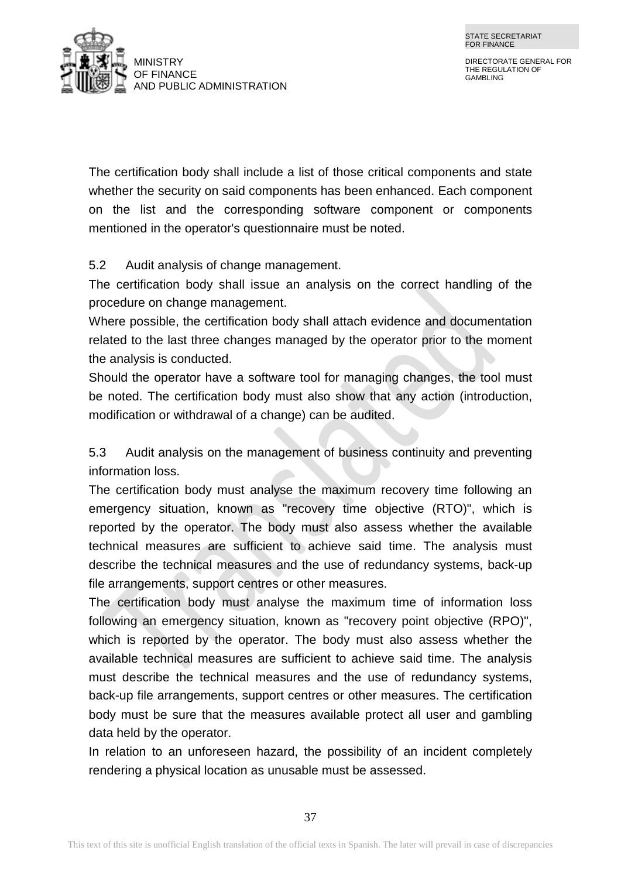

The certification body shall include a list of those critical components and state whether the security on said components has been enhanced. Each component on the list and the corresponding software component or components mentioned in the operator's questionnaire must be noted.

5.2 Audit analysis of change management.

The certification body shall issue an analysis on the correct handling of the procedure on change management.

Where possible, the certification body shall attach evidence and documentation related to the last three changes managed by the operator prior to the moment the analysis is conducted.

Should the operator have a software tool for managing changes, the tool must be noted. The certification body must also show that any action (introduction, modification or withdrawal of a change) can be audited.

5.3 Audit analysis on the management of business continuity and preventing information loss.

The certification body must analyse the maximum recovery time following an emergency situation, known as "recovery time objective (RTO)", which is reported by the operator. The body must also assess whether the available technical measures are sufficient to achieve said time. The analysis must describe the technical measures and the use of redundancy systems, back-up file arrangements, support centres or other measures.

The certification body must analyse the maximum time of information loss following an emergency situation, known as "recovery point objective (RPO)", which is reported by the operator. The body must also assess whether the available technical measures are sufficient to achieve said time. The analysis must describe the technical measures and the use of redundancy systems, back-up file arrangements, support centres or other measures. The certification body must be sure that the measures available protect all user and gambling data held by the operator.

In relation to an unforeseen hazard, the possibility of an incident completely rendering a physical location as unusable must be assessed.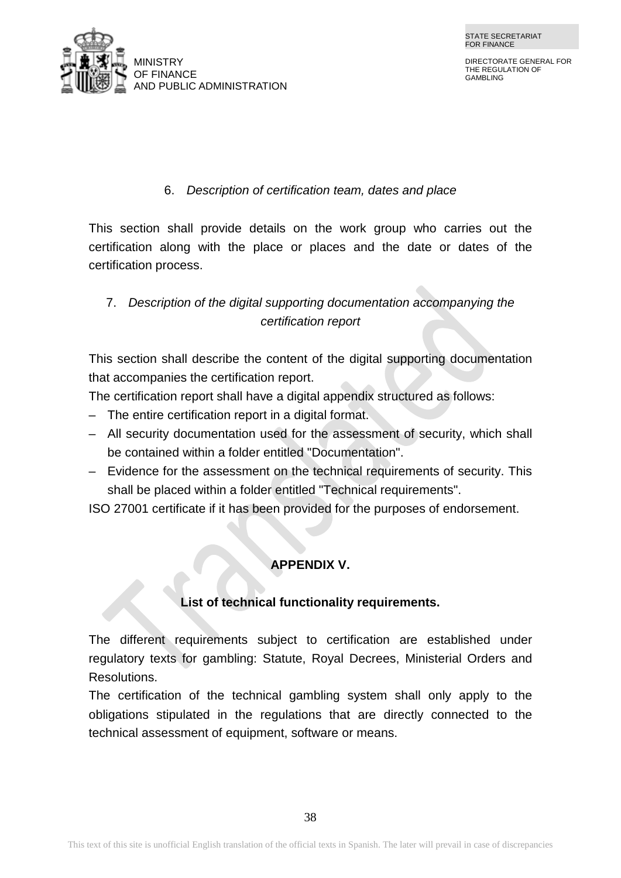

### 6. *Description of certification team, dates and place*

This section shall provide details on the work group who carries out the certification along with the place or places and the date or dates of the certification process.

## 7. *Description of the digital supporting documentation accompanying the certification report*

This section shall describe the content of the digital supporting documentation that accompanies the certification report.

The certification report shall have a digital appendix structured as follows:

- The entire certification report in a digital format.
- All security documentation used for the assessment of security, which shall be contained within a folder entitled "Documentation".
- Evidence for the assessment on the technical requirements of security. This shall be placed within a folder entitled "Technical requirements".

ISO 27001 certificate if it has been provided for the purposes of endorsement.

## **APPENDIX V.**

### **List of technical functionality requirements.**

The different requirements subject to certification are established under regulatory texts for gambling: Statute, Royal Decrees, Ministerial Orders and Resolutions.

The certification of the technical gambling system shall only apply to the obligations stipulated in the regulations that are directly connected to the technical assessment of equipment, software or means.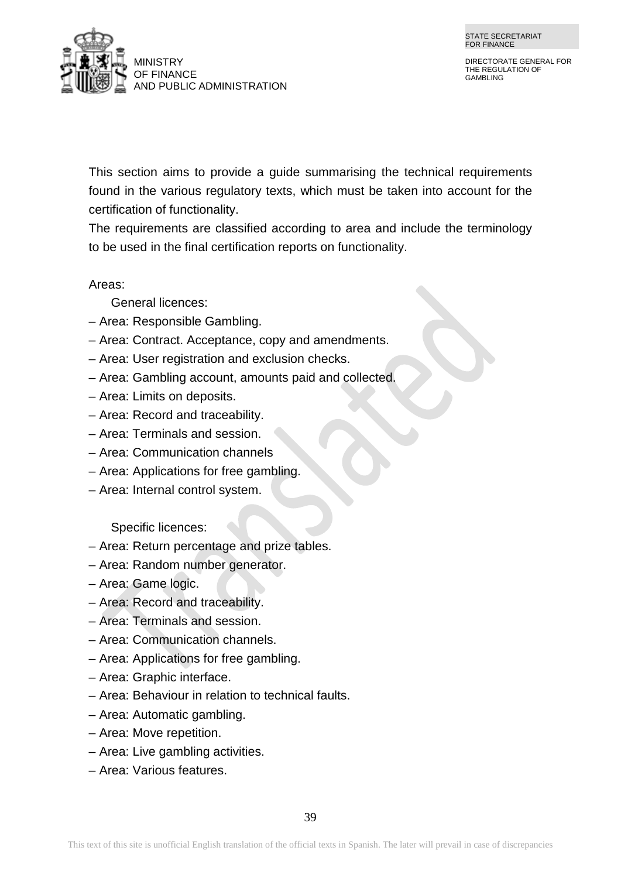

This section aims to provide a guide summarising the technical requirements found in the various regulatory texts, which must be taken into account for the certification of functionality.

The requirements are classified according to area and include the terminology to be used in the final certification reports on functionality.

Areas:

General licences:

- Area: Responsible Gambling.
- Area: Contract. Acceptance, copy and amendments.
- Area: User registration and exclusion checks.
- Area: Gambling account, amounts paid and collected.
- Area: Limits on deposits.
- Area: Record and traceability.
- Area: Terminals and session.
- Area: Communication channels
- Area: Applications for free gambling.
- Area: Internal control system.

Specific licences:

- Area: Return percentage and prize tables.
- Area: Random number generator.
- Area: Game logic.
- Area: Record and traceability.
- Area: Terminals and session.
- Area: Communication channels.
- Area: Applications for free gambling.
- Area: Graphic interface.
- Area: Behaviour in relation to technical faults.
- Area: Automatic gambling.
- Area: Move repetition.
- Area: Live gambling activities.
- Area: Various features.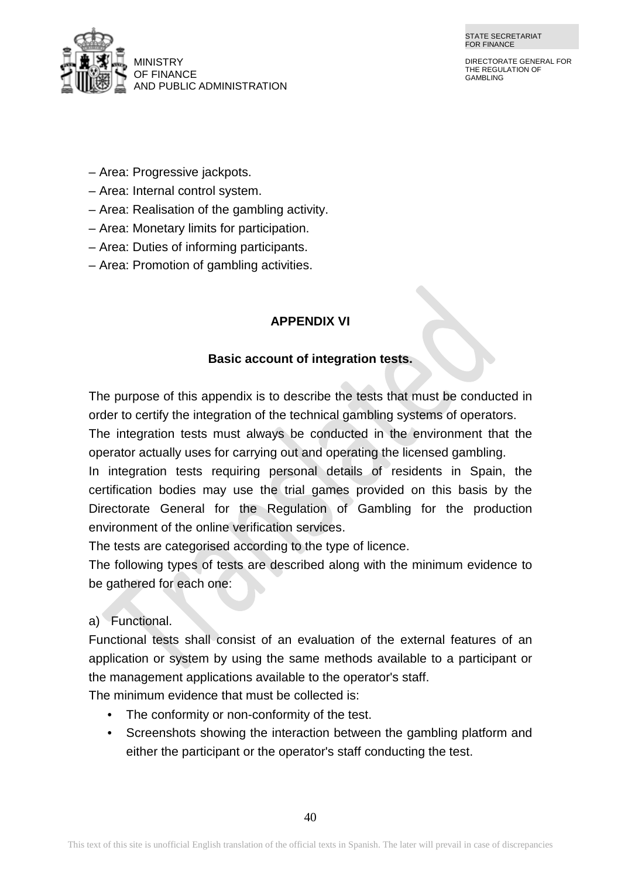



- Area: Progressive jackpots.
- Area: Internal control system.
- Area: Realisation of the gambling activity.
- Area: Monetary limits for participation.
- Area: Duties of informing participants.
- Area: Promotion of gambling activities.

## **APPENDIX VI**

## **Basic account of integration tests.**

The purpose of this appendix is to describe the tests that must be conducted in order to certify the integration of the technical gambling systems of operators.

The integration tests must always be conducted in the environment that the operator actually uses for carrying out and operating the licensed gambling.

In integration tests requiring personal details of residents in Spain, the certification bodies may use the trial games provided on this basis by the Directorate General for the Regulation of Gambling for the production environment of the online verification services.

The tests are categorised according to the type of licence.

The following types of tests are described along with the minimum evidence to be gathered for each one:

## a) Functional.

Functional tests shall consist of an evaluation of the external features of an application or system by using the same methods available to a participant or the management applications available to the operator's staff.

The minimum evidence that must be collected is:

- The conformity or non-conformity of the test.
- Screenshots showing the interaction between the gambling platform and either the participant or the operator's staff conducting the test.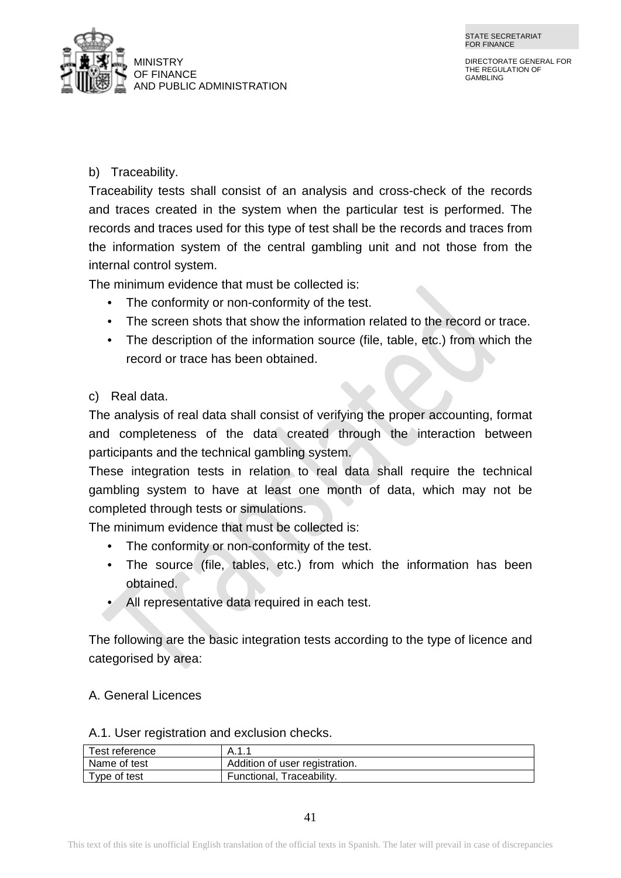

#### b) Traceability.

Traceability tests shall consist of an analysis and cross-check of the records and traces created in the system when the particular test is performed. The records and traces used for this type of test shall be the records and traces from the information system of the central gambling unit and not those from the internal control system.

The minimum evidence that must be collected is:

- The conformity or non-conformity of the test.
- The screen shots that show the information related to the record or trace.
- The description of the information source (file, table, etc.) from which the record or trace has been obtained.

### c) Real data.

The analysis of real data shall consist of verifying the proper accounting, format and completeness of the data created through the interaction between participants and the technical gambling system.

These integration tests in relation to real data shall require the technical gambling system to have at least one month of data, which may not be completed through tests or simulations.

The minimum evidence that must be collected is:

- The conformity or non-conformity of the test.
- The source (file, tables, etc.) from which the information has been obtained.
- All representative data required in each test.

The following are the basic integration tests according to the type of licence and categorised by area:

#### A. General Licences

| A.1. User registration and exclusion checks. |  |
|----------------------------------------------|--|
|----------------------------------------------|--|

| Test reference | A.1.1                          |
|----------------|--------------------------------|
| Name of test   | Addition of user registration. |
| Type of test   | Functional, Traceability.      |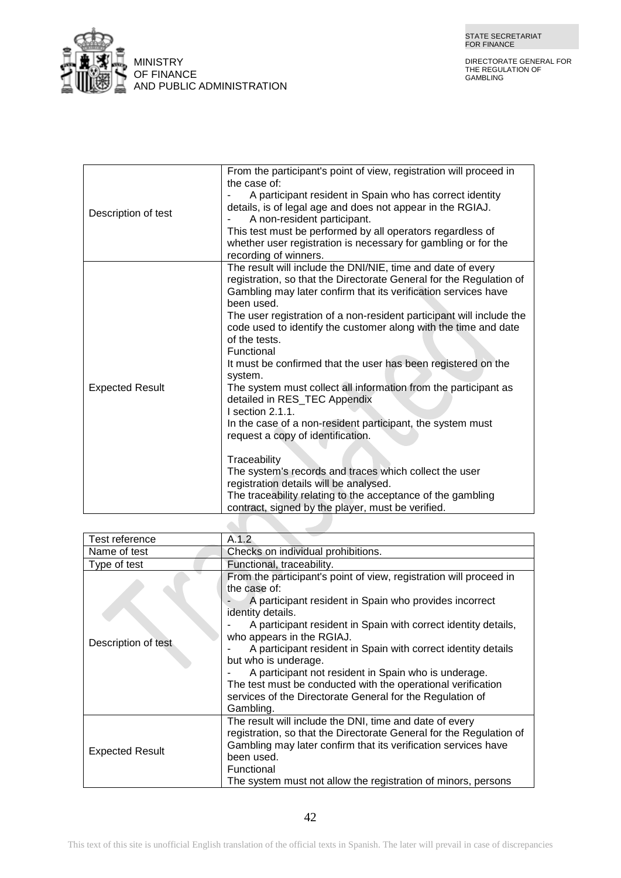

| Description of test    | From the participant's point of view, registration will proceed in<br>the case of:<br>A participant resident in Spain who has correct identity<br>details, is of legal age and does not appear in the RGIAJ.<br>A non-resident participant.<br>This test must be performed by all operators regardless of<br>whether user registration is necessary for gambling or for the<br>recording of winners.                                                                                                                                                                                                                                                                                                                                                                                                                                                                                                                                          |
|------------------------|-----------------------------------------------------------------------------------------------------------------------------------------------------------------------------------------------------------------------------------------------------------------------------------------------------------------------------------------------------------------------------------------------------------------------------------------------------------------------------------------------------------------------------------------------------------------------------------------------------------------------------------------------------------------------------------------------------------------------------------------------------------------------------------------------------------------------------------------------------------------------------------------------------------------------------------------------|
| <b>Expected Result</b> | The result will include the DNI/NIE, time and date of every<br>registration, so that the Directorate General for the Regulation of<br>Gambling may later confirm that its verification services have<br>been used.<br>The user registration of a non-resident participant will include the<br>code used to identify the customer along with the time and date<br>of the tests.<br>Functional<br>It must be confirmed that the user has been registered on the<br>system.<br>The system must collect all information from the participant as<br>detailed in RES_TEC Appendix<br>I section $2.1.1$ .<br>In the case of a non-resident participant, the system must<br>request a copy of identification.<br>Traceability<br>The system's records and traces which collect the user<br>registration details will be analysed.<br>The traceability relating to the acceptance of the gambling<br>contract, signed by the player, must be verified. |

| Test reference         | A.1.2                                                                                                                                                                                                                                                                                                                                                                                                                                                                                                                                                       |
|------------------------|-------------------------------------------------------------------------------------------------------------------------------------------------------------------------------------------------------------------------------------------------------------------------------------------------------------------------------------------------------------------------------------------------------------------------------------------------------------------------------------------------------------------------------------------------------------|
| Name of test           | Checks on individual prohibitions.                                                                                                                                                                                                                                                                                                                                                                                                                                                                                                                          |
| Type of test           | Functional, traceability.                                                                                                                                                                                                                                                                                                                                                                                                                                                                                                                                   |
| Description of test    | From the participant's point of view, registration will proceed in<br>the case of:<br>A participant resident in Spain who provides incorrect<br>identity details.<br>A participant resident in Spain with correct identity details,<br>who appears in the RGIAJ.<br>A participant resident in Spain with correct identity details<br>but who is underage.<br>A participant not resident in Spain who is underage.<br>The test must be conducted with the operational verification<br>services of the Directorate General for the Regulation of<br>Gambling. |
| <b>Expected Result</b> | The result will include the DNI, time and date of every<br>registration, so that the Directorate General for the Regulation of<br>Gambling may later confirm that its verification services have<br>been used.<br>Functional<br>The system must not allow the registration of minors, persons                                                                                                                                                                                                                                                               |

 $\sim$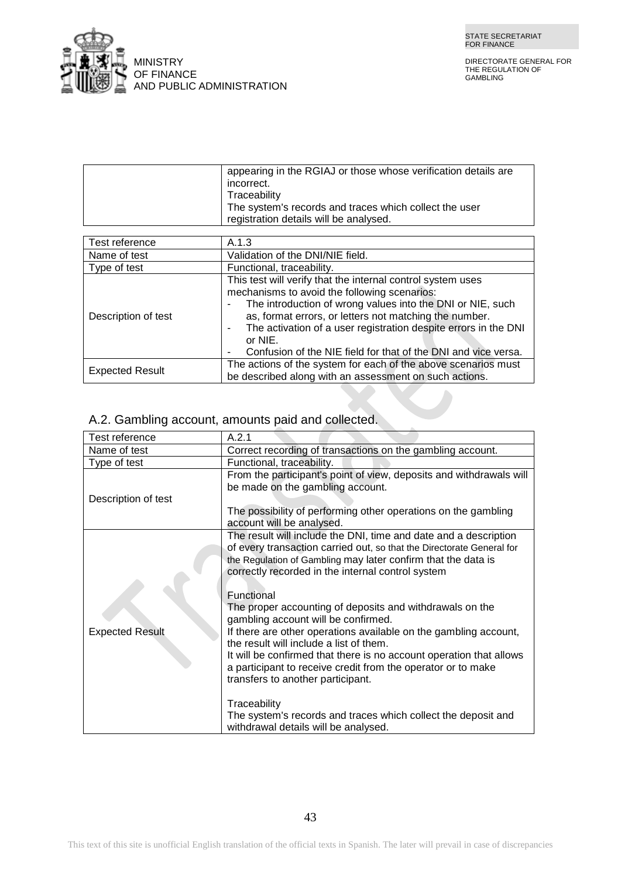

| appearing in the RGIAJ or those whose verification details are |
|----------------------------------------------------------------|
| incorrect.                                                     |
| Traceability                                                   |
| The system's records and traces which collect the user         |
| registration details will be analysed.                         |
|                                                                |

| Test reference         | A.1.3                                                                                                                                                                                                                                                                                                                                                                               |
|------------------------|-------------------------------------------------------------------------------------------------------------------------------------------------------------------------------------------------------------------------------------------------------------------------------------------------------------------------------------------------------------------------------------|
| Name of test           | Validation of the DNI/NIE field.                                                                                                                                                                                                                                                                                                                                                    |
| Type of test           | Functional, traceability.                                                                                                                                                                                                                                                                                                                                                           |
| Description of test    | This test will verify that the internal control system uses<br>mechanisms to avoid the following scenarios:<br>The introduction of wrong values into the DNI or NIE, such<br>as, format errors, or letters not matching the number.<br>The activation of a user registration despite errors in the DNI<br>or NIE.<br>Confusion of the NIE field for that of the DNI and vice versa. |
| <b>Expected Result</b> | The actions of the system for each of the above scenarios must<br>be described along with an assessment on such actions.                                                                                                                                                                                                                                                            |

### A.2. Gambling account, amounts paid and collected.

| Test reference         | A.2.1                                                                                                                                                                                                                                                                                                                                                                                                    |
|------------------------|----------------------------------------------------------------------------------------------------------------------------------------------------------------------------------------------------------------------------------------------------------------------------------------------------------------------------------------------------------------------------------------------------------|
| Name of test           | Correct recording of transactions on the gambling account.                                                                                                                                                                                                                                                                                                                                               |
| Type of test           | Functional, traceability.                                                                                                                                                                                                                                                                                                                                                                                |
| Description of test    | From the participant's point of view, deposits and withdrawals will<br>be made on the gambling account.                                                                                                                                                                                                                                                                                                  |
|                        | The possibility of performing other operations on the gambling<br>account will be analysed.                                                                                                                                                                                                                                                                                                              |
|                        | The result will include the DNI, time and date and a description<br>of every transaction carried out, so that the Directorate General for<br>the Regulation of Gambling may later confirm that the data is<br>correctly recorded in the internal control system                                                                                                                                          |
| <b>Expected Result</b> | Functional<br>The proper accounting of deposits and withdrawals on the<br>gambling account will be confirmed.<br>If there are other operations available on the gambling account,<br>the result will include a list of them.<br>It will be confirmed that there is no account operation that allows<br>a participant to receive credit from the operator or to make<br>transfers to another participant. |
|                        | Traceability<br>The system's records and traces which collect the deposit and<br>withdrawal details will be analysed.                                                                                                                                                                                                                                                                                    |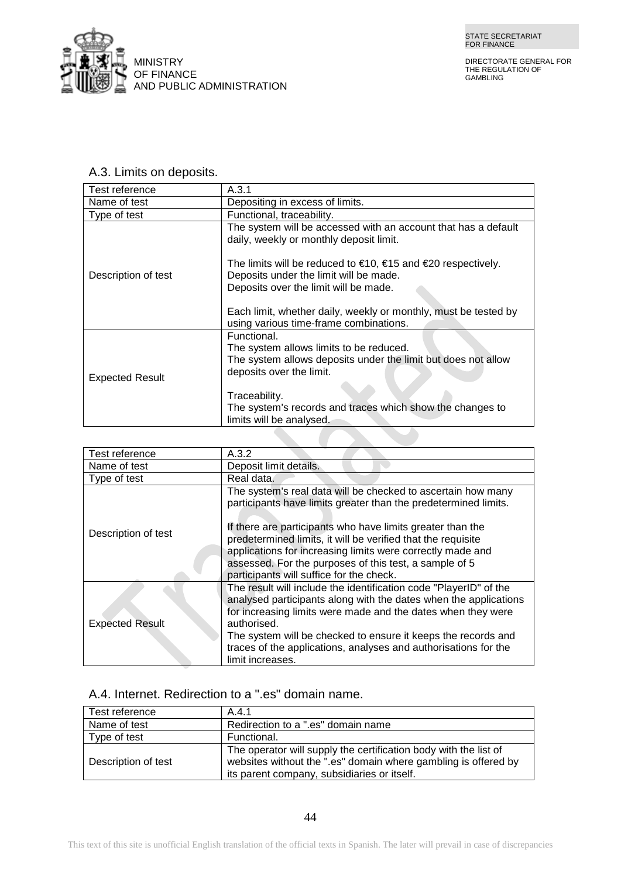

### A.3. Limits on deposits.

| Test reference         | A.3.1                                                                                                                                                                         |
|------------------------|-------------------------------------------------------------------------------------------------------------------------------------------------------------------------------|
| Name of test           | Depositing in excess of limits.                                                                                                                                               |
| Type of test           | Functional, traceability.                                                                                                                                                     |
|                        | The system will be accessed with an account that has a default<br>daily, weekly or monthly deposit limit.                                                                     |
| Description of test    | The limits will be reduced to $\epsilon$ 10, $\epsilon$ 15 and $\epsilon$ 20 respectively.<br>Deposits under the limit will be made.<br>Deposits over the limit will be made. |
|                        | Each limit, whether daily, weekly or monthly, must be tested by<br>using various time-frame combinations.                                                                     |
| <b>Expected Result</b> | Functional.<br>The system allows limits to be reduced.<br>The system allows deposits under the limit but does not allow<br>deposits over the limit.                           |
|                        | Traceability.<br>The system's records and traces which show the changes to<br>limits will be analysed.                                                                        |
|                        |                                                                                                                                                                               |

| Test reference         | A.3.2                                                                                                                                                                                                                                                                                                                       |
|------------------------|-----------------------------------------------------------------------------------------------------------------------------------------------------------------------------------------------------------------------------------------------------------------------------------------------------------------------------|
| Name of test           | Deposit limit details.                                                                                                                                                                                                                                                                                                      |
| Type of test           | Real data.                                                                                                                                                                                                                                                                                                                  |
| Description of test    | The system's real data will be checked to ascertain how many<br>participants have limits greater than the predetermined limits.<br>If there are participants who have limits greater than the<br>predetermined limits, it will be verified that the requisite<br>applications for increasing limits were correctly made and |
|                        | assessed. For the purposes of this test, a sample of 5<br>participants will suffice for the check.                                                                                                                                                                                                                          |
| <b>Expected Result</b> | The result will include the identification code "PlayerID" of the<br>analysed participants along with the dates when the applications<br>for increasing limits were made and the dates when they were<br>authorised.                                                                                                        |
|                        | The system will be checked to ensure it keeps the records and<br>traces of the applications, analyses and authorisations for the<br>limit increases.                                                                                                                                                                        |

#### A.4. Internet. Redirection to a ".es" domain name.

| Test reference      | A 4 1                                                                                                                              |
|---------------------|------------------------------------------------------------------------------------------------------------------------------------|
| Name of test        | Redirection to a ".es" domain name                                                                                                 |
| Type of test        | Functional.                                                                                                                        |
| Description of test | The operator will supply the certification body with the list of<br>websites without the ".es" domain where gambling is offered by |
|                     | its parent company, subsidiaries or itself.                                                                                        |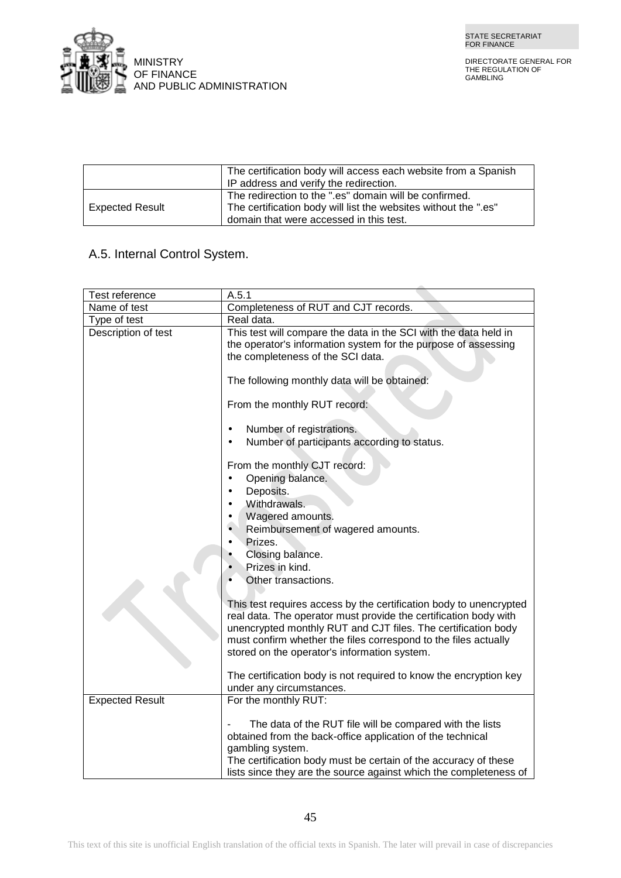

|                        | The certification body will access each website from a Spanish<br>IP address and verify the redirection.                                                             |
|------------------------|----------------------------------------------------------------------------------------------------------------------------------------------------------------------|
| <b>Expected Result</b> | The redirection to the ".es" domain will be confirmed.<br>The certification body will list the websites without the ".es"<br>domain that were accessed in this test. |

### A.5. Internal Control System.

| Test reference         | A.5.1                                                                                                                                                                                                                                                                                                                                                                                                                                                                                                                          |
|------------------------|--------------------------------------------------------------------------------------------------------------------------------------------------------------------------------------------------------------------------------------------------------------------------------------------------------------------------------------------------------------------------------------------------------------------------------------------------------------------------------------------------------------------------------|
| Name of test           | Completeness of RUT and CJT records.                                                                                                                                                                                                                                                                                                                                                                                                                                                                                           |
| Type of test           | Real data.                                                                                                                                                                                                                                                                                                                                                                                                                                                                                                                     |
| Description of test    | This test will compare the data in the SCI with the data held in<br>the operator's information system for the purpose of assessing<br>the completeness of the SCI data.<br>The following monthly data will be obtained:<br>From the monthly RUT record:<br>Number of registrations.<br>Number of participants according to status.<br>From the monthly CJT record:<br>Opening balance.<br>Deposits.<br>Withdrawals.<br>Wagered amounts.<br>Reimbursement of wagered amounts.<br>Prizes.<br>Closing balance.<br>Prizes in kind. |
|                        | Other transactions.<br>This test requires access by the certification body to unencrypted<br>real data. The operator must provide the certification body with<br>unencrypted monthly RUT and CJT files. The certification body<br>must confirm whether the files correspond to the files actually<br>stored on the operator's information system.<br>The certification body is not required to know the encryption key<br>under any circumstances.                                                                             |
| <b>Expected Result</b> | For the monthly RUT:                                                                                                                                                                                                                                                                                                                                                                                                                                                                                                           |
|                        | The data of the RUT file will be compared with the lists<br>obtained from the back-office application of the technical<br>gambling system.<br>The certification body must be certain of the accuracy of these<br>lists since they are the source against which the completeness of                                                                                                                                                                                                                                             |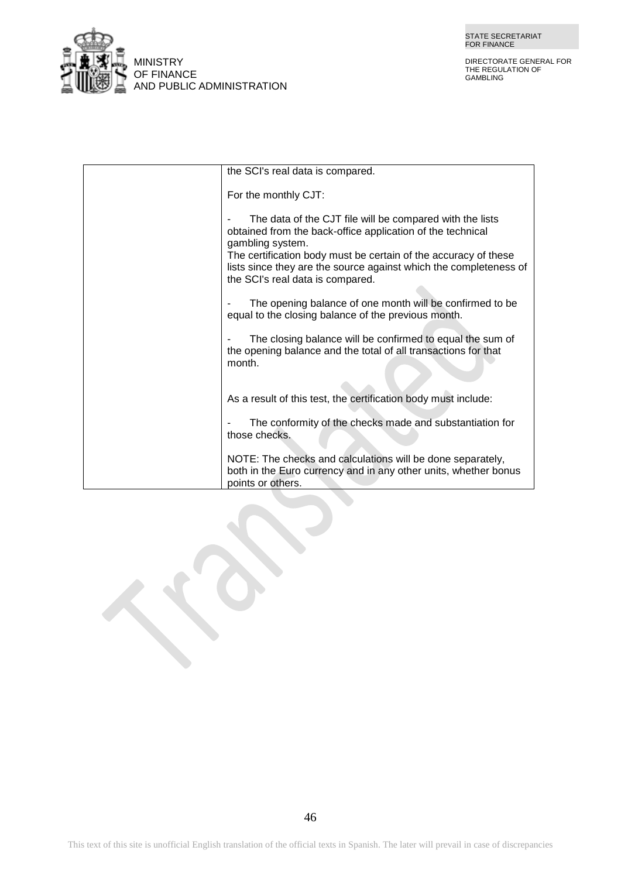

DIRECTORATE GENERAL FOR THE REGULATION OF GAMBLING

| the SCI's real data is compared.                                                                                                                                                                                                                                                                                       |
|------------------------------------------------------------------------------------------------------------------------------------------------------------------------------------------------------------------------------------------------------------------------------------------------------------------------|
| For the monthly CJT:                                                                                                                                                                                                                                                                                                   |
| The data of the CJT file will be compared with the lists<br>obtained from the back-office application of the technical<br>gambling system.<br>The certification body must be certain of the accuracy of these<br>lists since they are the source against which the completeness of<br>the SCI's real data is compared. |
| The opening balance of one month will be confirmed to be<br>equal to the closing balance of the previous month.                                                                                                                                                                                                        |
| The closing balance will be confirmed to equal the sum of<br>the opening balance and the total of all transactions for that<br>month.                                                                                                                                                                                  |
| As a result of this test, the certification body must include:                                                                                                                                                                                                                                                         |
| The conformity of the checks made and substantiation for<br>those checks.                                                                                                                                                                                                                                              |
| NOTE: The checks and calculations will be done separately,<br>both in the Euro currency and in any other units, whether bonus<br>points or others.                                                                                                                                                                     |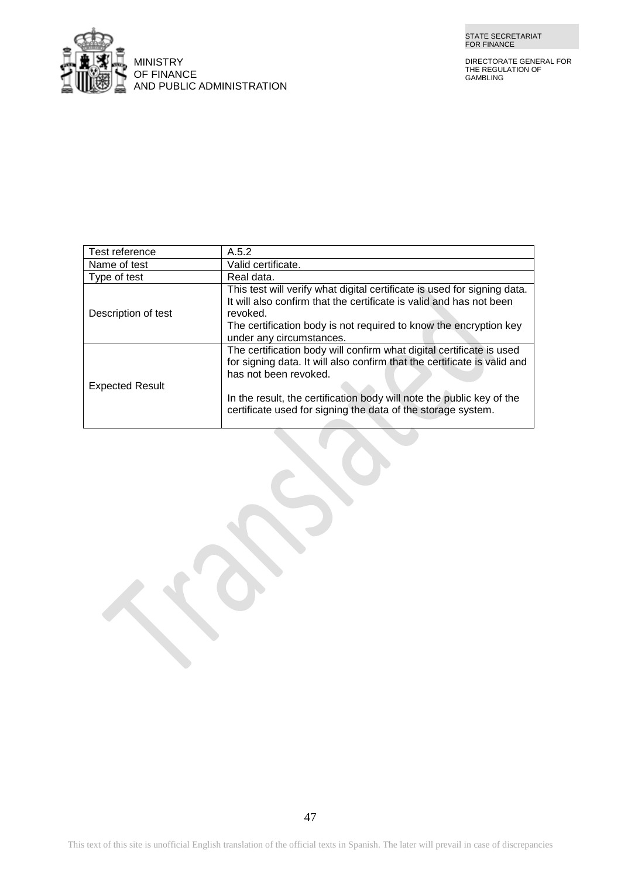



| Test reference         | A.5.2                                                                                                                                                                                                                                                                                                              |
|------------------------|--------------------------------------------------------------------------------------------------------------------------------------------------------------------------------------------------------------------------------------------------------------------------------------------------------------------|
| Name of test           | Valid certificate.                                                                                                                                                                                                                                                                                                 |
| Type of test           | Real data.                                                                                                                                                                                                                                                                                                         |
| Description of test    | This test will verify what digital certificate is used for signing data.<br>It will also confirm that the certificate is valid and has not been<br>revoked.<br>The certification body is not required to know the encryption key<br>under any circumstances.                                                       |
| <b>Expected Result</b> | The certification body will confirm what digital certificate is used<br>for signing data. It will also confirm that the certificate is valid and<br>has not been revoked.<br>In the result, the certification body will note the public key of the<br>certificate used for signing the data of the storage system. |

47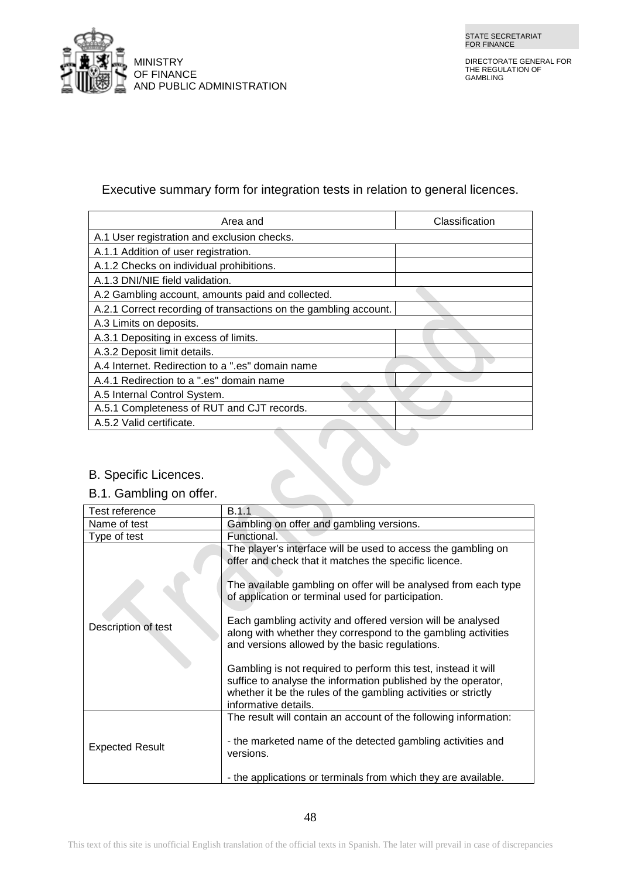

## Executive summary form for integration tests in relation to general licences.

| Area and                                                         | Classification |  |
|------------------------------------------------------------------|----------------|--|
| A.1 User registration and exclusion checks.                      |                |  |
| A.1.1 Addition of user registration.                             |                |  |
| A.1.2 Checks on individual prohibitions.                         |                |  |
| A.1.3 DNI/NIE field validation.                                  |                |  |
| A.2 Gambling account, amounts paid and collected.                |                |  |
| A.2.1 Correct recording of transactions on the gambling account. |                |  |
| A.3 Limits on deposits.                                          |                |  |
| A.3.1 Depositing in excess of limits.                            |                |  |
| A.3.2 Deposit limit details.                                     |                |  |
| A.4 Internet. Redirection to a ".es" domain name                 |                |  |
| A.4.1 Redirection to a ".es" domain name                         |                |  |
| A.5 Internal Control System.                                     |                |  |
| A.5.1 Completeness of RUT and CJT records.                       |                |  |
| A.5.2 Valid certificate.                                         |                |  |

20

#### B. Specific Licences.

### B.1. Gambling on offer.

| Test reference         | B.1.1                                                                                                                                                                                                                     |
|------------------------|---------------------------------------------------------------------------------------------------------------------------------------------------------------------------------------------------------------------------|
| Name of test           | Gambling on offer and gambling versions.                                                                                                                                                                                  |
| Type of test           | Functional.                                                                                                                                                                                                               |
|                        | The player's interface will be used to access the gambling on<br>offer and check that it matches the specific licence.                                                                                                    |
|                        | The available gambling on offer will be analysed from each type<br>of application or terminal used for participation.                                                                                                     |
| Description of test    | Each gambling activity and offered version will be analysed<br>along with whether they correspond to the gambling activities<br>and versions allowed by the basic regulations.                                            |
|                        | Gambling is not required to perform this test, instead it will<br>suffice to analyse the information published by the operator,<br>whether it be the rules of the gambling activities or strictly<br>informative details. |
|                        | The result will contain an account of the following information:                                                                                                                                                          |
| <b>Expected Result</b> | - the marketed name of the detected gambling activities and<br>versions.                                                                                                                                                  |
|                        | - the applications or terminals from which they are available.                                                                                                                                                            |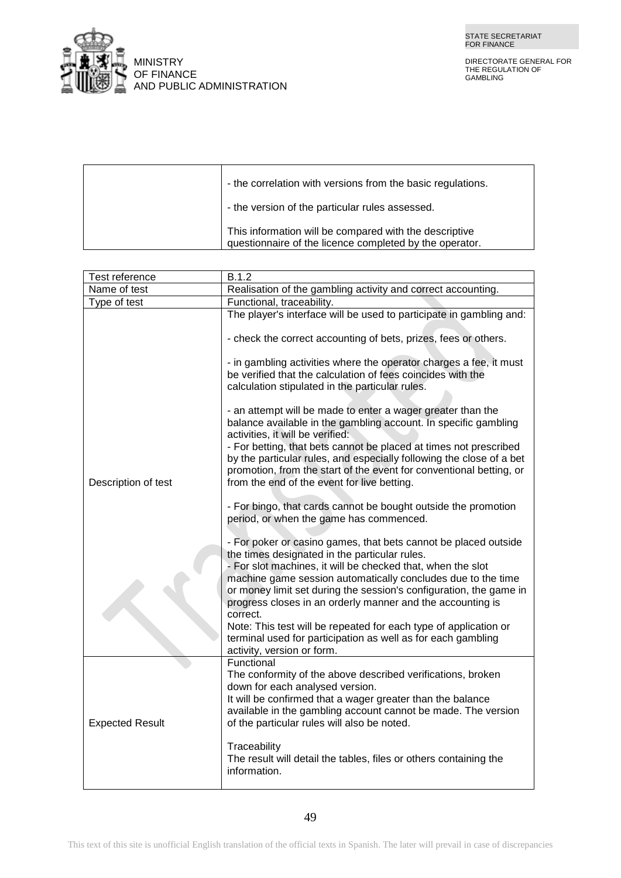

| - the correlation with versions from the basic regulations.                                                       |
|-------------------------------------------------------------------------------------------------------------------|
| - the version of the particular rules assessed.                                                                   |
| This information will be compared with the descriptive<br>questionnaire of the licence completed by the operator. |

| Test reference         | B.1.2                                                                                                                                                                                                                                                                                                                                                                                                                                                                                                                                                             |
|------------------------|-------------------------------------------------------------------------------------------------------------------------------------------------------------------------------------------------------------------------------------------------------------------------------------------------------------------------------------------------------------------------------------------------------------------------------------------------------------------------------------------------------------------------------------------------------------------|
| Name of test           | Realisation of the gambling activity and correct accounting.                                                                                                                                                                                                                                                                                                                                                                                                                                                                                                      |
| Type of test           | Functional, traceability.                                                                                                                                                                                                                                                                                                                                                                                                                                                                                                                                         |
|                        | The player's interface will be used to participate in gambling and:<br>- check the correct accounting of bets, prizes, fees or others.<br>- in gambling activities where the operator charges a fee, it must<br>be verified that the calculation of fees coincides with the<br>calculation stipulated in the particular rules.                                                                                                                                                                                                                                    |
| Description of test    | - an attempt will be made to enter a wager greater than the<br>balance available in the gambling account. In specific gambling<br>activities, it will be verified:<br>- For betting, that bets cannot be placed at times not prescribed<br>by the particular rules, and especially following the close of a bet<br>promotion, from the start of the event for conventional betting, or<br>from the end of the event for live betting.                                                                                                                             |
|                        | - For bingo, that cards cannot be bought outside the promotion<br>period, or when the game has commenced.                                                                                                                                                                                                                                                                                                                                                                                                                                                         |
|                        | - For poker or casino games, that bets cannot be placed outside<br>the times designated in the particular rules.<br>- For slot machines, it will be checked that, when the slot<br>machine game session automatically concludes due to the time<br>or money limit set during the session's configuration, the game in<br>progress closes in an orderly manner and the accounting is<br>correct.<br>Note: This test will be repeated for each type of application or<br>terminal used for participation as well as for each gambling<br>activity, version or form. |
| <b>Expected Result</b> | Functional<br>The conformity of the above described verifications, broken<br>down for each analysed version.<br>It will be confirmed that a wager greater than the balance<br>available in the gambling account cannot be made. The version<br>of the particular rules will also be noted.<br>Traceability<br>The result will detail the tables, files or others containing the<br>information.                                                                                                                                                                   |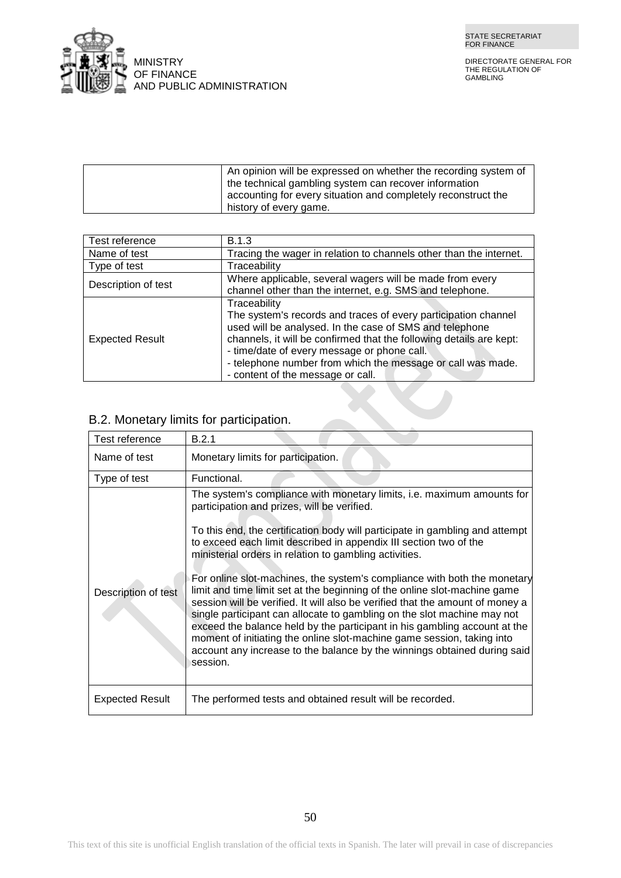STATE SECRETARIAT FOR FINANCE



DIRECTORATE GENERAL FOR THE REGULATION OF GAMBLING

| An opinion will be expressed on whether the recording system of |
|-----------------------------------------------------------------|
| the technical gambling system can recover information           |
| accounting for every situation and completely reconstruct the   |
| history of every game.                                          |

| Test reference                        | <b>B.1.3</b>                                                                                                                                                                                                                                                                                                                                                        |
|---------------------------------------|---------------------------------------------------------------------------------------------------------------------------------------------------------------------------------------------------------------------------------------------------------------------------------------------------------------------------------------------------------------------|
| Name of test                          | Tracing the wager in relation to channels other than the internet.                                                                                                                                                                                                                                                                                                  |
| Type of test                          | Traceability                                                                                                                                                                                                                                                                                                                                                        |
| Description of test                   | Where applicable, several wagers will be made from every<br>channel other than the internet, e.g. SMS and telephone.                                                                                                                                                                                                                                                |
| <b>Expected Result</b>                | Traceability<br>The system's records and traces of every participation channel<br>used will be analysed. In the case of SMS and telephone<br>channels, it will be confirmed that the following details are kept:<br>- time/date of every message or phone call.<br>- telephone number from which the message or call was made.<br>- content of the message or call. |
| B.2 Monetary limits for participation |                                                                                                                                                                                                                                                                                                                                                                     |

## B.2. Monetary limits for participation.

| Test reference         | B.2.1                                                                                                                                                                                                                                                                                                                                                                                                                                                                                                                                                                                                                                                                                                                                                                                                                                                                                                    |
|------------------------|----------------------------------------------------------------------------------------------------------------------------------------------------------------------------------------------------------------------------------------------------------------------------------------------------------------------------------------------------------------------------------------------------------------------------------------------------------------------------------------------------------------------------------------------------------------------------------------------------------------------------------------------------------------------------------------------------------------------------------------------------------------------------------------------------------------------------------------------------------------------------------------------------------|
| Name of test           | Monetary limits for participation.                                                                                                                                                                                                                                                                                                                                                                                                                                                                                                                                                                                                                                                                                                                                                                                                                                                                       |
| Type of test           | Functional.                                                                                                                                                                                                                                                                                                                                                                                                                                                                                                                                                                                                                                                                                                                                                                                                                                                                                              |
| Description of test    | The system's compliance with monetary limits, i.e. maximum amounts for<br>participation and prizes, will be verified.<br>To this end, the certification body will participate in gambling and attempt<br>to exceed each limit described in appendix III section two of the<br>ministerial orders in relation to gambling activities.<br>For online slot-machines, the system's compliance with both the monetary<br>limit and time limit set at the beginning of the online slot-machine game<br>session will be verified. It will also be verified that the amount of money a<br>single participant can allocate to gambling on the slot machine may not<br>exceed the balance held by the participant in his gambling account at the<br>moment of initiating the online slot-machine game session, taking into<br>account any increase to the balance by the winnings obtained during said<br>session. |
| <b>Expected Result</b> | The performed tests and obtained result will be recorded.                                                                                                                                                                                                                                                                                                                                                                                                                                                                                                                                                                                                                                                                                                                                                                                                                                                |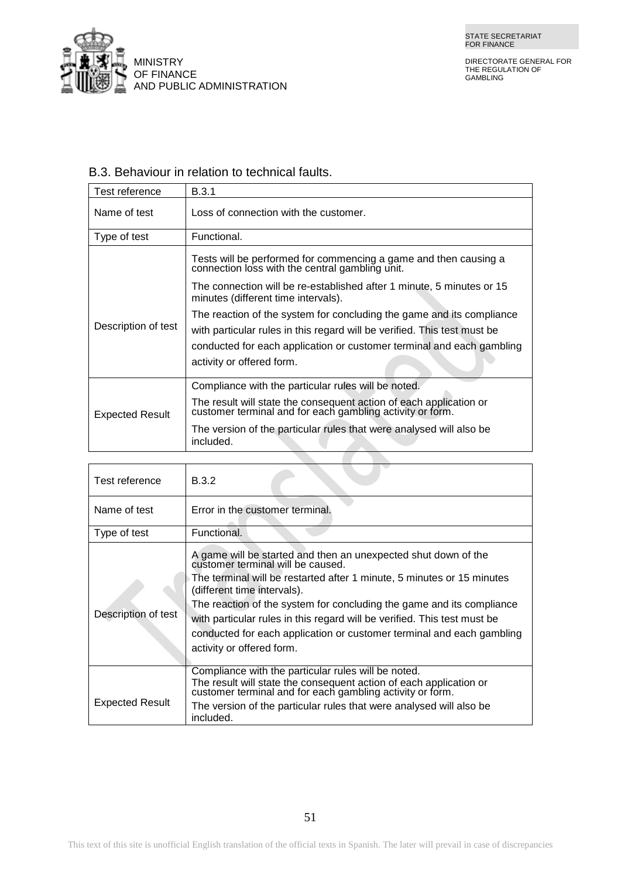

#### B.3. Behaviour in relation to technical faults.

| Test reference         | B.3.1                                                                                                                           |
|------------------------|---------------------------------------------------------------------------------------------------------------------------------|
| Name of test           | Loss of connection with the customer.                                                                                           |
| Type of test           | Functional.                                                                                                                     |
|                        | Tests will be performed for commencing a game and then causing a<br>connection loss with the central gambling unit.             |
|                        | The connection will be re-established after 1 minute, 5 minutes or 15<br>minutes (different time intervals).                    |
|                        | The reaction of the system for concluding the game and its compliance                                                           |
| Description of test    | with particular rules in this regard will be verified. This test must be                                                        |
|                        | conducted for each application or customer terminal and each gambling                                                           |
|                        | activity or offered form.                                                                                                       |
|                        | Compliance with the particular rules will be noted.                                                                             |
| <b>Expected Result</b> | The result will state the consequent action of each application or<br>customer terminal and for each gambling activity or form. |
|                        | The version of the particular rules that were analysed will also be<br>included.                                                |

| Test reference         | B.3.2                                                                                                                                                                                                                                                                                                                                                                                                                                                                   |
|------------------------|-------------------------------------------------------------------------------------------------------------------------------------------------------------------------------------------------------------------------------------------------------------------------------------------------------------------------------------------------------------------------------------------------------------------------------------------------------------------------|
| Name of test           | Error in the customer terminal.                                                                                                                                                                                                                                                                                                                                                                                                                                         |
| Type of test           | Functional.                                                                                                                                                                                                                                                                                                                                                                                                                                                             |
| Description of test    | A game will be started and then an unexpected shut down of the<br>customer terminal will be caused.<br>The terminal will be restarted after 1 minute, 5 minutes or 15 minutes<br>(different time intervals).<br>The reaction of the system for concluding the game and its compliance<br>with particular rules in this regard will be verified. This test must be<br>conducted for each application or customer terminal and each gambling<br>activity or offered form. |
| <b>Expected Result</b> | Compliance with the particular rules will be noted.<br>The result will state the consequent action of each application or<br>customer terminal and for each gambling activity or form.<br>The version of the particular rules that were analysed will also be<br>included.                                                                                                                                                                                              |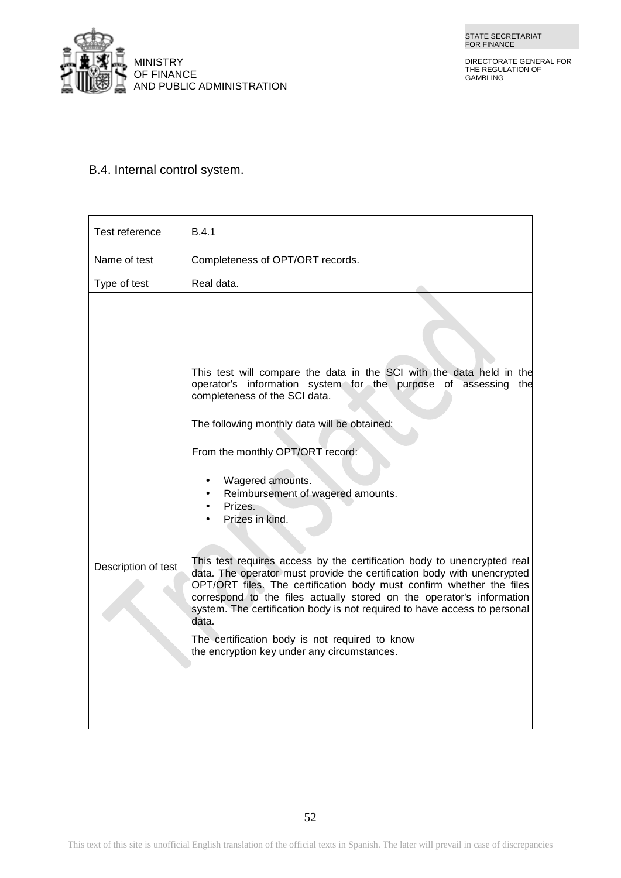

### B.4. Internal control system.

| Test reference<br>B.4.1      |                                                                                                                                                                                                                                                                                                                                                                                                                                                                                                                                                                                                                                                                                                                                                                                                                                            |
|------------------------------|--------------------------------------------------------------------------------------------------------------------------------------------------------------------------------------------------------------------------------------------------------------------------------------------------------------------------------------------------------------------------------------------------------------------------------------------------------------------------------------------------------------------------------------------------------------------------------------------------------------------------------------------------------------------------------------------------------------------------------------------------------------------------------------------------------------------------------------------|
| Name of test                 | Completeness of OPT/ORT records.                                                                                                                                                                                                                                                                                                                                                                                                                                                                                                                                                                                                                                                                                                                                                                                                           |
| Type of test                 | Real data.                                                                                                                                                                                                                                                                                                                                                                                                                                                                                                                                                                                                                                                                                                                                                                                                                                 |
| Description of test<br>data. | This test will compare the data in the SCI with the data held in the<br>operator's information system for the purpose of assessing<br>the<br>completeness of the SCI data.<br>The following monthly data will be obtained:<br>From the monthly OPT/ORT record:<br>Wagered amounts.<br>Reimbursement of wagered amounts.<br>Prizes.<br>Prizes in kind.<br>This test requires access by the certification body to unencrypted real<br>data. The operator must provide the certification body with unencrypted<br>OPT/ORT files. The certification body must confirm whether the files<br>correspond to the files actually stored on the operator's information<br>system. The certification body is not required to have access to personal<br>The certification body is not required to know<br>the encryption key under any circumstances. |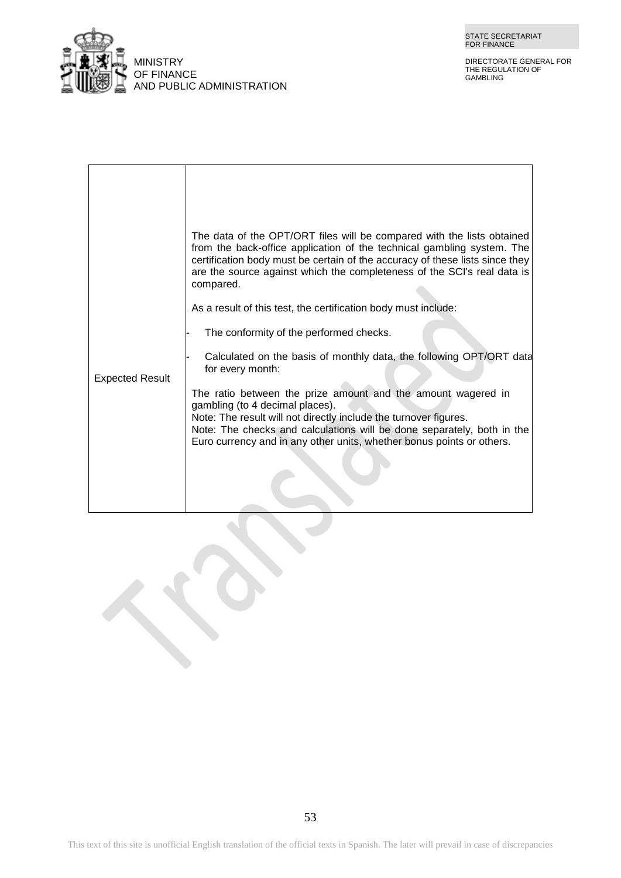

DIRECTORATE GENERAL FOR THE REGULATION OF GAMBLING

|                        | The data of the OPT/ORT files will be compared with the lists obtained<br>from the back-office application of the technical gambling system. The                     |
|------------------------|----------------------------------------------------------------------------------------------------------------------------------------------------------------------|
| <b>Expected Result</b> | certification body must be certain of the accuracy of these lists since they<br>are the source against which the completeness of the SCI's real data is<br>compared. |
|                        | As a result of this test, the certification body must include:                                                                                                       |
|                        | The conformity of the performed checks.                                                                                                                              |
|                        | Calculated on the basis of monthly data, the following OPT/ORT data<br>for every month:                                                                              |
|                        | The ratio between the prize amount and the amount wagered in<br>gambling (to 4 decimal places).<br>Note: The result will not directly include the turnover figures.  |
|                        | Note: The checks and calculations will be done separately, both in the<br>Euro currency and in any other units, whether bonus points or others.                      |
|                        |                                                                                                                                                                      |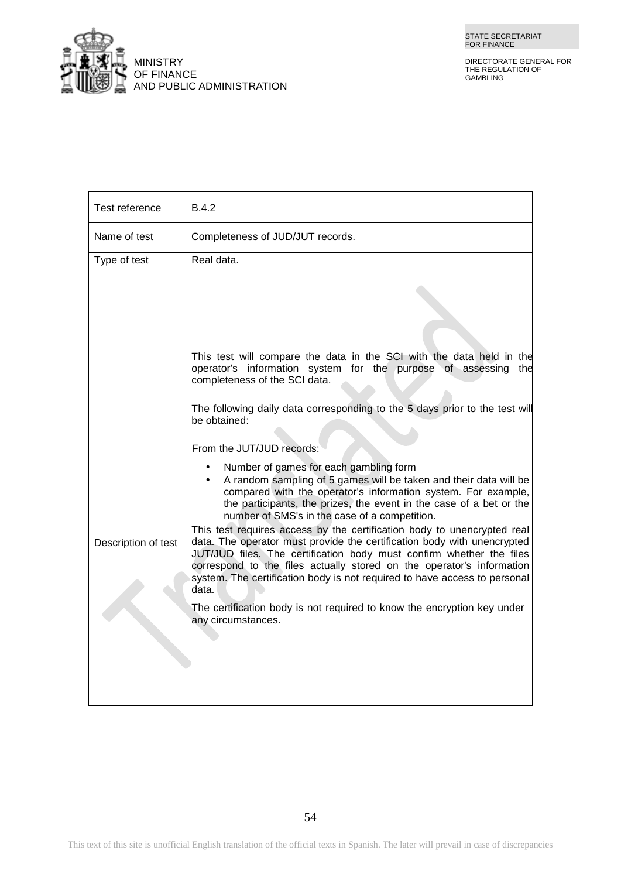



| Test reference      | <b>B.4.2</b>                                                                                                                                                                                                                                                                                                                                                                              |
|---------------------|-------------------------------------------------------------------------------------------------------------------------------------------------------------------------------------------------------------------------------------------------------------------------------------------------------------------------------------------------------------------------------------------|
| Name of test        | Completeness of JUD/JUT records.                                                                                                                                                                                                                                                                                                                                                          |
| Type of test        | Real data.                                                                                                                                                                                                                                                                                                                                                                                |
|                     | This test will compare the data in the SCI with the data held in the                                                                                                                                                                                                                                                                                                                      |
|                     | operator's information system for the purpose of assessing<br>the<br>completeness of the SCI data.                                                                                                                                                                                                                                                                                        |
|                     | The following daily data corresponding to the 5 days prior to the test will<br>be obtained:                                                                                                                                                                                                                                                                                               |
|                     | From the JUT/JUD records:                                                                                                                                                                                                                                                                                                                                                                 |
|                     | Number of games for each gambling form<br>A random sampling of 5 games will be taken and their data will be<br>compared with the operator's information system. For example,<br>the participants, the prizes, the event in the case of a bet or the<br>number of SMS's in the case of a competition.                                                                                      |
| Description of test | This test requires access by the certification body to unencrypted real<br>data. The operator must provide the certification body with unencrypted<br>JUT/JUD files. The certification body must confirm whether the files<br>correspond to the files actually stored on the operator's information<br>system. The certification body is not required to have access to personal<br>data. |
|                     | The certification body is not required to know the encryption key under<br>any circumstances.                                                                                                                                                                                                                                                                                             |
|                     |                                                                                                                                                                                                                                                                                                                                                                                           |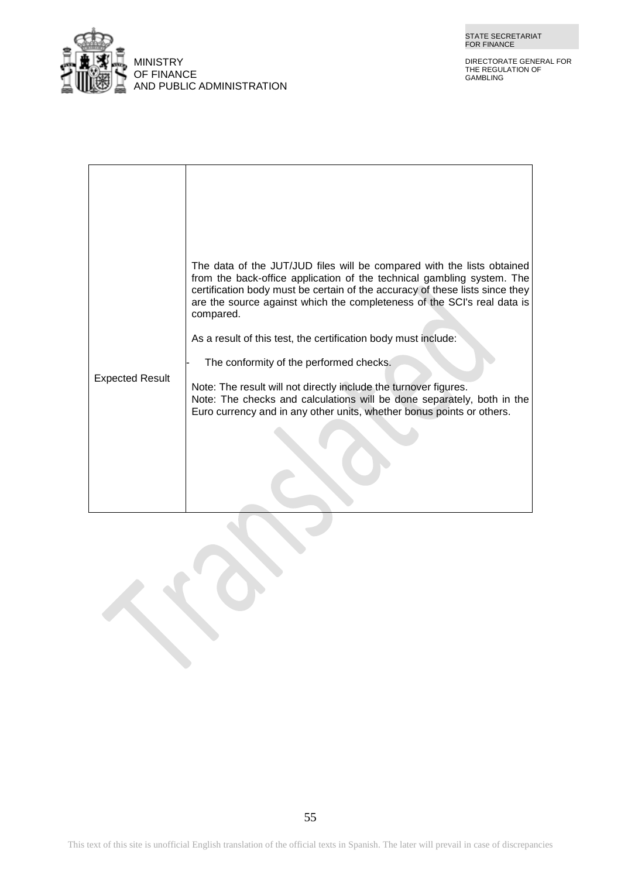

DIRECTORATE GENERAL FOR THE REGULATION OF GAMBLING

| <b>Expected Result</b> | The data of the JUT/JUD files will be compared with the lists obtained<br>from the back-office application of the technical gambling system. The<br>certification body must be certain of the accuracy of these lists since they<br>are the source against which the completeness of the SCI's real data is<br>compared. |
|------------------------|--------------------------------------------------------------------------------------------------------------------------------------------------------------------------------------------------------------------------------------------------------------------------------------------------------------------------|
|                        | As a result of this test, the certification body must include:                                                                                                                                                                                                                                                           |
|                        | The conformity of the performed checks.                                                                                                                                                                                                                                                                                  |
|                        | Note: The result will not directly include the turnover figures.<br>Note: The checks and calculations will be done separately, both in the<br>Euro currency and in any other units, whether bonus points or others.                                                                                                      |
|                        |                                                                                                                                                                                                                                                                                                                          |
|                        |                                                                                                                                                                                                                                                                                                                          |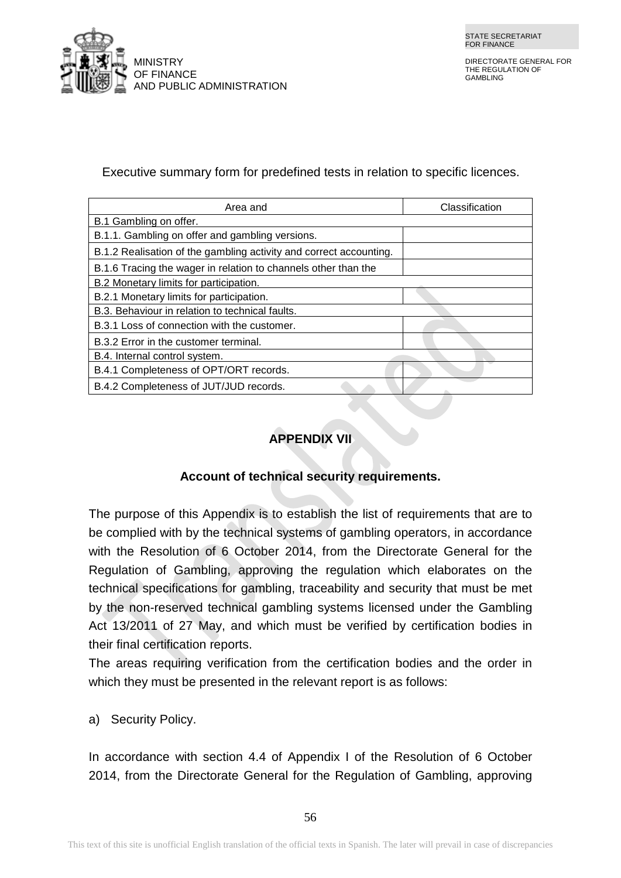



Executive summary form for predefined tests in relation to specific licences.

| Area and                                                           | Classification |  |  |
|--------------------------------------------------------------------|----------------|--|--|
| B.1 Gambling on offer.                                             |                |  |  |
| B.1.1. Gambling on offer and gambling versions.                    |                |  |  |
| B.1.2 Realisation of the gambling activity and correct accounting. |                |  |  |
| B.1.6 Tracing the wager in relation to channels other than the     |                |  |  |
| B.2 Monetary limits for participation.                             |                |  |  |
| B.2.1 Monetary limits for participation.                           |                |  |  |
| B.3. Behaviour in relation to technical faults.                    |                |  |  |
| B.3.1 Loss of connection with the customer.                        |                |  |  |
| B.3.2 Error in the customer terminal.                              |                |  |  |
| B.4. Internal control system.                                      |                |  |  |
| B.4.1 Completeness of OPT/ORT records.                             |                |  |  |
| B.4.2 Completeness of JUT/JUD records.                             |                |  |  |

# **APPENDIX VII**

### **Account of technical security requirements.**

The purpose of this Appendix is to establish the list of requirements that are to be complied with by the technical systems of gambling operators, in accordance with the Resolution of 6 October 2014, from the Directorate General for the Regulation of Gambling, approving the regulation which elaborates on the technical specifications for gambling, traceability and security that must be met by the non-reserved technical gambling systems licensed under the Gambling Act 13/2011 of 27 May, and which must be verified by certification bodies in their final certification reports.

The areas requiring verification from the certification bodies and the order in which they must be presented in the relevant report is as follows:

a) Security Policy.

In accordance with section 4.4 of Appendix I of the Resolution of 6 October 2014, from the Directorate General for the Regulation of Gambling, approving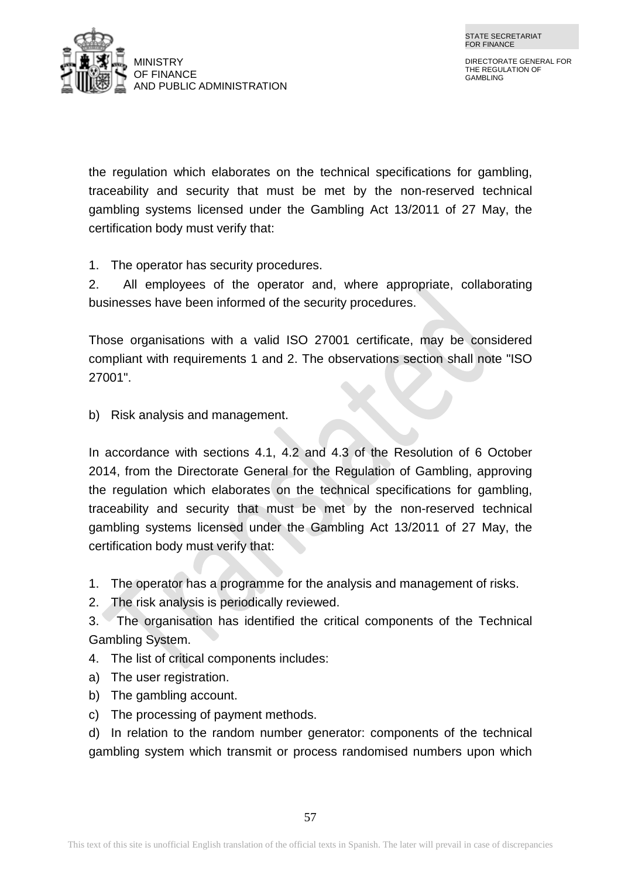

the regulation which elaborates on the technical specifications for gambling, traceability and security that must be met by the non-reserved technical gambling systems licensed under the Gambling Act 13/2011 of 27 May, the certification body must verify that:

1. The operator has security procedures.

2. All employees of the operator and, where appropriate, collaborating businesses have been informed of the security procedures.

Those organisations with a valid ISO 27001 certificate, may be considered compliant with requirements 1 and 2. The observations section shall note "ISO 27001".

b) Risk analysis and management.

In accordance with sections 4.1, 4.2 and 4.3 of the Resolution of 6 October 2014, from the Directorate General for the Regulation of Gambling, approving the regulation which elaborates on the technical specifications for gambling, traceability and security that must be met by the non-reserved technical gambling systems licensed under the Gambling Act 13/2011 of 27 May, the certification body must verify that:

1. The operator has a programme for the analysis and management of risks.

2. The risk analysis is periodically reviewed.

3. The organisation has identified the critical components of the Technical Gambling System.

4. The list of critical components includes:

a) The user registration.

- b) The gambling account.
- c) The processing of payment methods.

d) In relation to the random number generator: components of the technical gambling system which transmit or process randomised numbers upon which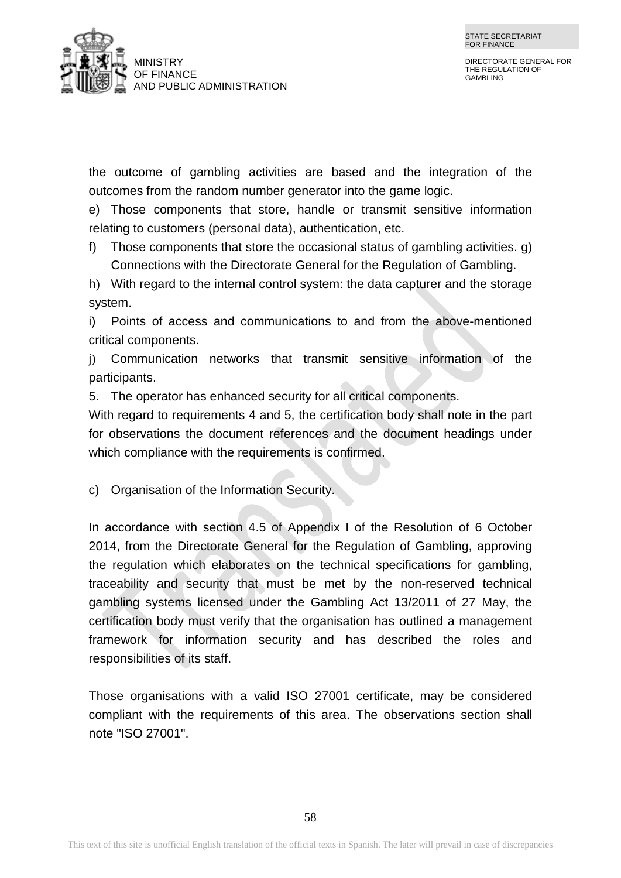



the outcome of gambling activities are based and the integration of the outcomes from the random number generator into the game logic.

e) Those components that store, handle or transmit sensitive information relating to customers (personal data), authentication, etc.

f) Those components that store the occasional status of gambling activities. g) Connections with the Directorate General for the Regulation of Gambling.

h) With regard to the internal control system: the data capturer and the storage system.

i) Points of access and communications to and from the above-mentioned critical components.

j) Communication networks that transmit sensitive information of the participants.

5. The operator has enhanced security for all critical components.

With regard to requirements 4 and 5, the certification body shall note in the part for observations the document references and the document headings under which compliance with the requirements is confirmed.

c) Organisation of the Information Security.

In accordance with section 4.5 of Appendix I of the Resolution of 6 October 2014, from the Directorate General for the Regulation of Gambling, approving the regulation which elaborates on the technical specifications for gambling, traceability and security that must be met by the non-reserved technical gambling systems licensed under the Gambling Act 13/2011 of 27 May, the certification body must verify that the organisation has outlined a management framework for information security and has described the roles and responsibilities of its staff.

Those organisations with a valid ISO 27001 certificate, may be considered compliant with the requirements of this area. The observations section shall note "ISO 27001".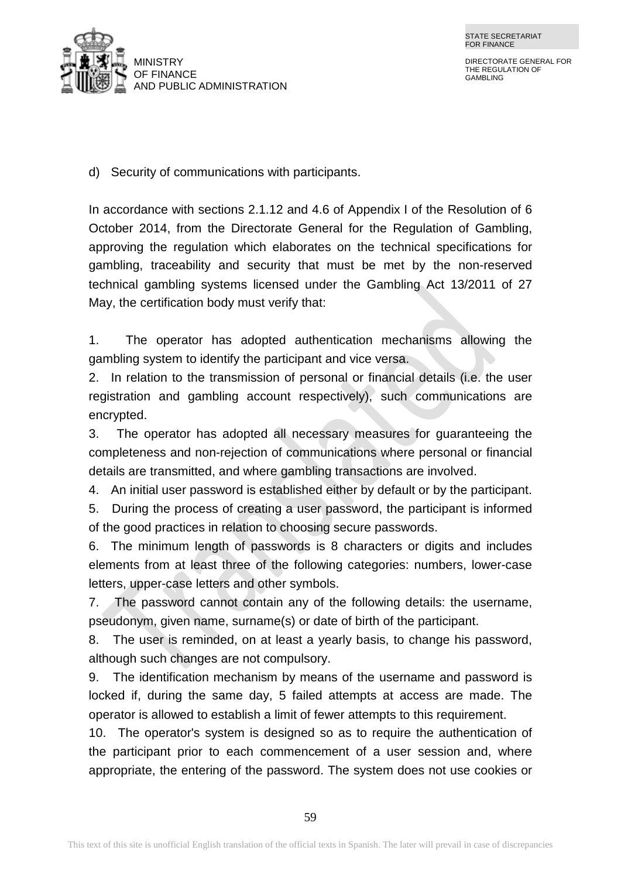

STATE SECRETARIAT FOR FINANCE

DIRECTORATE GENERAL FOR THE REGULATION OF GAMBLING

d) Security of communications with participants.

In accordance with sections 2.1.12 and 4.6 of Appendix I of the Resolution of 6 October 2014, from the Directorate General for the Regulation of Gambling, approving the regulation which elaborates on the technical specifications for gambling, traceability and security that must be met by the non-reserved technical gambling systems licensed under the Gambling Act 13/2011 of 27 May, the certification body must verify that:

1. The operator has adopted authentication mechanisms allowing the gambling system to identify the participant and vice versa.

2. In relation to the transmission of personal or financial details (i.e. the user registration and gambling account respectively), such communications are encrypted.

3. The operator has adopted all necessary measures for guaranteeing the completeness and non-rejection of communications where personal or financial details are transmitted, and where gambling transactions are involved.

4. An initial user password is established either by default or by the participant. 5. During the process of creating a user password, the participant is informed of the good practices in relation to choosing secure passwords.

6. The minimum length of passwords is 8 characters or digits and includes elements from at least three of the following categories: numbers, lower-case letters, upper-case letters and other symbols.

7. The password cannot contain any of the following details: the username, pseudonym, given name, surname(s) or date of birth of the participant.

8. The user is reminded, on at least a yearly basis, to change his password, although such changes are not compulsory.

9. The identification mechanism by means of the username and password is locked if, during the same day, 5 failed attempts at access are made. The operator is allowed to establish a limit of fewer attempts to this requirement.

10. The operator's system is designed so as to require the authentication of the participant prior to each commencement of a user session and, where appropriate, the entering of the password. The system does not use cookies or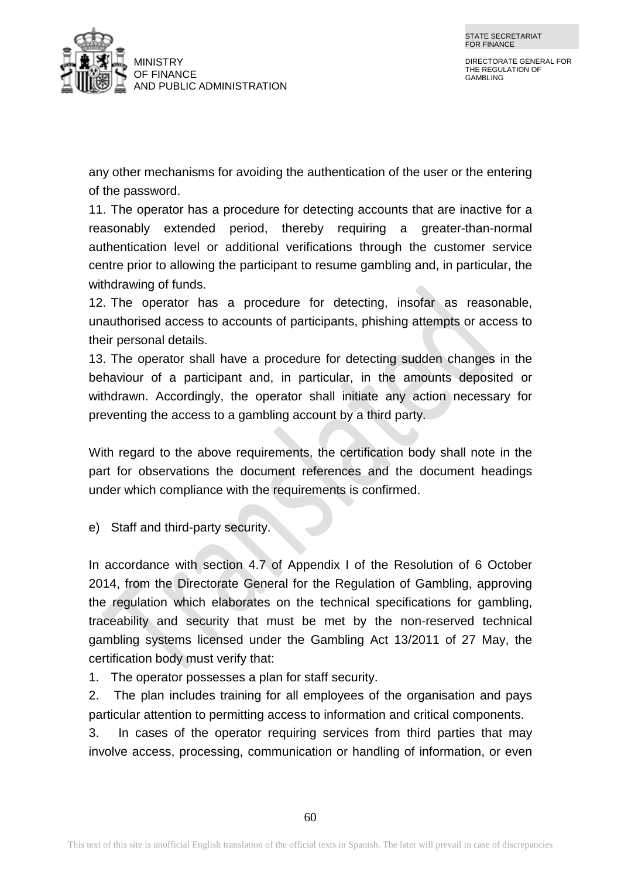

any other mechanisms for avoiding the authentication of the user or the entering of the password.

11. The operator has a procedure for detecting accounts that are inactive for a reasonably extended period, thereby requiring a greater-than-normal authentication level or additional verifications through the customer service centre prior to allowing the participant to resume gambling and, in particular, the withdrawing of funds.

12. The operator has a procedure for detecting, insofar as reasonable, unauthorised access to accounts of participants, phishing attempts or access to their personal details.

13. The operator shall have a procedure for detecting sudden changes in the behaviour of a participant and, in particular, in the amounts deposited or withdrawn. Accordingly, the operator shall initiate any action necessary for preventing the access to a gambling account by a third party.

With regard to the above requirements, the certification body shall note in the part for observations the document references and the document headings under which compliance with the requirements is confirmed.

e) Staff and third-party security.

In accordance with section 4.7 of Appendix I of the Resolution of 6 October 2014, from the Directorate General for the Regulation of Gambling, approving the regulation which elaborates on the technical specifications for gambling, traceability and security that must be met by the non-reserved technical gambling systems licensed under the Gambling Act 13/2011 of 27 May, the certification body must verify that:

1. The operator possesses a plan for staff security.

2. The plan includes training for all employees of the organisation and pays particular attention to permitting access to information and critical components.

3. In cases of the operator requiring services from third parties that may involve access, processing, communication or handling of information, or even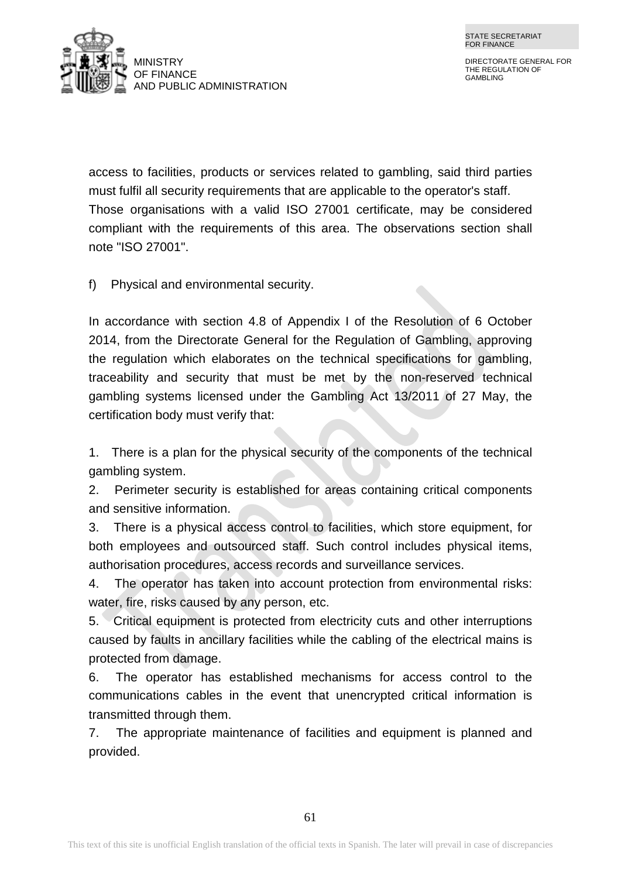

access to facilities, products or services related to gambling, said third parties must fulfil all security requirements that are applicable to the operator's staff. Those organisations with a valid ISO 27001 certificate, may be considered compliant with the requirements of this area. The observations section shall note "ISO 27001".

f) Physical and environmental security.

In accordance with section 4.8 of Appendix I of the Resolution of 6 October 2014, from the Directorate General for the Regulation of Gambling, approving the regulation which elaborates on the technical specifications for gambling, traceability and security that must be met by the non-reserved technical gambling systems licensed under the Gambling Act 13/2011 of 27 May, the certification body must verify that:

1. There is a plan for the physical security of the components of the technical gambling system.

2. Perimeter security is established for areas containing critical components and sensitive information.

3. There is a physical access control to facilities, which store equipment, for both employees and outsourced staff. Such control includes physical items, authorisation procedures, access records and surveillance services.

4. The operator has taken into account protection from environmental risks: water, fire, risks caused by any person, etc.

5. Critical equipment is protected from electricity cuts and other interruptions caused by faults in ancillary facilities while the cabling of the electrical mains is protected from damage.

6. The operator has established mechanisms for access control to the communications cables in the event that unencrypted critical information is transmitted through them.

7. The appropriate maintenance of facilities and equipment is planned and provided.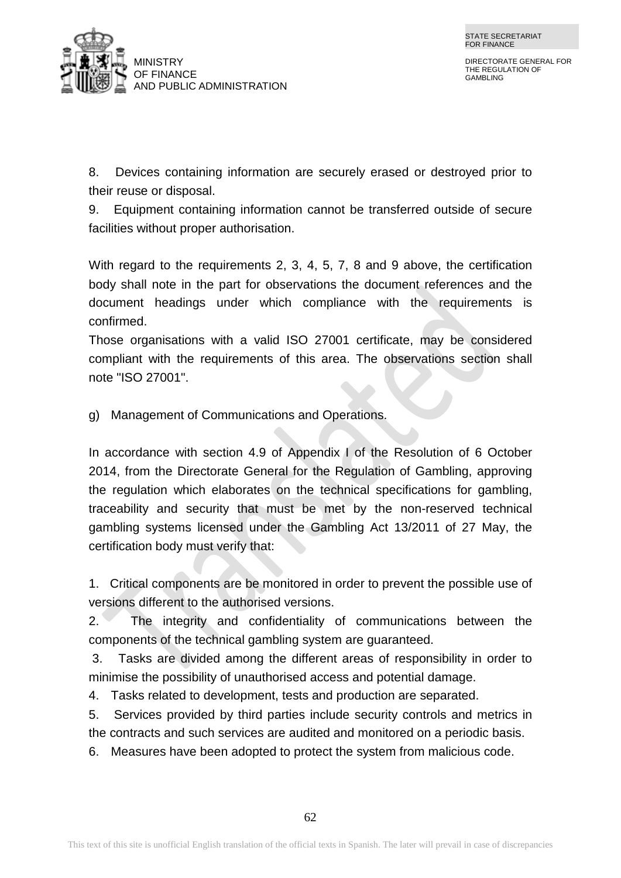

8. Devices containing information are securely erased or destroyed prior to their reuse or disposal.

9. Equipment containing information cannot be transferred outside of secure facilities without proper authorisation.

With regard to the requirements 2, 3, 4, 5, 7, 8 and 9 above, the certification body shall note in the part for observations the document references and the document headings under which compliance with the requirements is confirmed.

Those organisations with a valid ISO 27001 certificate, may be considered compliant with the requirements of this area. The observations section shall note "ISO 27001".

g) Management of Communications and Operations.

In accordance with section 4.9 of Appendix I of the Resolution of 6 October 2014, from the Directorate General for the Regulation of Gambling, approving the regulation which elaborates on the technical specifications for gambling, traceability and security that must be met by the non-reserved technical gambling systems licensed under the Gambling Act 13/2011 of 27 May, the certification body must verify that:

1. Critical components are be monitored in order to prevent the possible use of versions different to the authorised versions.

2. The integrity and confidentiality of communications between the components of the technical gambling system are guaranteed.

3. Tasks are divided among the different areas of responsibility in order to minimise the possibility of unauthorised access and potential damage.

4. Tasks related to development, tests and production are separated.

5. Services provided by third parties include security controls and metrics in the contracts and such services are audited and monitored on a periodic basis.

6. Measures have been adopted to protect the system from malicious code.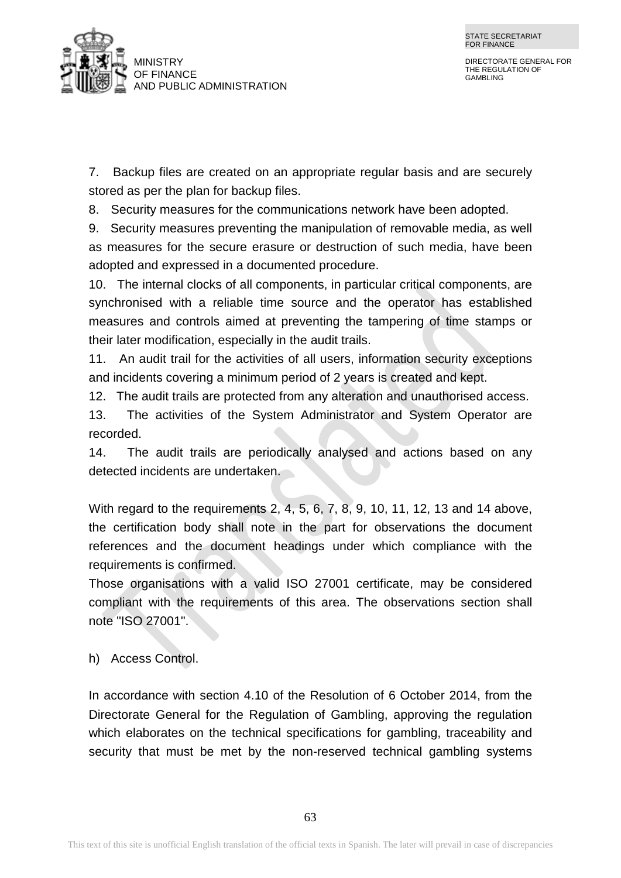

7. Backup files are created on an appropriate regular basis and are securely stored as per the plan for backup files.

8. Security measures for the communications network have been adopted.

9. Security measures preventing the manipulation of removable media, as well as measures for the secure erasure or destruction of such media, have been adopted and expressed in a documented procedure.

10. The internal clocks of all components, in particular critical components, are synchronised with a reliable time source and the operator has established measures and controls aimed at preventing the tampering of time stamps or their later modification, especially in the audit trails.

11. An audit trail for the activities of all users, information security exceptions and incidents covering a minimum period of 2 years is created and kept.

12. The audit trails are protected from any alteration and unauthorised access.

13. The activities of the System Administrator and System Operator are recorded.

14. The audit trails are periodically analysed and actions based on any detected incidents are undertaken.

With regard to the requirements 2, 4, 5, 6, 7, 8, 9, 10, 11, 12, 13 and 14 above, the certification body shall note in the part for observations the document references and the document headings under which compliance with the requirements is confirmed.

Those organisations with a valid ISO 27001 certificate, may be considered compliant with the requirements of this area. The observations section shall note "ISO 27001".

h) Access Control.

In accordance with section 4.10 of the Resolution of 6 October 2014, from the Directorate General for the Regulation of Gambling, approving the regulation which elaborates on the technical specifications for gambling, traceability and security that must be met by the non-reserved technical gambling systems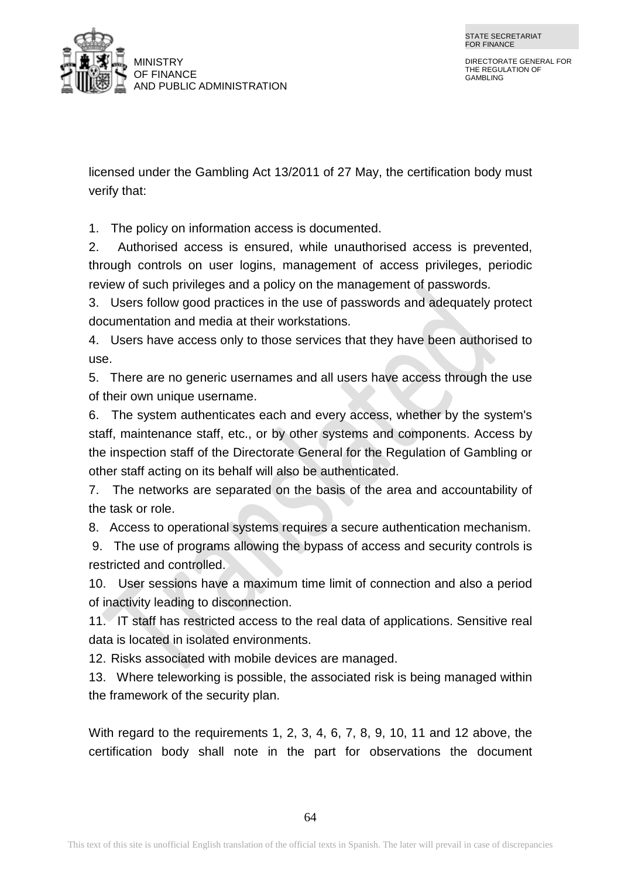

licensed under the Gambling Act 13/2011 of 27 May, the certification body must verify that:

1. The policy on information access is documented.

2. Authorised access is ensured, while unauthorised access is prevented, through controls on user logins, management of access privileges, periodic review of such privileges and a policy on the management of passwords.

3. Users follow good practices in the use of passwords and adequately protect documentation and media at their workstations.

4. Users have access only to those services that they have been authorised to use.

5. There are no generic usernames and all users have access through the use of their own unique username.

6. The system authenticates each and every access, whether by the system's staff, maintenance staff, etc., or by other systems and components. Access by the inspection staff of the Directorate General for the Regulation of Gambling or other staff acting on its behalf will also be authenticated.

7. The networks are separated on the basis of the area and accountability of the task or role.

8. Access to operational systems requires a secure authentication mechanism.

9. The use of programs allowing the bypass of access and security controls is restricted and controlled.

10. User sessions have a maximum time limit of connection and also a period of inactivity leading to disconnection.

11. IT staff has restricted access to the real data of applications. Sensitive real data is located in isolated environments.

12. Risks associated with mobile devices are managed.

13. Where teleworking is possible, the associated risk is being managed within the framework of the security plan.

With regard to the requirements 1, 2, 3, 4, 6, 7, 8, 9, 10, 11 and 12 above, the certification body shall note in the part for observations the document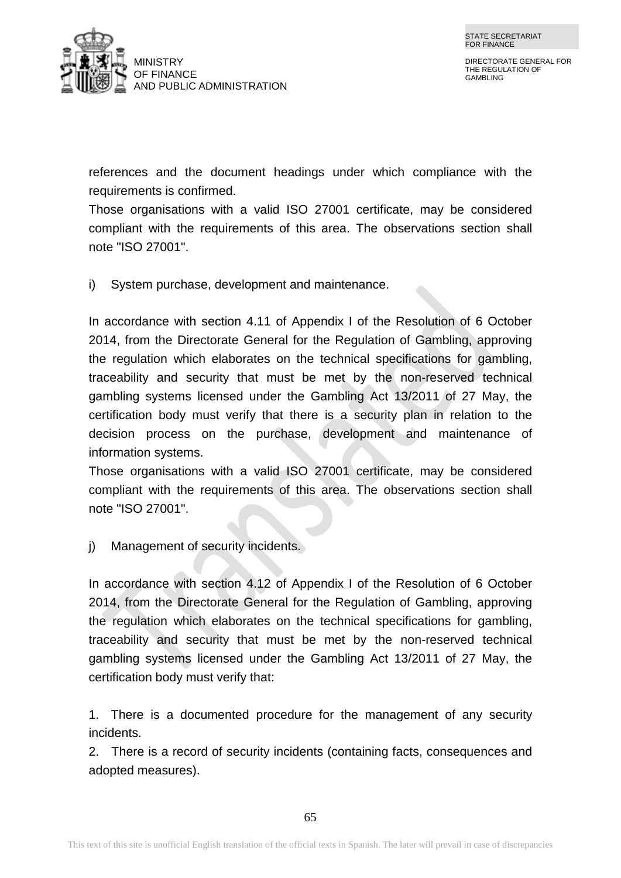

references and the document headings under which compliance with the requirements is confirmed.

Those organisations with a valid ISO 27001 certificate, may be considered compliant with the requirements of this area. The observations section shall note "ISO 27001".

i) System purchase, development and maintenance.

In accordance with section 4.11 of Appendix I of the Resolution of 6 October 2014, from the Directorate General for the Regulation of Gambling, approving the regulation which elaborates on the technical specifications for gambling, traceability and security that must be met by the non-reserved technical gambling systems licensed under the Gambling Act 13/2011 of 27 May, the certification body must verify that there is a security plan in relation to the decision process on the purchase, development and maintenance of information systems.

Those organisations with a valid ISO 27001 certificate, may be considered compliant with the requirements of this area. The observations section shall note "ISO 27001".

j) Management of security incidents.

In accordance with section 4.12 of Appendix I of the Resolution of 6 October 2014, from the Directorate General for the Regulation of Gambling, approving the regulation which elaborates on the technical specifications for gambling, traceability and security that must be met by the non-reserved technical gambling systems licensed under the Gambling Act 13/2011 of 27 May, the certification body must verify that:

1. There is a documented procedure for the management of any security incidents.

2. There is a record of security incidents (containing facts, consequences and adopted measures).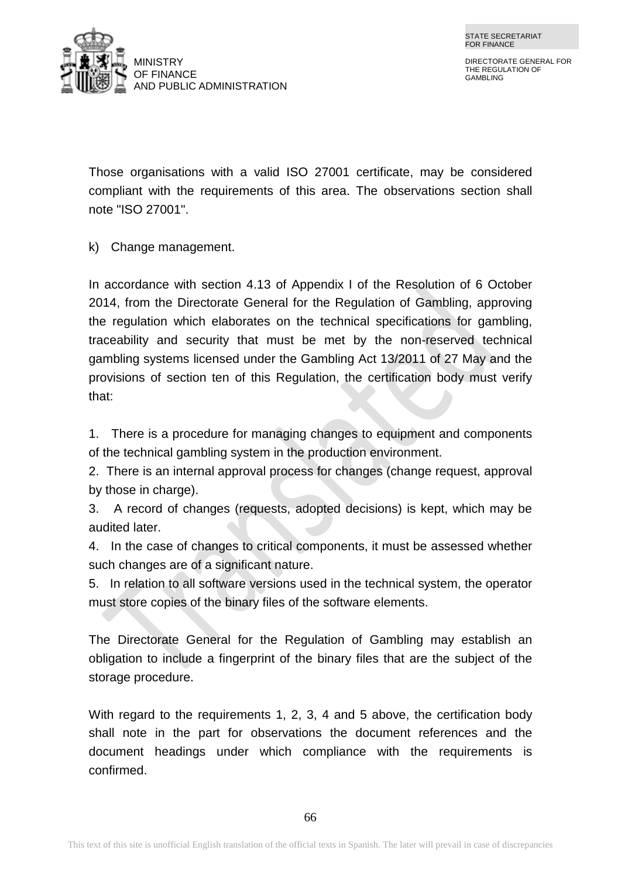

Those organisations with a valid ISO 27001 certificate, may be considered compliant with the requirements of this area. The observations section shall note "ISO 27001".

k) Change management.

In accordance with section 4.13 of Appendix I of the Resolution of 6 October 2014, from the Directorate General for the Regulation of Gambling, approving the regulation which elaborates on the technical specifications for gambling, traceability and security that must be met by the non-reserved technical gambling systems licensed under the Gambling Act 13/2011 of 27 May and the provisions of section ten of this Regulation, the certification body must verify that:

1. There is a procedure for managing changes to equipment and components of the technical gambling system in the production environment.

2. There is an internal approval process for changes (change request, approval by those in charge).

3. A record of changes (requests, adopted decisions) is kept, which may be audited later.

4. In the case of changes to critical components, it must be assessed whether such changes are of a significant nature.

5. In relation to all software versions used in the technical system, the operator must store copies of the binary files of the software elements.

The Directorate General for the Regulation of Gambling may establish an obligation to include a fingerprint of the binary files that are the subject of the storage procedure.

With regard to the requirements 1, 2, 3, 4 and 5 above, the certification body shall note in the part for observations the document references and the document headings under which compliance with the requirements is confirmed.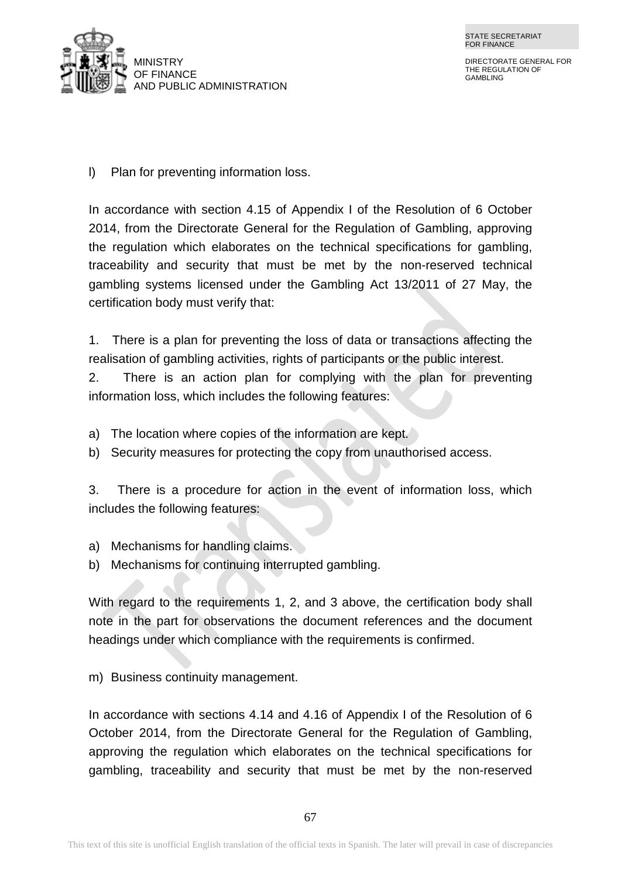



l) Plan for preventing information loss.

In accordance with section 4.15 of Appendix I of the Resolution of 6 October 2014, from the Directorate General for the Regulation of Gambling, approving the regulation which elaborates on the technical specifications for gambling, traceability and security that must be met by the non-reserved technical gambling systems licensed under the Gambling Act 13/2011 of 27 May, the certification body must verify that:

1. There is a plan for preventing the loss of data or transactions affecting the realisation of gambling activities, rights of participants or the public interest.

2. There is an action plan for complying with the plan for preventing information loss, which includes the following features:

- a) The location where copies of the information are kept.
- b) Security measures for protecting the copy from unauthorised access.

3. There is a procedure for action in the event of information loss, which includes the following features:

- a) Mechanisms for handling claims.
- b) Mechanisms for continuing interrupted gambling.

With regard to the requirements 1, 2, and 3 above, the certification body shall note in the part for observations the document references and the document headings under which compliance with the requirements is confirmed.

m) Business continuity management.

In accordance with sections 4.14 and 4.16 of Appendix I of the Resolution of 6 October 2014, from the Directorate General for the Regulation of Gambling, approving the regulation which elaborates on the technical specifications for gambling, traceability and security that must be met by the non-reserved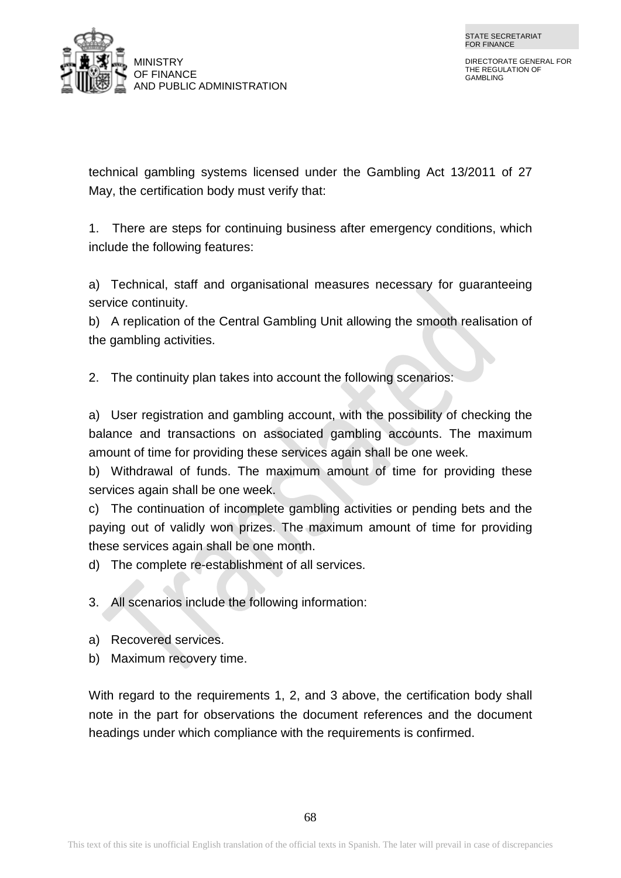

technical gambling systems licensed under the Gambling Act 13/2011 of 27 May, the certification body must verify that:

1. There are steps for continuing business after emergency conditions, which include the following features:

a) Technical, staff and organisational measures necessary for guaranteeing service continuity.

b) A replication of the Central Gambling Unit allowing the smooth realisation of the gambling activities.

2. The continuity plan takes into account the following scenarios:

a) User registration and gambling account, with the possibility of checking the balance and transactions on associated gambling accounts. The maximum amount of time for providing these services again shall be one week.

b) Withdrawal of funds. The maximum amount of time for providing these services again shall be one week.

c) The continuation of incomplete gambling activities or pending bets and the paying out of validly won prizes. The maximum amount of time for providing these services again shall be one month.

d) The complete re-establishment of all services.

3. All scenarios include the following information:

- a) Recovered services.
- b) Maximum recovery time.

With regard to the requirements 1, 2, and 3 above, the certification body shall note in the part for observations the document references and the document headings under which compliance with the requirements is confirmed.